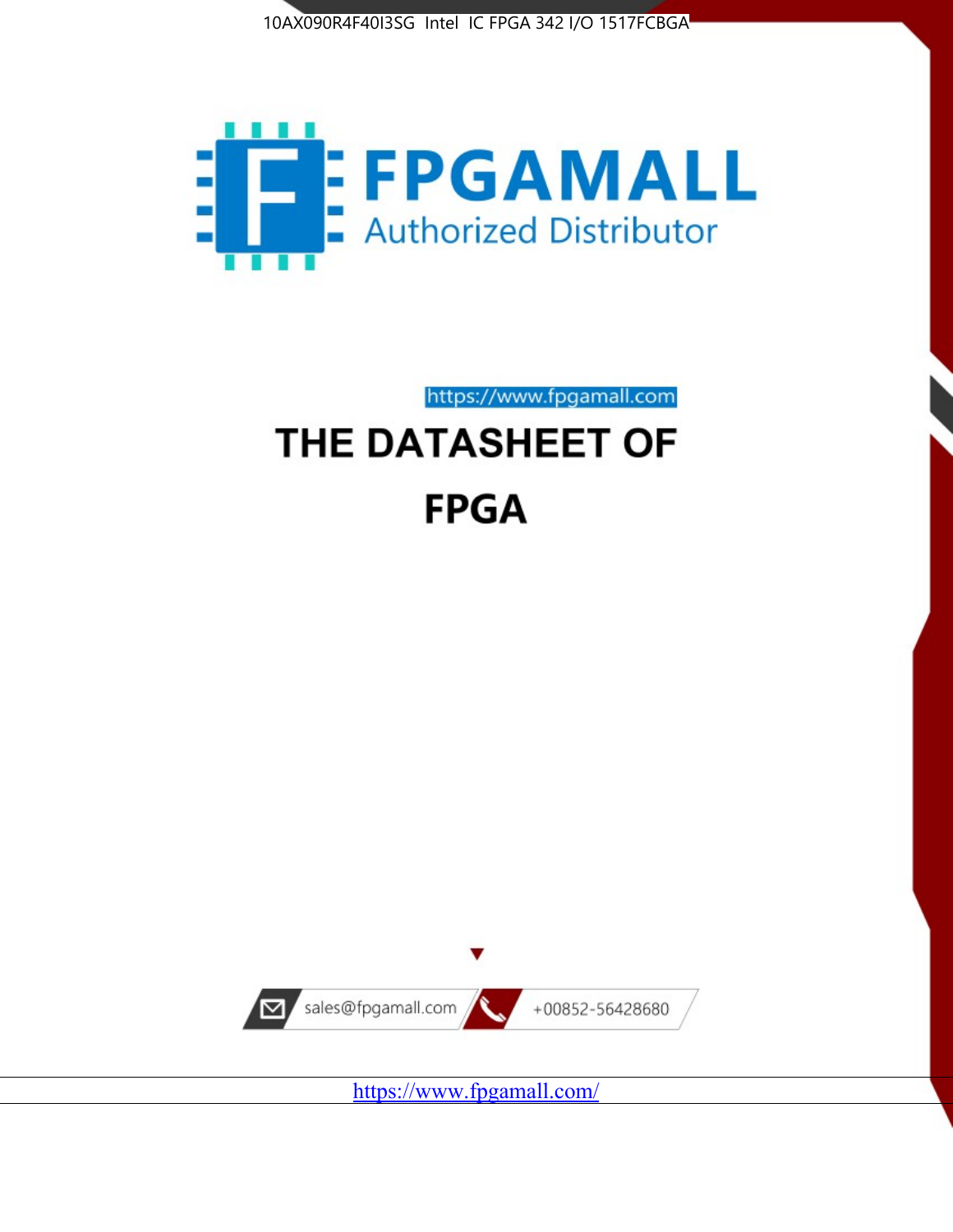



https://www.fpgamall.com

# THE DATASHEET OF **FPGA**



<https://www.fpgamall.com/>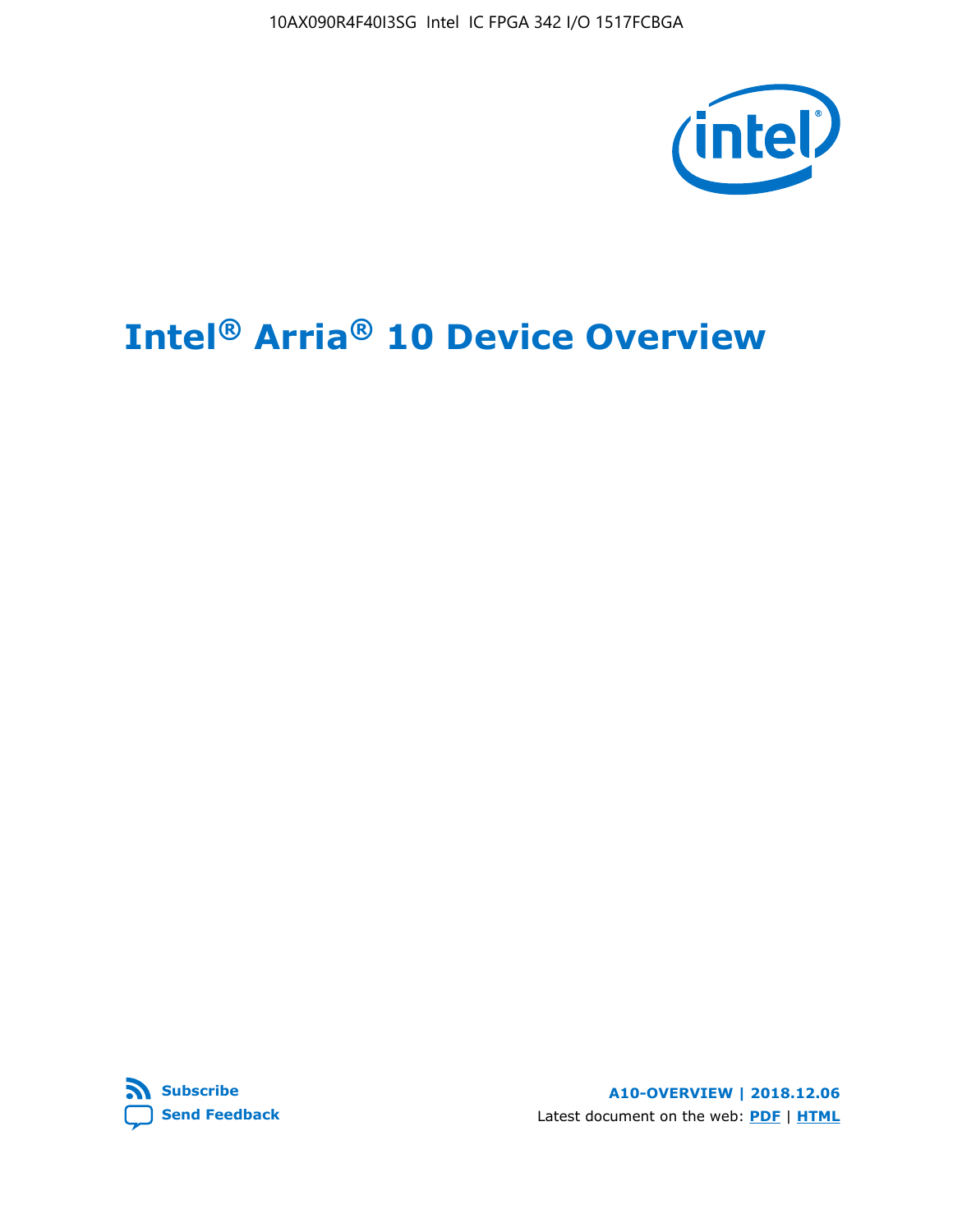

# **Intel® Arria® 10 Device Overview**



**A10-OVERVIEW | 2018.12.06** Latest document on the web: **[PDF](https://www.intel.com/content/dam/www/programmable/us/en/pdfs/literature/hb/arria-10/a10_overview.pdf)** | **[HTML](https://www.intel.com/content/www/us/en/programmable/documentation/sam1403480274650.html)**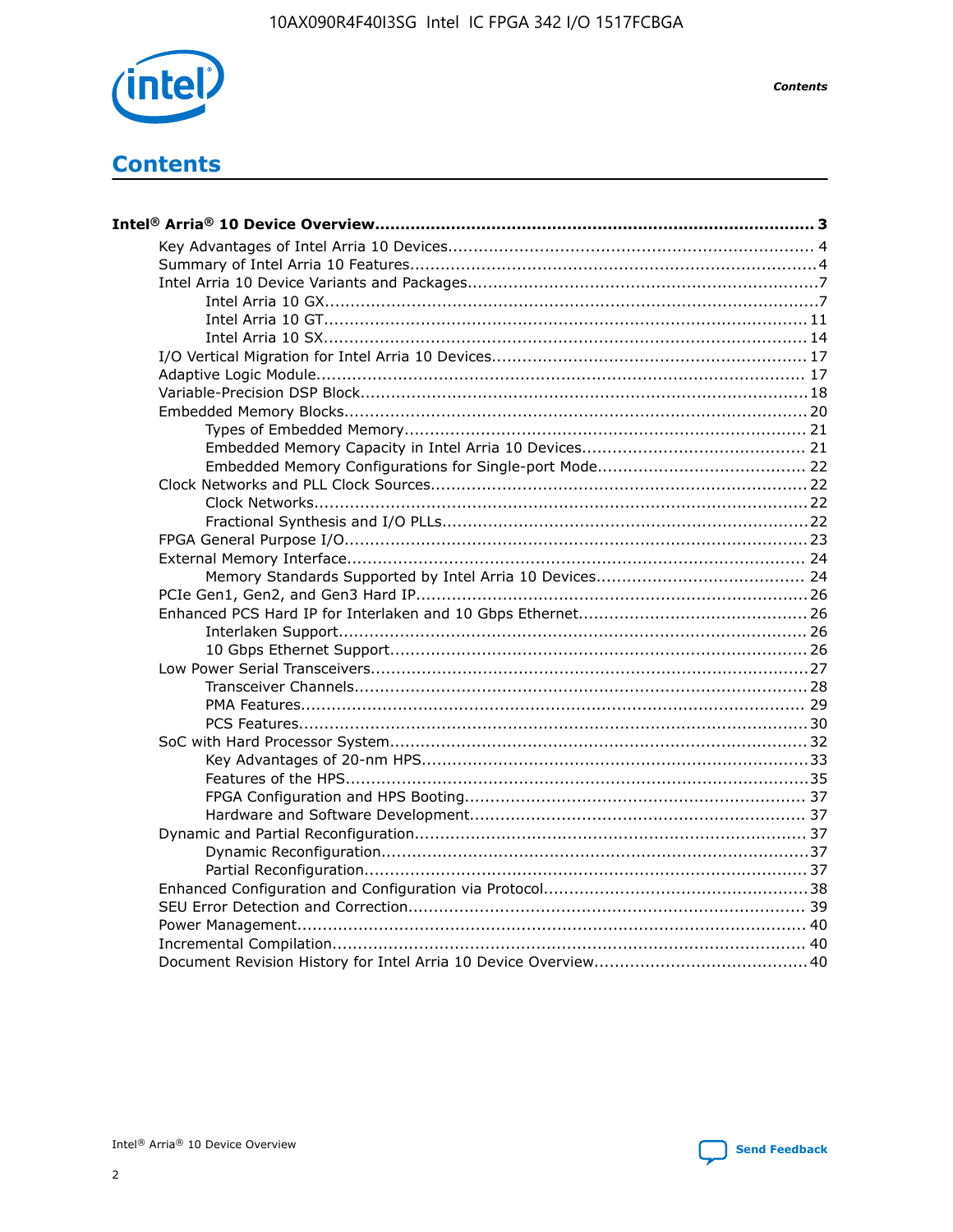

**Contents** 

# **Contents**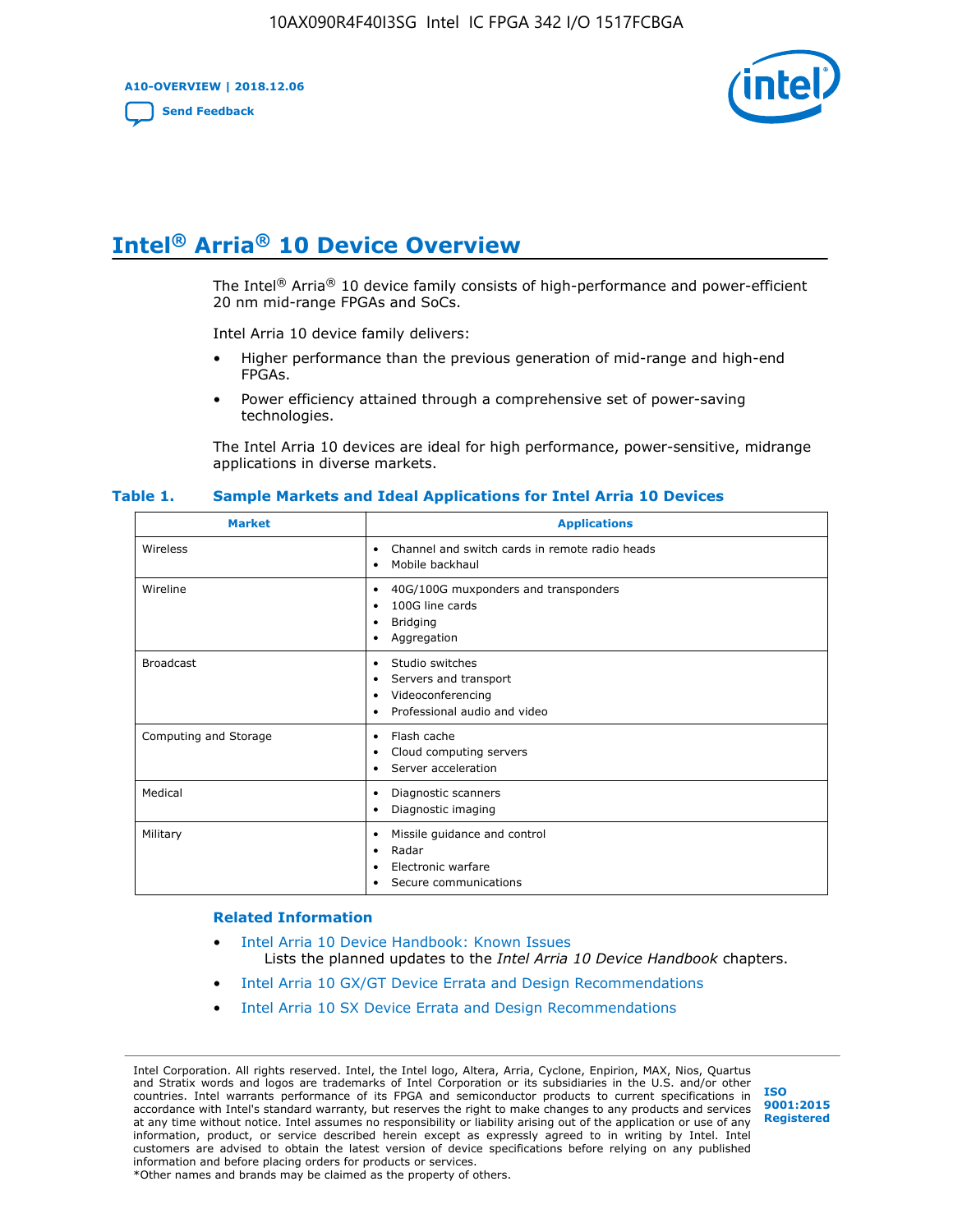**A10-OVERVIEW | 2018.12.06**

**[Send Feedback](mailto:FPGAtechdocfeedback@intel.com?subject=Feedback%20on%20Intel%20Arria%2010%20Device%20Overview%20(A10-OVERVIEW%202018.12.06)&body=We%20appreciate%20your%20feedback.%20In%20your%20comments,%20also%20specify%20the%20page%20number%20or%20paragraph.%20Thank%20you.)**



# **Intel® Arria® 10 Device Overview**

The Intel<sup>®</sup> Arria<sup>®</sup> 10 device family consists of high-performance and power-efficient 20 nm mid-range FPGAs and SoCs.

Intel Arria 10 device family delivers:

- Higher performance than the previous generation of mid-range and high-end FPGAs.
- Power efficiency attained through a comprehensive set of power-saving technologies.

The Intel Arria 10 devices are ideal for high performance, power-sensitive, midrange applications in diverse markets.

| <b>Market</b>         | <b>Applications</b>                                                                                               |
|-----------------------|-------------------------------------------------------------------------------------------------------------------|
| Wireless              | Channel and switch cards in remote radio heads<br>٠<br>Mobile backhaul<br>٠                                       |
| Wireline              | 40G/100G muxponders and transponders<br>٠<br>100G line cards<br>٠<br><b>Bridging</b><br>٠<br>Aggregation<br>٠     |
| <b>Broadcast</b>      | Studio switches<br>٠<br>Servers and transport<br>٠<br>Videoconferencing<br>٠<br>Professional audio and video<br>٠ |
| Computing and Storage | Flash cache<br>٠<br>Cloud computing servers<br>٠<br>Server acceleration<br>٠                                      |
| Medical               | Diagnostic scanners<br>٠<br>Diagnostic imaging<br>٠                                                               |
| Military              | Missile guidance and control<br>٠<br>Radar<br>٠<br>Electronic warfare<br>٠<br>Secure communications<br>٠          |

#### **Table 1. Sample Markets and Ideal Applications for Intel Arria 10 Devices**

#### **Related Information**

- [Intel Arria 10 Device Handbook: Known Issues](http://www.altera.com/support/kdb/solutions/rd07302013_646.html) Lists the planned updates to the *Intel Arria 10 Device Handbook* chapters.
- [Intel Arria 10 GX/GT Device Errata and Design Recommendations](https://www.intel.com/content/www/us/en/programmable/documentation/agz1493851706374.html#yqz1494433888646)
- [Intel Arria 10 SX Device Errata and Design Recommendations](https://www.intel.com/content/www/us/en/programmable/documentation/cru1462832385668.html#cru1462832558642)

Intel Corporation. All rights reserved. Intel, the Intel logo, Altera, Arria, Cyclone, Enpirion, MAX, Nios, Quartus and Stratix words and logos are trademarks of Intel Corporation or its subsidiaries in the U.S. and/or other countries. Intel warrants performance of its FPGA and semiconductor products to current specifications in accordance with Intel's standard warranty, but reserves the right to make changes to any products and services at any time without notice. Intel assumes no responsibility or liability arising out of the application or use of any information, product, or service described herein except as expressly agreed to in writing by Intel. Intel customers are advised to obtain the latest version of device specifications before relying on any published information and before placing orders for products or services. \*Other names and brands may be claimed as the property of others.

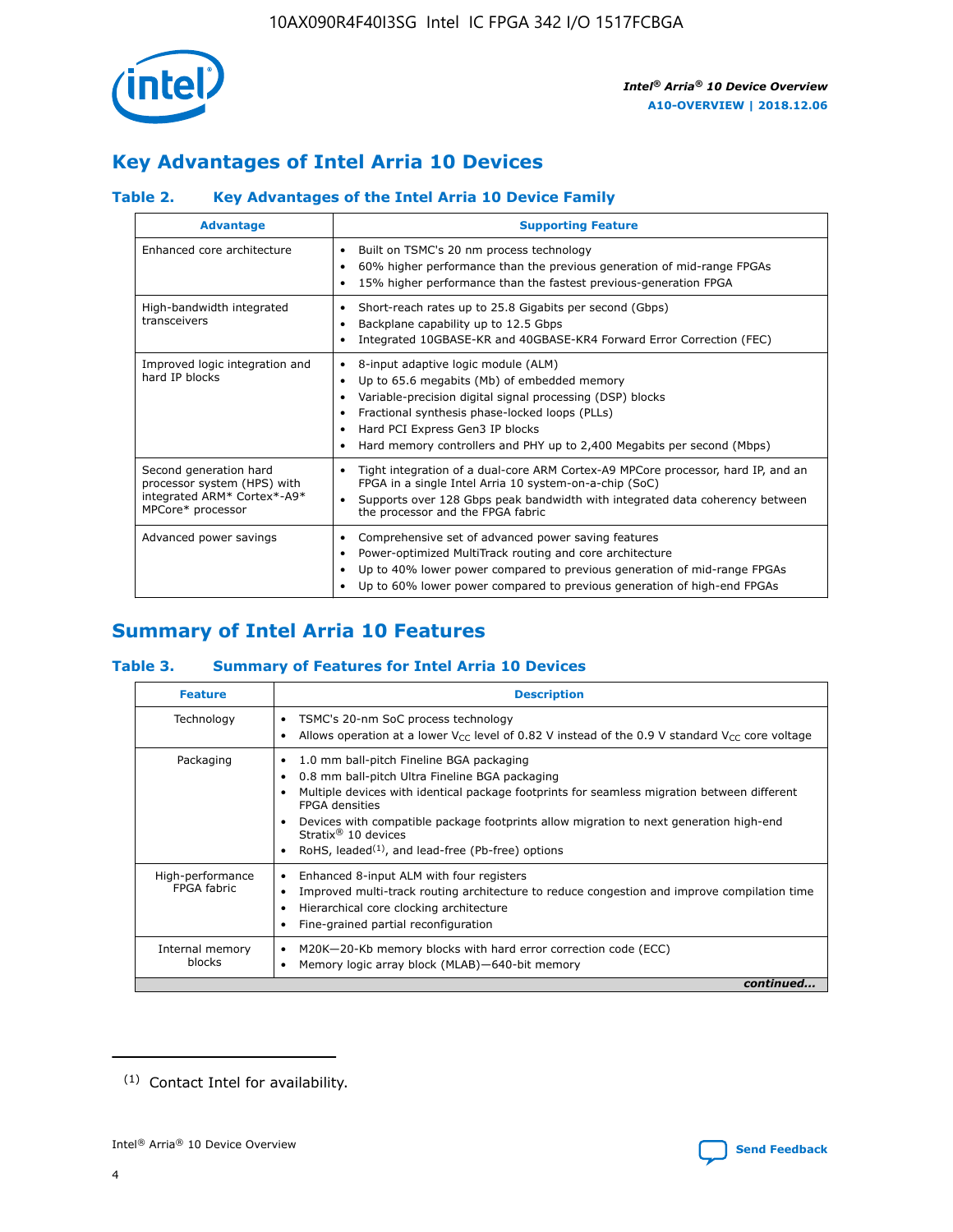

# **Key Advantages of Intel Arria 10 Devices**

# **Table 2. Key Advantages of the Intel Arria 10 Device Family**

| <b>Advantage</b>                                                                                          | <b>Supporting Feature</b>                                                                                                                                                                                                                                                                                                |
|-----------------------------------------------------------------------------------------------------------|--------------------------------------------------------------------------------------------------------------------------------------------------------------------------------------------------------------------------------------------------------------------------------------------------------------------------|
| Enhanced core architecture                                                                                | Built on TSMC's 20 nm process technology<br>٠<br>60% higher performance than the previous generation of mid-range FPGAs<br>٠<br>15% higher performance than the fastest previous-generation FPGA<br>٠                                                                                                                    |
| High-bandwidth integrated<br>transceivers                                                                 | Short-reach rates up to 25.8 Gigabits per second (Gbps)<br>٠<br>Backplane capability up to 12.5 Gbps<br>٠<br>Integrated 10GBASE-KR and 40GBASE-KR4 Forward Error Correction (FEC)<br>٠                                                                                                                                   |
| Improved logic integration and<br>hard IP blocks                                                          | 8-input adaptive logic module (ALM)<br>٠<br>Up to 65.6 megabits (Mb) of embedded memory<br>٠<br>Variable-precision digital signal processing (DSP) blocks<br>Fractional synthesis phase-locked loops (PLLs)<br>Hard PCI Express Gen3 IP blocks<br>Hard memory controllers and PHY up to 2,400 Megabits per second (Mbps) |
| Second generation hard<br>processor system (HPS) with<br>integrated ARM* Cortex*-A9*<br>MPCore* processor | Tight integration of a dual-core ARM Cortex-A9 MPCore processor, hard IP, and an<br>٠<br>FPGA in a single Intel Arria 10 system-on-a-chip (SoC)<br>Supports over 128 Gbps peak bandwidth with integrated data coherency between<br>$\bullet$<br>the processor and the FPGA fabric                                        |
| Advanced power savings                                                                                    | Comprehensive set of advanced power saving features<br>٠<br>Power-optimized MultiTrack routing and core architecture<br>٠<br>Up to 40% lower power compared to previous generation of mid-range FPGAs<br>Up to 60% lower power compared to previous generation of high-end FPGAs                                         |

# **Summary of Intel Arria 10 Features**

## **Table 3. Summary of Features for Intel Arria 10 Devices**

| <b>Feature</b>                  | <b>Description</b>                                                                                                                                                                                                                                                                                                                                                                                 |
|---------------------------------|----------------------------------------------------------------------------------------------------------------------------------------------------------------------------------------------------------------------------------------------------------------------------------------------------------------------------------------------------------------------------------------------------|
| Technology                      | TSMC's 20-nm SoC process technology<br>Allows operation at a lower $V_{\text{CC}}$ level of 0.82 V instead of the 0.9 V standard $V_{\text{CC}}$ core voltage                                                                                                                                                                                                                                      |
| Packaging                       | 1.0 mm ball-pitch Fineline BGA packaging<br>٠<br>0.8 mm ball-pitch Ultra Fineline BGA packaging<br>Multiple devices with identical package footprints for seamless migration between different<br><b>FPGA</b> densities<br>Devices with compatible package footprints allow migration to next generation high-end<br>Stratix $@10$ devices<br>RoHS, leaded $(1)$ , and lead-free (Pb-free) options |
| High-performance<br>FPGA fabric | Enhanced 8-input ALM with four registers<br>Improved multi-track routing architecture to reduce congestion and improve compilation time<br>Hierarchical core clocking architecture<br>Fine-grained partial reconfiguration                                                                                                                                                                         |
| Internal memory<br>blocks       | M20K-20-Kb memory blocks with hard error correction code (ECC)<br>Memory logic array block (MLAB)-640-bit memory                                                                                                                                                                                                                                                                                   |
|                                 | continued                                                                                                                                                                                                                                                                                                                                                                                          |



<sup>(1)</sup> Contact Intel for availability.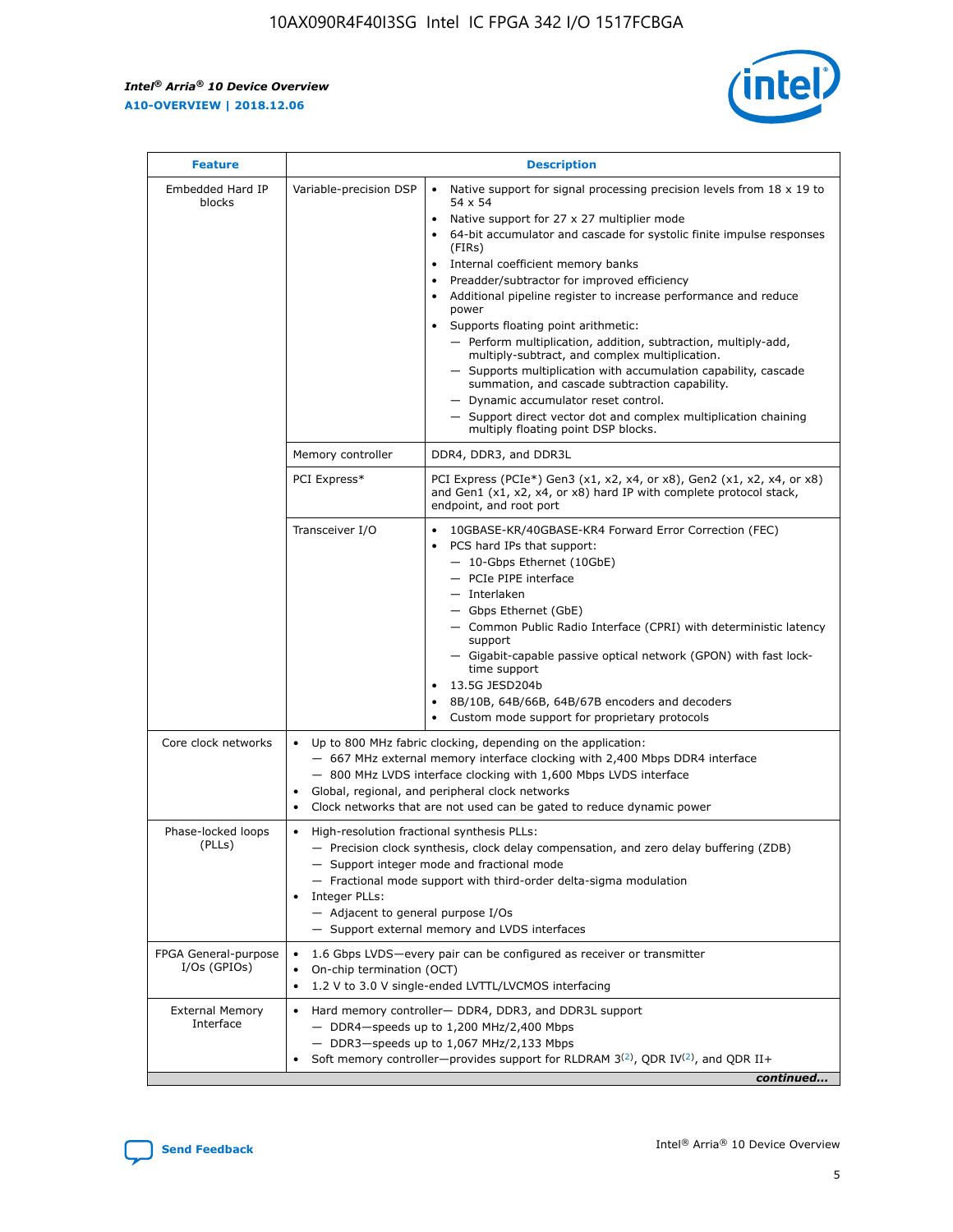r



| <b>Feature</b>                         | <b>Description</b>                                                                                             |                                                                                                                                                                                                                                                                                                                                                                                                                                                                                                                                                                                                                                                                                                                                                                                                                                                                  |  |  |  |  |  |
|----------------------------------------|----------------------------------------------------------------------------------------------------------------|------------------------------------------------------------------------------------------------------------------------------------------------------------------------------------------------------------------------------------------------------------------------------------------------------------------------------------------------------------------------------------------------------------------------------------------------------------------------------------------------------------------------------------------------------------------------------------------------------------------------------------------------------------------------------------------------------------------------------------------------------------------------------------------------------------------------------------------------------------------|--|--|--|--|--|
| Embedded Hard IP<br>blocks             | Variable-precision DSP                                                                                         | Native support for signal processing precision levels from $18 \times 19$ to<br>$\bullet$<br>54 x 54<br>Native support for 27 x 27 multiplier mode<br>$\bullet$<br>64-bit accumulator and cascade for systolic finite impulse responses<br>(FIRs)<br>Internal coefficient memory banks<br>$\bullet$<br>Preadder/subtractor for improved efficiency<br>Additional pipeline register to increase performance and reduce<br>power<br>Supports floating point arithmetic:<br>- Perform multiplication, addition, subtraction, multiply-add,<br>multiply-subtract, and complex multiplication.<br>- Supports multiplication with accumulation capability, cascade<br>summation, and cascade subtraction capability.<br>- Dynamic accumulator reset control.<br>- Support direct vector dot and complex multiplication chaining<br>multiply floating point DSP blocks. |  |  |  |  |  |
|                                        | Memory controller                                                                                              | DDR4, DDR3, and DDR3L                                                                                                                                                                                                                                                                                                                                                                                                                                                                                                                                                                                                                                                                                                                                                                                                                                            |  |  |  |  |  |
|                                        | PCI Express*                                                                                                   | PCI Express (PCIe*) Gen3 (x1, x2, x4, or x8), Gen2 (x1, x2, x4, or x8)<br>and Gen1 (x1, x2, x4, or x8) hard IP with complete protocol stack,<br>endpoint, and root port                                                                                                                                                                                                                                                                                                                                                                                                                                                                                                                                                                                                                                                                                          |  |  |  |  |  |
|                                        | Transceiver I/O                                                                                                | 10GBASE-KR/40GBASE-KR4 Forward Error Correction (FEC)<br>PCS hard IPs that support:<br>- 10-Gbps Ethernet (10GbE)<br>- PCIe PIPE interface<br>- Interlaken<br>- Gbps Ethernet (GbE)<br>- Common Public Radio Interface (CPRI) with deterministic latency<br>support<br>- Gigabit-capable passive optical network (GPON) with fast lock-<br>time support<br>13.5G JESD204b<br>$\bullet$<br>8B/10B, 64B/66B, 64B/67B encoders and decoders<br>Custom mode support for proprietary protocols                                                                                                                                                                                                                                                                                                                                                                        |  |  |  |  |  |
| Core clock networks                    | $\bullet$                                                                                                      | Up to 800 MHz fabric clocking, depending on the application:<br>- 667 MHz external memory interface clocking with 2,400 Mbps DDR4 interface<br>- 800 MHz LVDS interface clocking with 1,600 Mbps LVDS interface<br>Global, regional, and peripheral clock networks<br>Clock networks that are not used can be gated to reduce dynamic power                                                                                                                                                                                                                                                                                                                                                                                                                                                                                                                      |  |  |  |  |  |
| Phase-locked loops<br>(PLLs)           | High-resolution fractional synthesis PLLs:<br>$\bullet$<br>Integer PLLs:<br>- Adjacent to general purpose I/Os | - Precision clock synthesis, clock delay compensation, and zero delay buffering (ZDB)<br>- Support integer mode and fractional mode<br>- Fractional mode support with third-order delta-sigma modulation<br>- Support external memory and LVDS interfaces                                                                                                                                                                                                                                                                                                                                                                                                                                                                                                                                                                                                        |  |  |  |  |  |
| FPGA General-purpose<br>$I/Os$ (GPIOs) | On-chip termination (OCT)<br>$\bullet$                                                                         | 1.6 Gbps LVDS-every pair can be configured as receiver or transmitter<br>1.2 V to 3.0 V single-ended LVTTL/LVCMOS interfacing                                                                                                                                                                                                                                                                                                                                                                                                                                                                                                                                                                                                                                                                                                                                    |  |  |  |  |  |
| <b>External Memory</b><br>Interface    | $\bullet$                                                                                                      | Hard memory controller- DDR4, DDR3, and DDR3L support<br>$-$ DDR4-speeds up to 1,200 MHz/2,400 Mbps<br>- DDR3-speeds up to 1,067 MHz/2,133 Mbps<br>Soft memory controller—provides support for RLDRAM $3^{(2)}$ , QDR IV $^{(2)}$ , and QDR II+<br>continued                                                                                                                                                                                                                                                                                                                                                                                                                                                                                                                                                                                                     |  |  |  |  |  |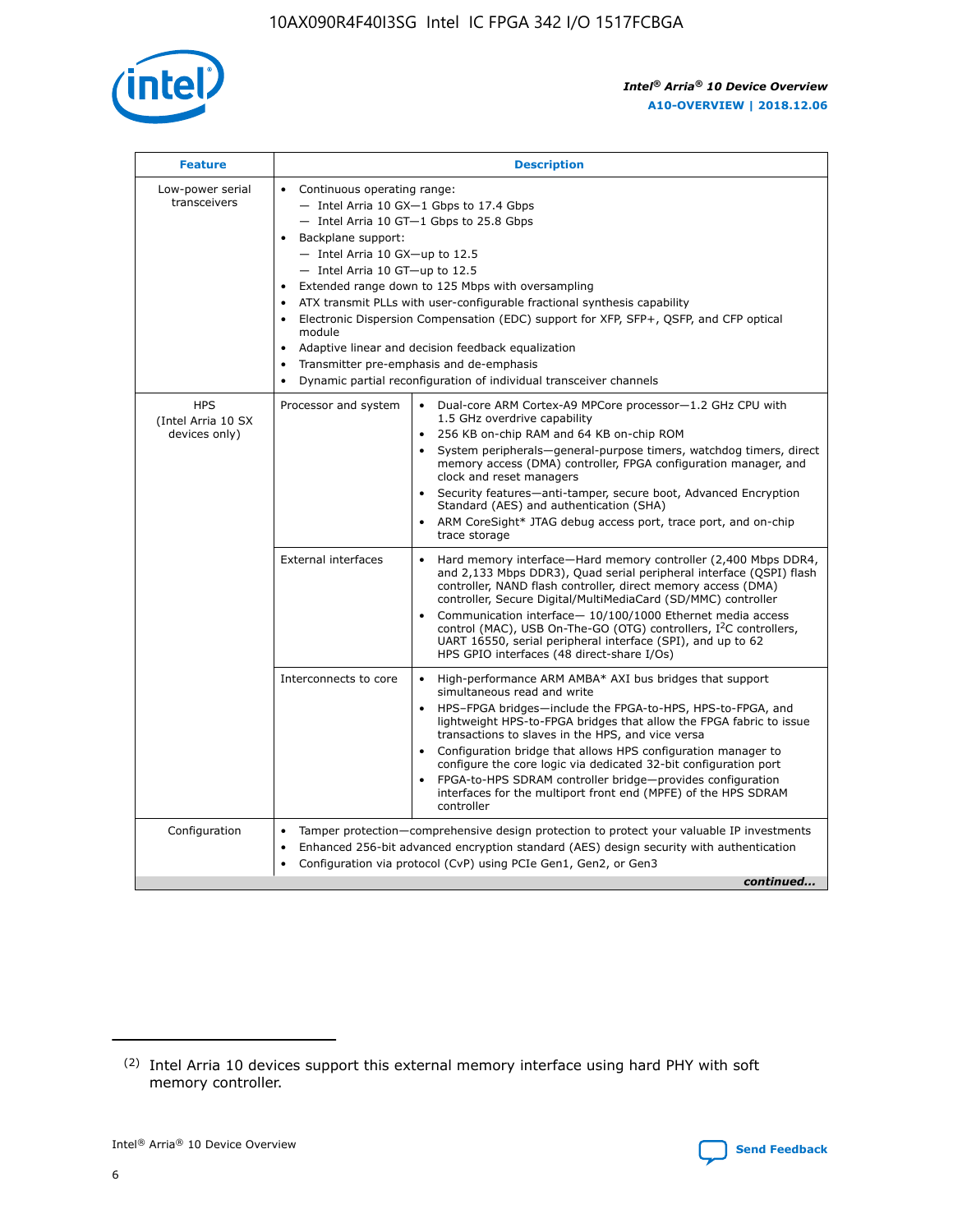

| <b>Feature</b>                                    | <b>Description</b>                                                                                                                                                                                                                                                                                                                                                                                                                                                                                                                                                                                                                                      |  |  |  |  |  |  |  |  |
|---------------------------------------------------|---------------------------------------------------------------------------------------------------------------------------------------------------------------------------------------------------------------------------------------------------------------------------------------------------------------------------------------------------------------------------------------------------------------------------------------------------------------------------------------------------------------------------------------------------------------------------------------------------------------------------------------------------------|--|--|--|--|--|--|--|--|
| Low-power serial<br>transceivers                  | • Continuous operating range:<br>- Intel Arria 10 GX-1 Gbps to 17.4 Gbps<br>- Intel Arria 10 GT-1 Gbps to 25.8 Gbps<br>Backplane support:<br>$-$ Intel Arria 10 GX-up to 12.5<br>- Intel Arria 10 GT-up to 12.5<br>Extended range down to 125 Mbps with oversampling<br>ATX transmit PLLs with user-configurable fractional synthesis capability<br>• Electronic Dispersion Compensation (EDC) support for XFP, SFP+, QSFP, and CFP optical<br>module<br>Adaptive linear and decision feedback equalization<br>$\bullet$<br>Transmitter pre-emphasis and de-emphasis<br>$\bullet$<br>Dynamic partial reconfiguration of individual transceiver channels |  |  |  |  |  |  |  |  |
| <b>HPS</b><br>(Intel Arria 10 SX<br>devices only) | Processor and system<br>Dual-core ARM Cortex-A9 MPCore processor-1.2 GHz CPU with<br>$\bullet$<br>1.5 GHz overdrive capability<br>• 256 KB on-chip RAM and 64 KB on-chip ROM<br>System peripherals-general-purpose timers, watchdog timers, direct<br>memory access (DMA) controller, FPGA configuration manager, and<br>clock and reset managers<br>• Security features—anti-tamper, secure boot, Advanced Encryption<br>Standard (AES) and authentication (SHA)<br>ARM CoreSight* JTAG debug access port, trace port, and on-chip<br>trace storage                                                                                                    |  |  |  |  |  |  |  |  |
|                                                   | <b>External interfaces</b><br>Hard memory interface—Hard memory controller (2,400 Mbps DDR4,<br>$\bullet$<br>and 2,133 Mbps DDR3), Quad serial peripheral interface (QSPI) flash<br>controller, NAND flash controller, direct memory access (DMA)<br>controller, Secure Digital/MultiMediaCard (SD/MMC) controller<br>Communication interface-10/100/1000 Ethernet media access<br>control (MAC), USB On-The-GO (OTG) controllers, I <sup>2</sup> C controllers,<br>UART 16550, serial peripheral interface (SPI), and up to 62<br>HPS GPIO interfaces (48 direct-share I/Os)                                                                           |  |  |  |  |  |  |  |  |
|                                                   | High-performance ARM AMBA* AXI bus bridges that support<br>Interconnects to core<br>$\bullet$<br>simultaneous read and write<br>HPS-FPGA bridges—include the FPGA-to-HPS, HPS-to-FPGA, and<br>lightweight HPS-to-FPGA bridges that allow the FPGA fabric to issue<br>transactions to slaves in the HPS, and vice versa<br>Configuration bridge that allows HPS configuration manager to<br>configure the core logic via dedicated 32-bit configuration port<br>FPGA-to-HPS SDRAM controller bridge-provides configuration<br>interfaces for the multiport front end (MPFE) of the HPS SDRAM<br>controller                                               |  |  |  |  |  |  |  |  |
| Configuration                                     | Tamper protection—comprehensive design protection to protect your valuable IP investments<br>Enhanced 256-bit advanced encryption standard (AES) design security with authentication<br>٠<br>Configuration via protocol (CvP) using PCIe Gen1, Gen2, or Gen3<br>continued                                                                                                                                                                                                                                                                                                                                                                               |  |  |  |  |  |  |  |  |

<sup>(2)</sup> Intel Arria 10 devices support this external memory interface using hard PHY with soft memory controller.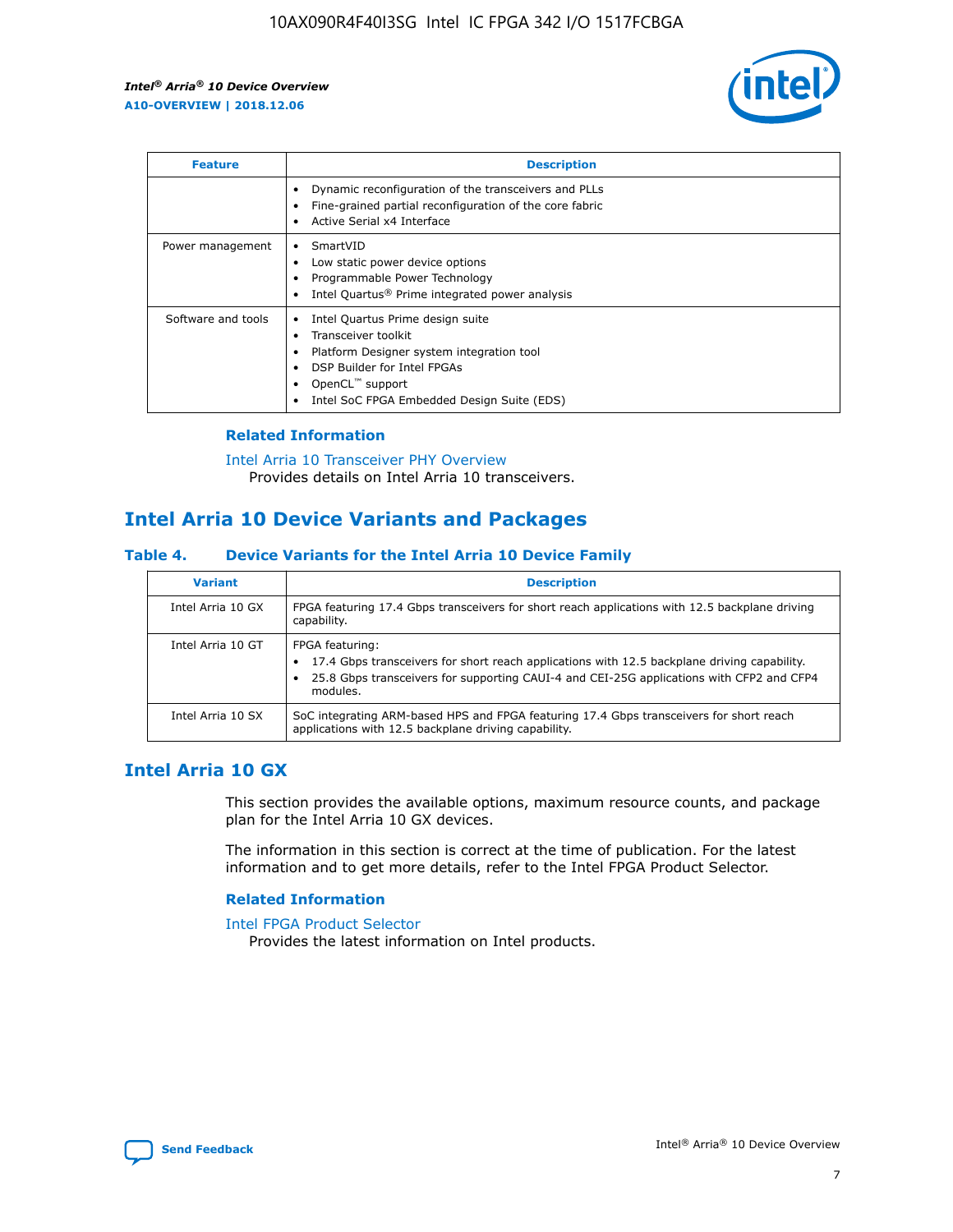

| <b>Feature</b>     | <b>Description</b>                                                                                                                                                                                               |
|--------------------|------------------------------------------------------------------------------------------------------------------------------------------------------------------------------------------------------------------|
|                    | Dynamic reconfiguration of the transceivers and PLLs<br>Fine-grained partial reconfiguration of the core fabric<br>Active Serial x4 Interface<br>$\bullet$                                                       |
| Power management   | SmartVID<br>Low static power device options<br>Programmable Power Technology<br>Intel Quartus <sup>®</sup> Prime integrated power analysis                                                                       |
| Software and tools | Intel Quartus Prime design suite<br>Transceiver toolkit<br>Platform Designer system integration tool<br>DSP Builder for Intel FPGAs<br>OpenCL <sup>™</sup> support<br>Intel SoC FPGA Embedded Design Suite (EDS) |

## **Related Information**

[Intel Arria 10 Transceiver PHY Overview](https://www.intel.com/content/www/us/en/programmable/documentation/nik1398707230472.html#nik1398706768037) Provides details on Intel Arria 10 transceivers.

# **Intel Arria 10 Device Variants and Packages**

#### **Table 4. Device Variants for the Intel Arria 10 Device Family**

| <b>Variant</b>    | <b>Description</b>                                                                                                                                                                                                     |
|-------------------|------------------------------------------------------------------------------------------------------------------------------------------------------------------------------------------------------------------------|
| Intel Arria 10 GX | FPGA featuring 17.4 Gbps transceivers for short reach applications with 12.5 backplane driving<br>capability.                                                                                                          |
| Intel Arria 10 GT | FPGA featuring:<br>17.4 Gbps transceivers for short reach applications with 12.5 backplane driving capability.<br>25.8 Gbps transceivers for supporting CAUI-4 and CEI-25G applications with CFP2 and CFP4<br>modules. |
| Intel Arria 10 SX | SoC integrating ARM-based HPS and FPGA featuring 17.4 Gbps transceivers for short reach<br>applications with 12.5 backplane driving capability.                                                                        |

# **Intel Arria 10 GX**

This section provides the available options, maximum resource counts, and package plan for the Intel Arria 10 GX devices.

The information in this section is correct at the time of publication. For the latest information and to get more details, refer to the Intel FPGA Product Selector.

## **Related Information**

#### [Intel FPGA Product Selector](http://www.altera.com/products/selector/psg-selector.html) Provides the latest information on Intel products.

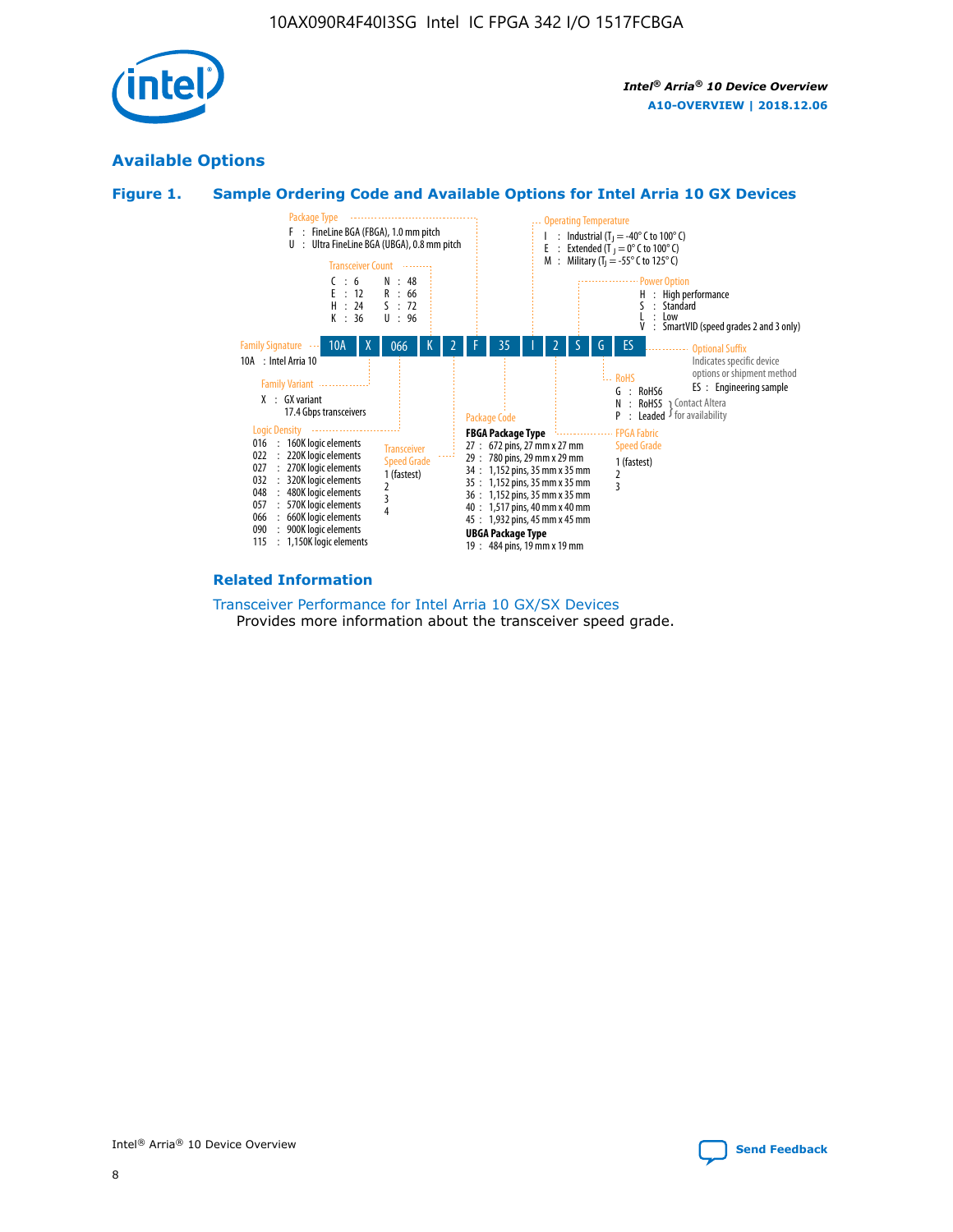

# **Available Options**





#### **Related Information**

[Transceiver Performance for Intel Arria 10 GX/SX Devices](https://www.intel.com/content/www/us/en/programmable/documentation/mcn1413182292568.html#mcn1413213965502) Provides more information about the transceiver speed grade.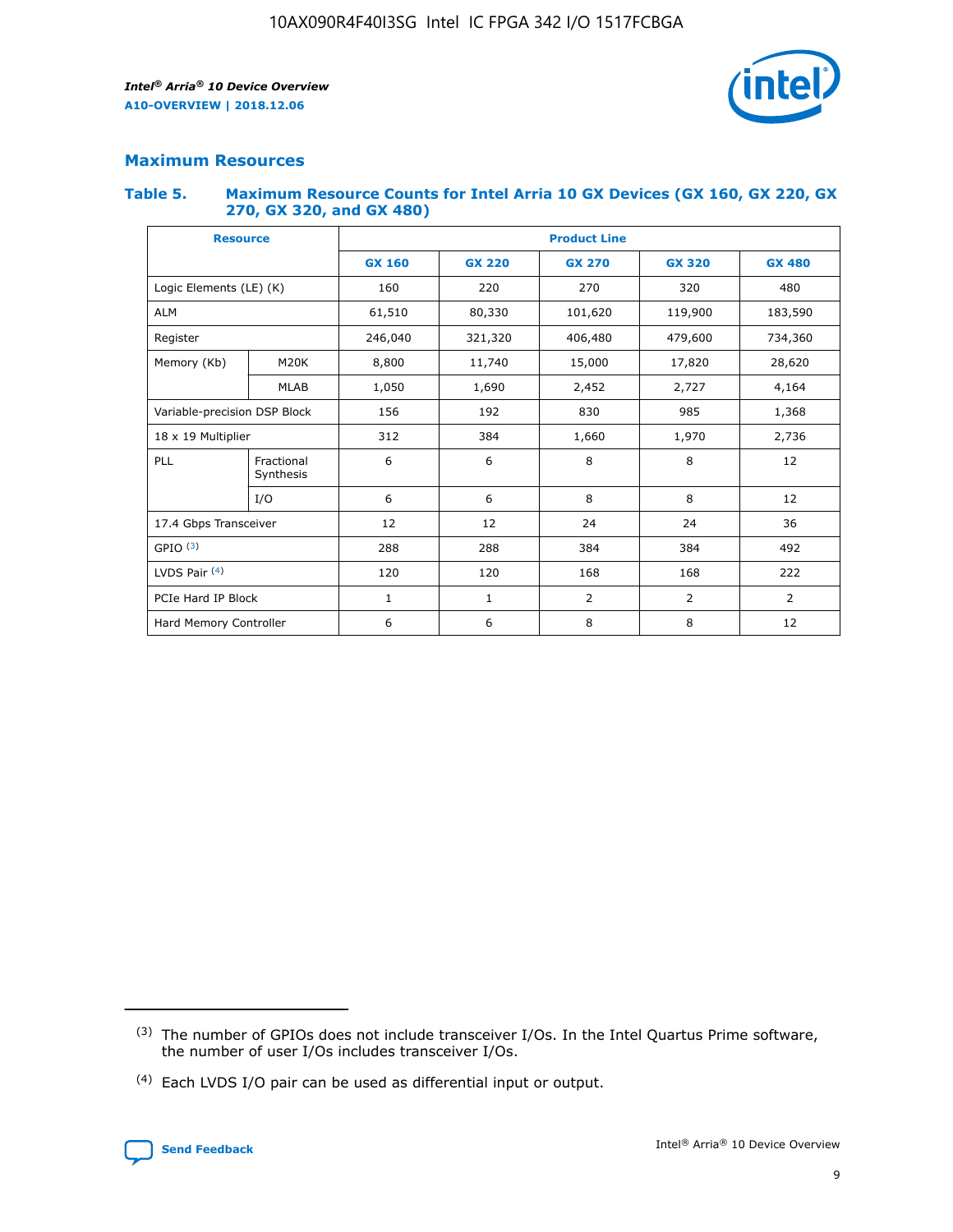

# **Maximum Resources**

#### **Table 5. Maximum Resource Counts for Intel Arria 10 GX Devices (GX 160, GX 220, GX 270, GX 320, and GX 480)**

| <b>Resource</b>              |                         | <b>Product Line</b> |                                                 |                |                |                |  |  |  |
|------------------------------|-------------------------|---------------------|-------------------------------------------------|----------------|----------------|----------------|--|--|--|
|                              |                         | <b>GX 160</b>       | <b>GX 220</b><br><b>GX 270</b><br><b>GX 320</b> |                |                | <b>GX 480</b>  |  |  |  |
| Logic Elements (LE) (K)      |                         | 160                 | 220                                             | 270            | 320            | 480            |  |  |  |
| <b>ALM</b>                   |                         | 61,510              | 80,330                                          | 101,620        | 119,900        | 183,590        |  |  |  |
| Register                     |                         | 246,040             | 406,480<br>321,320                              |                | 479,600        | 734,360        |  |  |  |
| Memory (Kb)                  | M <sub>20</sub> K       | 8,800               | 11,740                                          | 15,000         | 17,820         | 28,620         |  |  |  |
|                              | <b>MLAB</b>             | 1,050               | 1,690                                           | 2,452          | 2,727          | 4,164          |  |  |  |
| Variable-precision DSP Block |                         | 156                 | 192                                             | 830            | 985            | 1,368          |  |  |  |
| 18 x 19 Multiplier           |                         | 312                 | 384                                             | 1,970<br>1,660 |                | 2,736          |  |  |  |
| PLL                          | Fractional<br>Synthesis | 6                   | 6                                               | 8              | 8              | 12             |  |  |  |
|                              | I/O                     | 6                   | 6                                               | 8              | 8              | 12             |  |  |  |
| 17.4 Gbps Transceiver        |                         | 12                  | 12                                              | 24             | 24             | 36             |  |  |  |
| GPIO <sup>(3)</sup>          |                         | 288                 | 288                                             | 384<br>384     |                | 492            |  |  |  |
| LVDS Pair $(4)$              |                         | 120                 | 120                                             | 168            | 168            | 222            |  |  |  |
| PCIe Hard IP Block           |                         | 1                   | 1                                               | 2              | $\overline{2}$ | $\overline{2}$ |  |  |  |
| Hard Memory Controller       |                         | 6                   | 6                                               | 8              | 8              | 12             |  |  |  |

<sup>(4)</sup> Each LVDS I/O pair can be used as differential input or output.



<sup>(3)</sup> The number of GPIOs does not include transceiver I/Os. In the Intel Quartus Prime software, the number of user I/Os includes transceiver I/Os.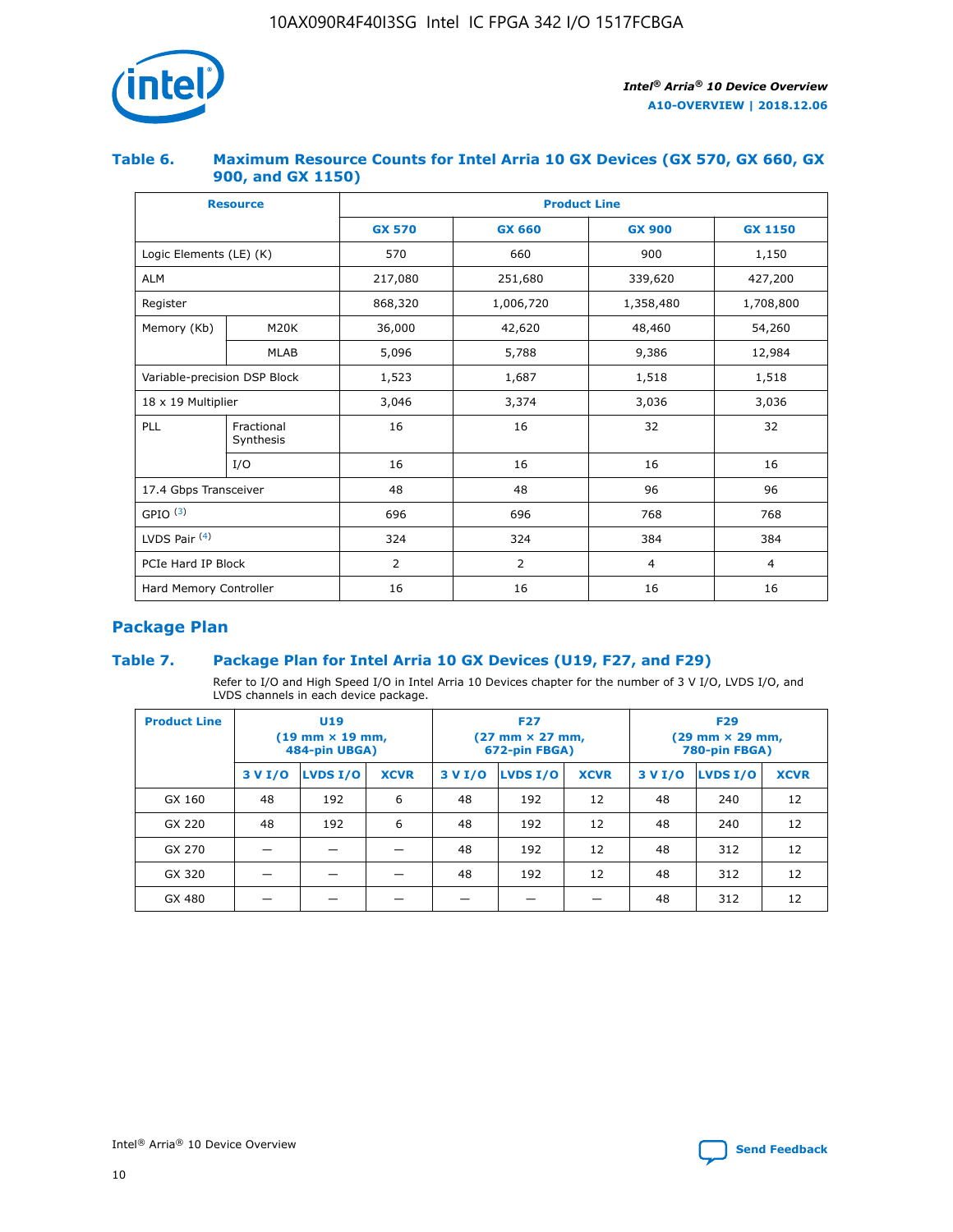

## **Table 6. Maximum Resource Counts for Intel Arria 10 GX Devices (GX 570, GX 660, GX 900, and GX 1150)**

|                              | <b>Resource</b>         | <b>Product Line</b> |                |                |                |  |  |  |
|------------------------------|-------------------------|---------------------|----------------|----------------|----------------|--|--|--|
|                              |                         | <b>GX 570</b>       | <b>GX 660</b>  | <b>GX 900</b>  | <b>GX 1150</b> |  |  |  |
| Logic Elements (LE) (K)      |                         | 570                 | 660            | 900            | 1,150          |  |  |  |
| <b>ALM</b>                   |                         | 217,080             | 251,680        | 339,620        | 427,200        |  |  |  |
| Register                     |                         | 868,320             | 1,006,720      |                | 1,708,800      |  |  |  |
| Memory (Kb)                  | <b>M20K</b>             | 36,000              | 42,620         | 48,460         | 54,260         |  |  |  |
|                              | <b>MLAB</b>             | 5,096               | 5,788          | 9,386          | 12,984         |  |  |  |
| Variable-precision DSP Block |                         | 1,523               | 1,687          | 1,518          | 1,518          |  |  |  |
| $18 \times 19$ Multiplier    |                         | 3,046               | 3,374          | 3,036          | 3,036          |  |  |  |
| PLL                          | Fractional<br>Synthesis | 16                  | 16             | 32             | 32             |  |  |  |
|                              | I/O                     | 16                  | 16             | 16             | 16             |  |  |  |
| 17.4 Gbps Transceiver        |                         | 48                  | 48<br>96       |                | 96             |  |  |  |
| GPIO <sup>(3)</sup>          |                         | 696                 | 696            | 768            | 768            |  |  |  |
| LVDS Pair $(4)$              |                         | 324                 | 324            | 384            | 384            |  |  |  |
| PCIe Hard IP Block           |                         | 2                   | $\overline{2}$ | $\overline{4}$ | 4              |  |  |  |
| Hard Memory Controller       |                         | 16                  | 16             | 16             | 16             |  |  |  |

# **Package Plan**

# **Table 7. Package Plan for Intel Arria 10 GX Devices (U19, F27, and F29)**

Refer to I/O and High Speed I/O in Intel Arria 10 Devices chapter for the number of 3 V I/O, LVDS I/O, and LVDS channels in each device package.

| <b>Product Line</b> | U <sub>19</sub><br>$(19 \text{ mm} \times 19 \text{ mm})$<br>484-pin UBGA) |          |             |         | <b>F27</b><br>(27 mm × 27 mm,<br>672-pin FBGA) |             | <b>F29</b><br>(29 mm × 29 mm,<br>780-pin FBGA) |          |             |  |
|---------------------|----------------------------------------------------------------------------|----------|-------------|---------|------------------------------------------------|-------------|------------------------------------------------|----------|-------------|--|
|                     | 3 V I/O                                                                    | LVDS I/O | <b>XCVR</b> | 3 V I/O | LVDS I/O                                       | <b>XCVR</b> | 3 V I/O                                        | LVDS I/O | <b>XCVR</b> |  |
| GX 160              | 48                                                                         | 192      | 6           | 48      | 192                                            | 12          | 48                                             | 240      | 12          |  |
| GX 220              | 48                                                                         | 192      | 6           | 48      | 192                                            | 12          | 48                                             | 240      | 12          |  |
| GX 270              |                                                                            |          |             | 48      | 192                                            | 12          | 48                                             | 312      | 12          |  |
| GX 320              |                                                                            |          |             | 48      | 192                                            | 12          | 48                                             | 312      | 12          |  |
| GX 480              |                                                                            |          |             |         |                                                |             | 48                                             | 312      | 12          |  |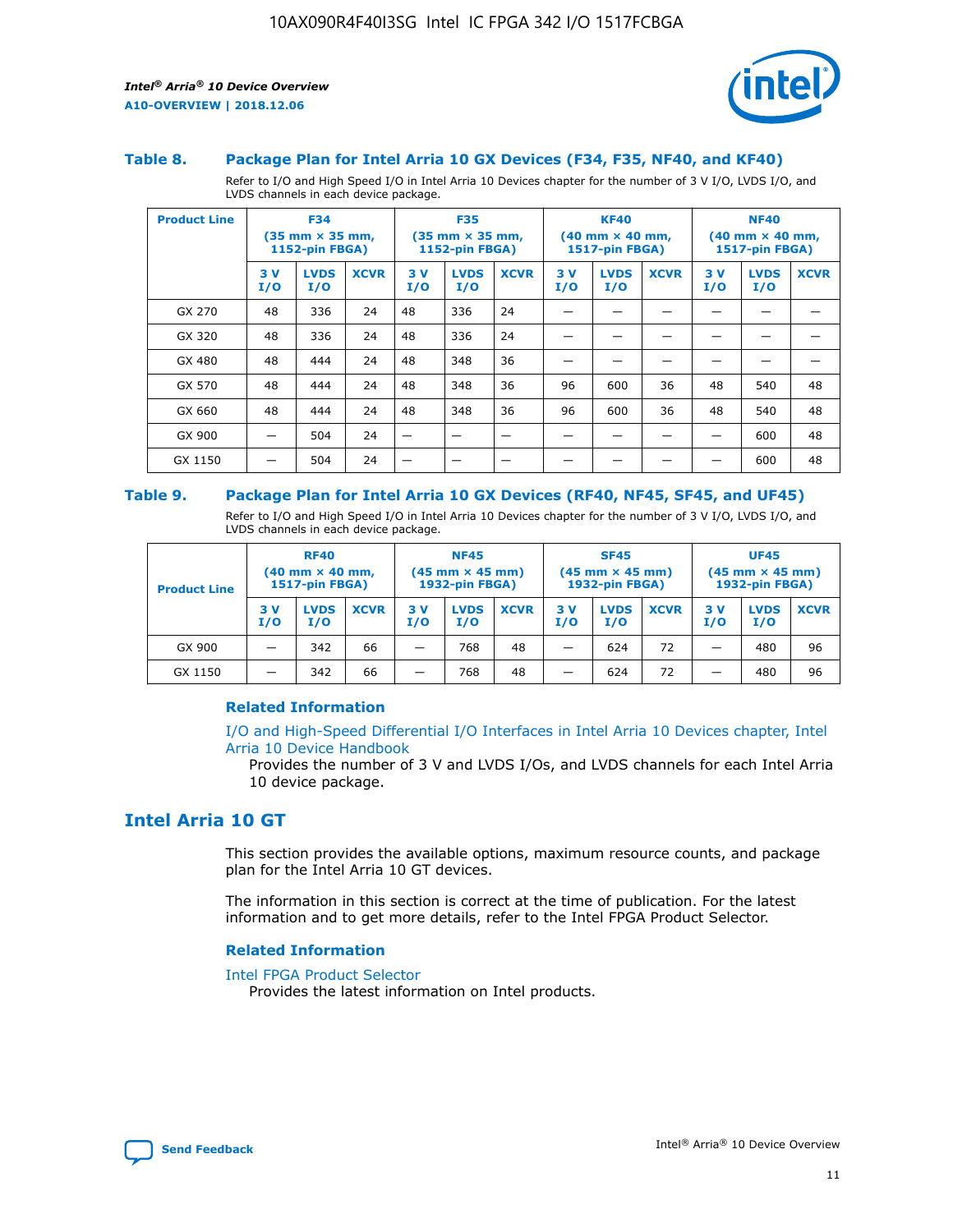

#### **Table 8. Package Plan for Intel Arria 10 GX Devices (F34, F35, NF40, and KF40)**

Refer to I/O and High Speed I/O in Intel Arria 10 Devices chapter for the number of 3 V I/O, LVDS I/O, and LVDS channels in each device package.

| <b>Product Line</b> | <b>F34</b><br>$(35 \text{ mm} \times 35 \text{ mm})$<br>1152-pin FBGA) |                    | <b>F35</b><br>$(35$ mm $\times$ 35 mm,<br><b>1152-pin FBGA)</b> |           | <b>KF40</b><br>$(40$ mm $\times$ 40 mm,<br>1517-pin FBGA) |             |           | <b>NF40</b><br>$(40 \text{ mm} \times 40 \text{ mm})$<br><b>1517-pin FBGA)</b> |             |            |                    |             |
|---------------------|------------------------------------------------------------------------|--------------------|-----------------------------------------------------------------|-----------|-----------------------------------------------------------|-------------|-----------|--------------------------------------------------------------------------------|-------------|------------|--------------------|-------------|
|                     | 3V<br>I/O                                                              | <b>LVDS</b><br>I/O | <b>XCVR</b>                                                     | 3V<br>I/O | <b>LVDS</b><br>I/O                                        | <b>XCVR</b> | 3V<br>I/O | <b>LVDS</b><br>I/O                                                             | <b>XCVR</b> | 3 V<br>I/O | <b>LVDS</b><br>I/O | <b>XCVR</b> |
| GX 270              | 48                                                                     | 336                | 24                                                              | 48        | 336                                                       | 24          |           |                                                                                |             |            |                    |             |
| GX 320              | 48                                                                     | 336                | 24                                                              | 48        | 336                                                       | 24          |           |                                                                                |             |            |                    |             |
| GX 480              | 48                                                                     | 444                | 24                                                              | 48        | 348                                                       | 36          |           |                                                                                |             |            |                    |             |
| GX 570              | 48                                                                     | 444                | 24                                                              | 48        | 348                                                       | 36          | 96        | 600                                                                            | 36          | 48         | 540                | 48          |
| GX 660              | 48                                                                     | 444                | 24                                                              | 48        | 348                                                       | 36          | 96        | 600                                                                            | 36          | 48         | 540                | 48          |
| GX 900              |                                                                        | 504                | 24                                                              | –         |                                                           |             |           |                                                                                |             |            | 600                | 48          |
| GX 1150             |                                                                        | 504                | 24                                                              |           |                                                           |             |           |                                                                                |             |            | 600                | 48          |

#### **Table 9. Package Plan for Intel Arria 10 GX Devices (RF40, NF45, SF45, and UF45)**

Refer to I/O and High Speed I/O in Intel Arria 10 Devices chapter for the number of 3 V I/O, LVDS I/O, and LVDS channels in each device package.

| <b>Product Line</b> | <b>RF40</b><br>$(40 \text{ mm} \times 40 \text{ mm})$<br>1517-pin FBGA) |                    | <b>NF45</b><br>$(45 \text{ mm} \times 45 \text{ mm})$<br><b>1932-pin FBGA)</b> |            |                    | <b>SF45</b><br>$(45 \text{ mm} \times 45 \text{ mm})$<br><b>1932-pin FBGA)</b> |            |                    | <b>UF45</b><br>$(45 \text{ mm} \times 45 \text{ mm})$<br>1932-pin FBGA) |           |                    |             |
|---------------------|-------------------------------------------------------------------------|--------------------|--------------------------------------------------------------------------------|------------|--------------------|--------------------------------------------------------------------------------|------------|--------------------|-------------------------------------------------------------------------|-----------|--------------------|-------------|
|                     | 3 V<br>I/O                                                              | <b>LVDS</b><br>I/O | <b>XCVR</b>                                                                    | 3 V<br>I/O | <b>LVDS</b><br>I/O | <b>XCVR</b>                                                                    | 3 V<br>I/O | <b>LVDS</b><br>I/O | <b>XCVR</b>                                                             | 3V<br>I/O | <b>LVDS</b><br>I/O | <b>XCVR</b> |
| GX 900              | _                                                                       | 342                | 66                                                                             | -          | 768                | 48                                                                             | -          | 624                | 72                                                                      | _         | 480                | 96          |
| GX 1150             |                                                                         | 342                | 66                                                                             | -          | 768                | 48                                                                             |            | 624                | 72                                                                      |           | 480                | 96          |

## **Related Information**

[I/O and High-Speed Differential I/O Interfaces in Intel Arria 10 Devices chapter, Intel](https://www.intel.com/content/www/us/en/programmable/documentation/sam1403482614086.html#sam1403482030321) [Arria 10 Device Handbook](https://www.intel.com/content/www/us/en/programmable/documentation/sam1403482614086.html#sam1403482030321)

Provides the number of 3 V and LVDS I/Os, and LVDS channels for each Intel Arria 10 device package.

# **Intel Arria 10 GT**

This section provides the available options, maximum resource counts, and package plan for the Intel Arria 10 GT devices.

The information in this section is correct at the time of publication. For the latest information and to get more details, refer to the Intel FPGA Product Selector.

#### **Related Information**

#### [Intel FPGA Product Selector](http://www.altera.com/products/selector/psg-selector.html)

Provides the latest information on Intel products.

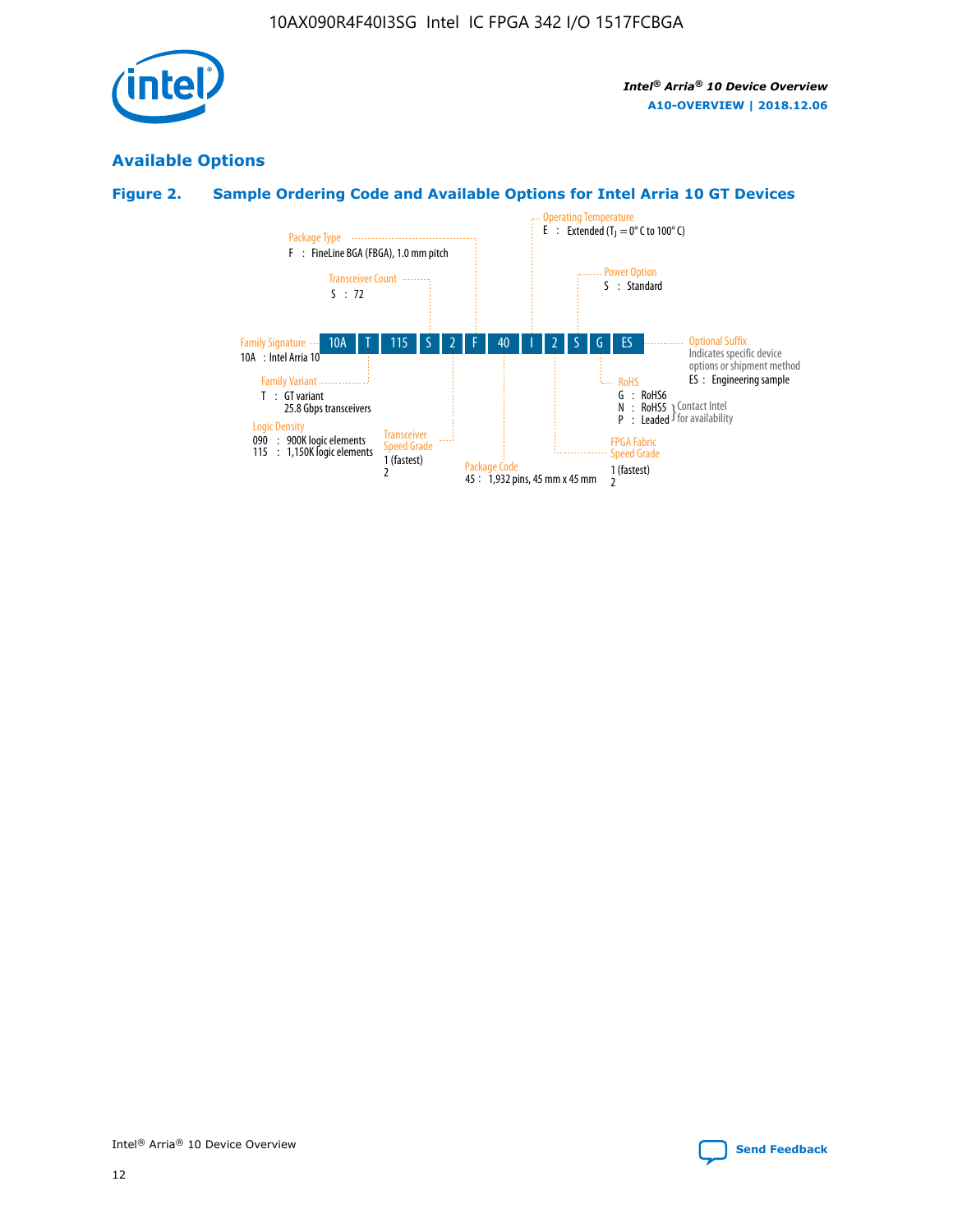

# **Available Options**

# **Figure 2. Sample Ordering Code and Available Options for Intel Arria 10 GT Devices**

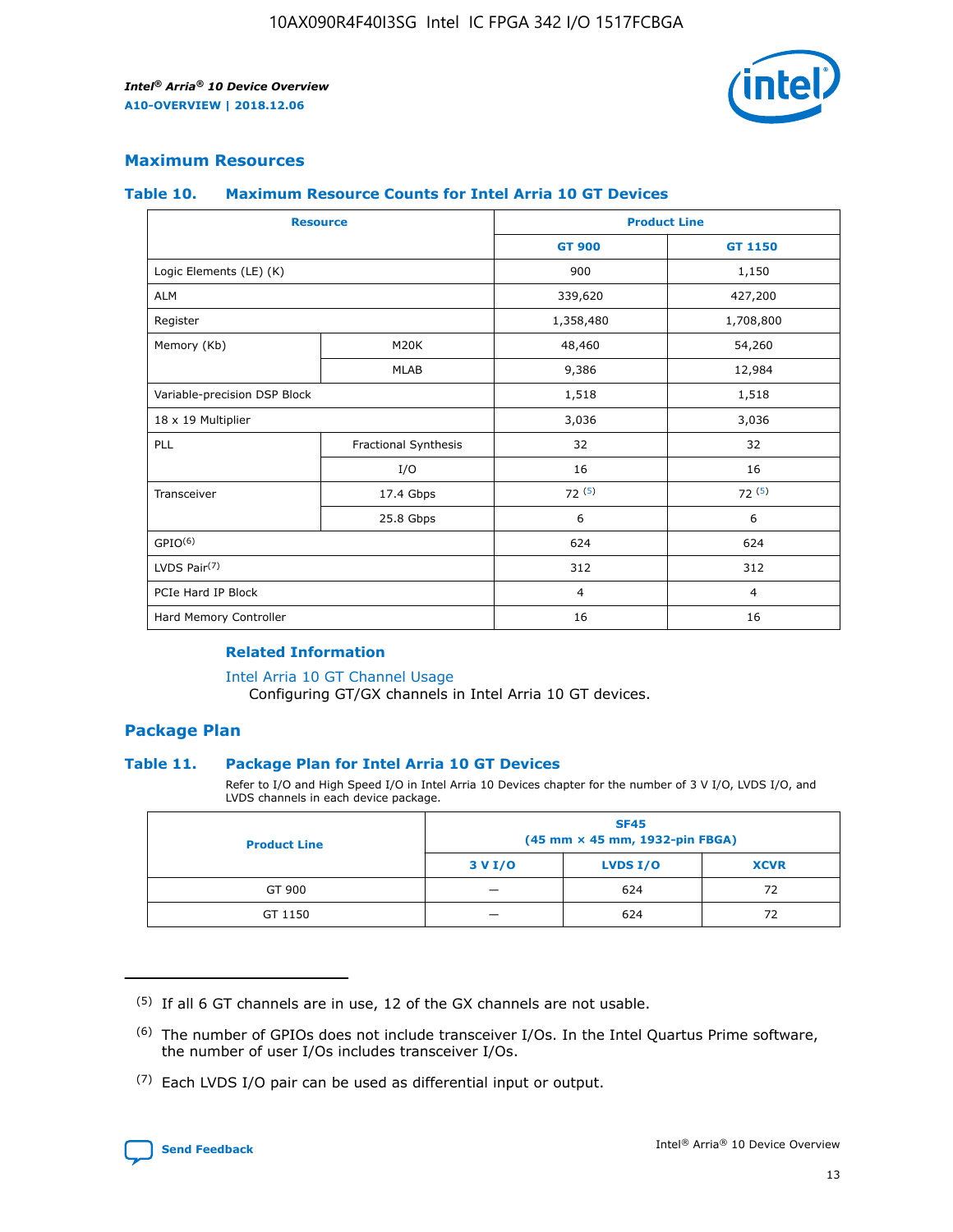

# **Maximum Resources**

#### **Table 10. Maximum Resource Counts for Intel Arria 10 GT Devices**

| <b>Resource</b>              |                      |                | <b>Product Line</b> |  |
|------------------------------|----------------------|----------------|---------------------|--|
|                              |                      | <b>GT 900</b>  | GT 1150             |  |
| Logic Elements (LE) (K)      |                      | 900            | 1,150               |  |
| <b>ALM</b>                   |                      | 339,620        | 427,200             |  |
| Register                     |                      | 1,358,480      | 1,708,800           |  |
| Memory (Kb)                  | M <sub>20</sub> K    | 48,460         | 54,260              |  |
|                              | <b>MLAB</b>          | 9,386          | 12,984              |  |
| Variable-precision DSP Block |                      | 1,518          | 1,518               |  |
| 18 x 19 Multiplier           |                      | 3,036          | 3,036               |  |
| PLL                          | Fractional Synthesis | 32             | 32                  |  |
|                              | I/O                  | 16             | 16                  |  |
| Transceiver                  | 17.4 Gbps            | 72(5)          | 72(5)               |  |
|                              | 25.8 Gbps            | 6              | 6                   |  |
| GPIO <sup>(6)</sup>          |                      | 624            | 624                 |  |
| LVDS Pair $(7)$              |                      | 312            | 312                 |  |
| PCIe Hard IP Block           |                      | $\overline{4}$ | $\overline{4}$      |  |
| Hard Memory Controller       |                      | 16             | 16                  |  |

## **Related Information**

#### [Intel Arria 10 GT Channel Usage](https://www.intel.com/content/www/us/en/programmable/documentation/nik1398707230472.html#nik1398707008178)

Configuring GT/GX channels in Intel Arria 10 GT devices.

## **Package Plan**

## **Table 11. Package Plan for Intel Arria 10 GT Devices**

Refer to I/O and High Speed I/O in Intel Arria 10 Devices chapter for the number of 3 V I/O, LVDS I/O, and LVDS channels in each device package.

| <b>Product Line</b> | <b>SF45</b><br>(45 mm × 45 mm, 1932-pin FBGA) |                 |             |  |  |  |
|---------------------|-----------------------------------------------|-----------------|-------------|--|--|--|
|                     | 3 V I/O                                       | <b>LVDS I/O</b> | <b>XCVR</b> |  |  |  |
| GT 900              |                                               | 624             | 72          |  |  |  |
| GT 1150             |                                               | 624             | 72          |  |  |  |

<sup>(7)</sup> Each LVDS I/O pair can be used as differential input or output.



 $(5)$  If all 6 GT channels are in use, 12 of the GX channels are not usable.

<sup>(6)</sup> The number of GPIOs does not include transceiver I/Os. In the Intel Quartus Prime software, the number of user I/Os includes transceiver I/Os.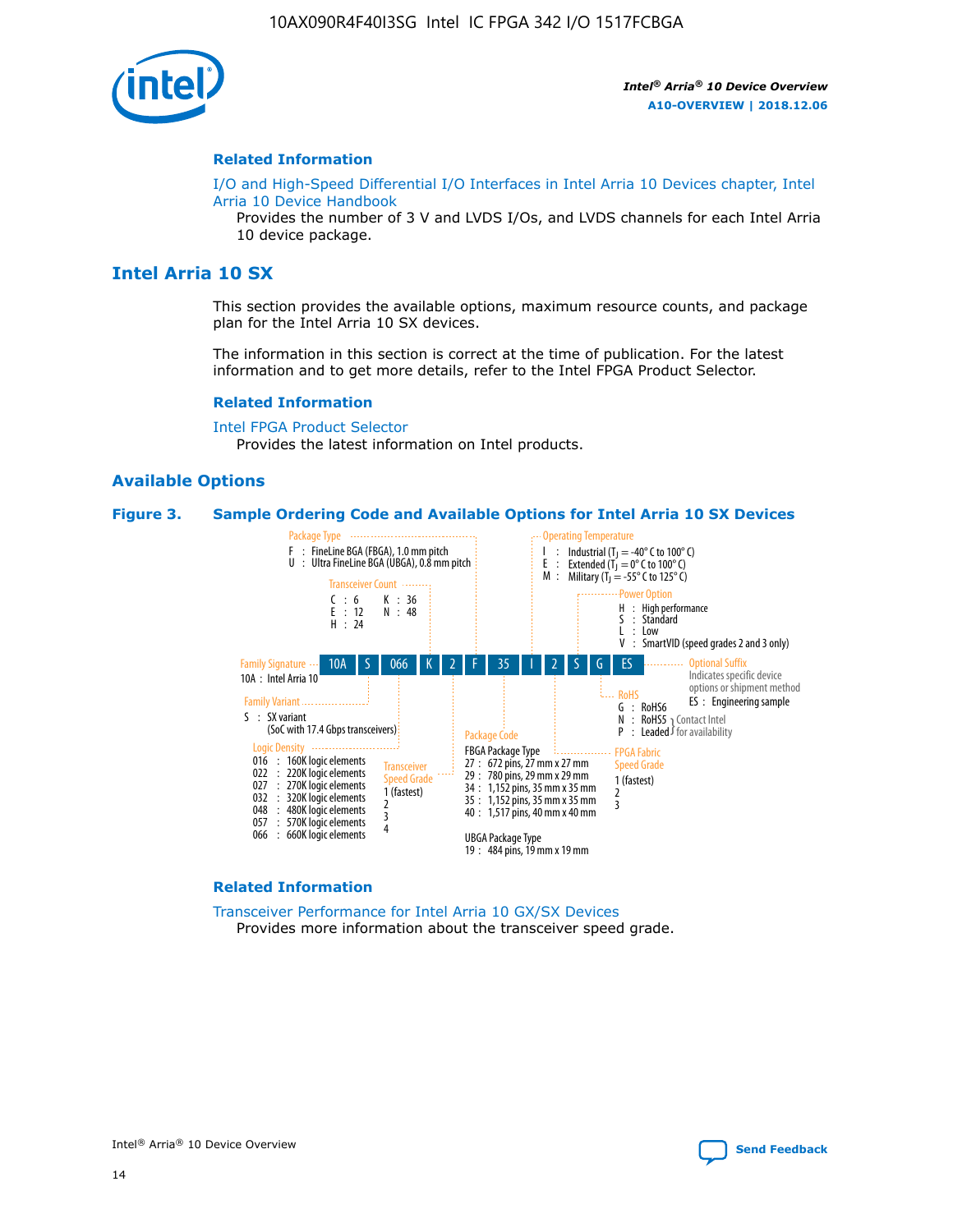

#### **Related Information**

[I/O and High-Speed Differential I/O Interfaces in Intel Arria 10 Devices chapter, Intel](https://www.intel.com/content/www/us/en/programmable/documentation/sam1403482614086.html#sam1403482030321) [Arria 10 Device Handbook](https://www.intel.com/content/www/us/en/programmable/documentation/sam1403482614086.html#sam1403482030321)

Provides the number of 3 V and LVDS I/Os, and LVDS channels for each Intel Arria 10 device package.

# **Intel Arria 10 SX**

This section provides the available options, maximum resource counts, and package plan for the Intel Arria 10 SX devices.

The information in this section is correct at the time of publication. For the latest information and to get more details, refer to the Intel FPGA Product Selector.

#### **Related Information**

[Intel FPGA Product Selector](http://www.altera.com/products/selector/psg-selector.html) Provides the latest information on Intel products.

## **Available Options**

#### **Figure 3. Sample Ordering Code and Available Options for Intel Arria 10 SX Devices**



#### **Related Information**

[Transceiver Performance for Intel Arria 10 GX/SX Devices](https://www.intel.com/content/www/us/en/programmable/documentation/mcn1413182292568.html#mcn1413213965502) Provides more information about the transceiver speed grade.

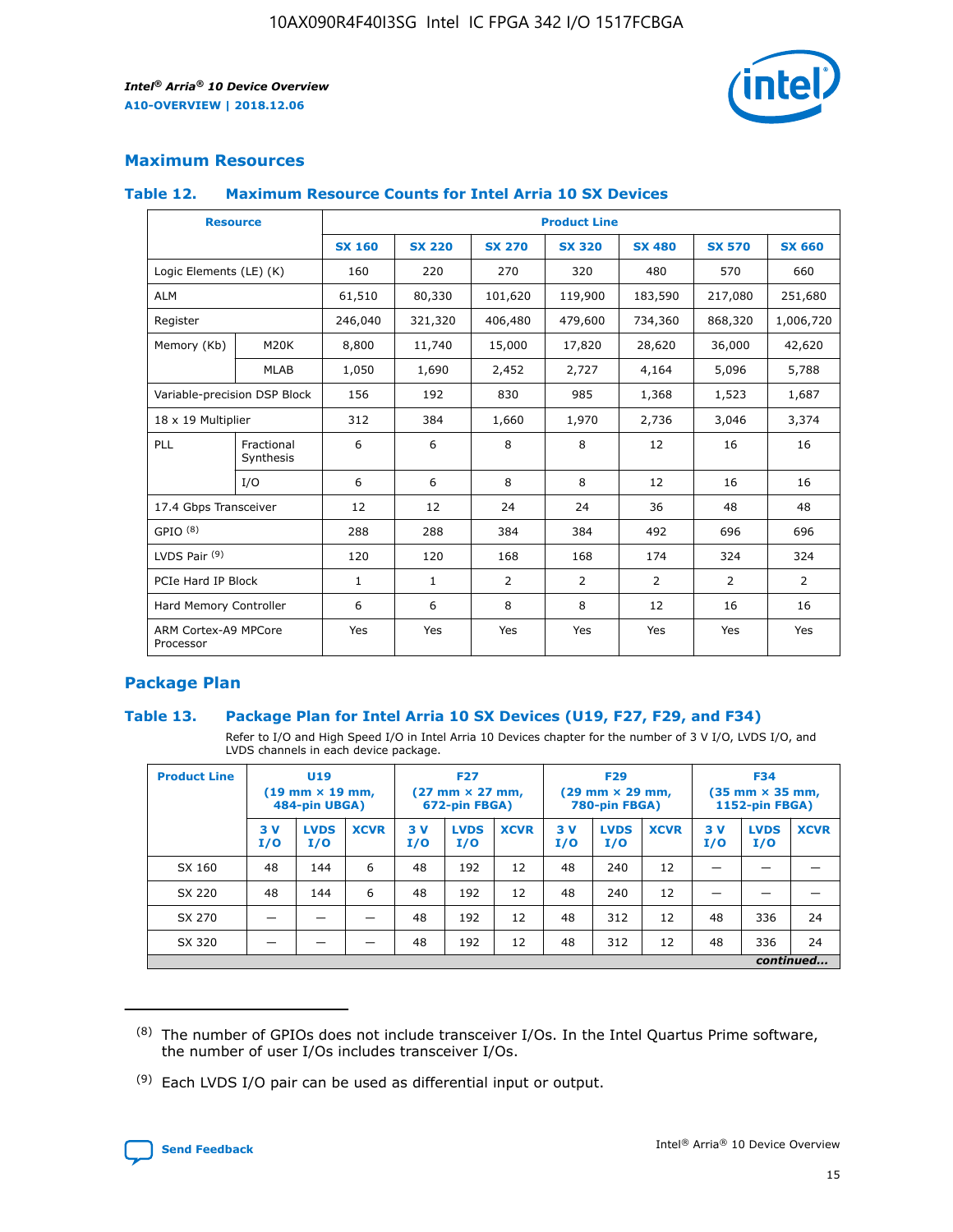

# **Maximum Resources**

## **Table 12. Maximum Resource Counts for Intel Arria 10 SX Devices**

| <b>Resource</b>                   |                         | <b>Product Line</b> |               |                |                |                |                |                |  |  |  |
|-----------------------------------|-------------------------|---------------------|---------------|----------------|----------------|----------------|----------------|----------------|--|--|--|
|                                   |                         | <b>SX 160</b>       | <b>SX 220</b> | <b>SX 270</b>  | <b>SX 320</b>  | <b>SX 480</b>  | <b>SX 570</b>  | <b>SX 660</b>  |  |  |  |
| Logic Elements (LE) (K)           |                         | 160                 | 220           | 270            | 320            | 480            | 570            | 660            |  |  |  |
| <b>ALM</b>                        |                         | 61,510              | 80,330        | 101,620        | 119,900        | 183,590        | 217,080        | 251,680        |  |  |  |
| Register                          |                         | 246,040             | 321,320       | 406,480        | 479,600        | 734,360        | 868,320        | 1,006,720      |  |  |  |
| Memory (Kb)                       | M <sub>20</sub> K       | 8,800               | 11,740        | 15,000         | 17,820         | 28,620         | 36,000         | 42,620         |  |  |  |
|                                   | <b>MLAB</b>             | 1,050               | 1,690         | 2,452          | 2,727          | 4,164          | 5,096          | 5,788          |  |  |  |
| Variable-precision DSP Block      |                         | 156                 | 192           | 830            | 985            | 1,368          | 1,523          | 1,687          |  |  |  |
| 18 x 19 Multiplier                |                         | 312                 | 384           | 1,660          | 1,970          | 2,736          | 3,046          | 3,374          |  |  |  |
| PLL                               | Fractional<br>Synthesis | 6                   | 6             | 8              | 8              | 12             | 16             | 16             |  |  |  |
|                                   | I/O                     | 6                   | 6             | 8              | 8              | 12             | 16             | 16             |  |  |  |
| 17.4 Gbps Transceiver             |                         | 12                  | 12            | 24             | 24             | 36             | 48             | 48             |  |  |  |
| GPIO <sup>(8)</sup>               |                         | 288                 | 288           | 384            | 384            | 492            | 696            | 696            |  |  |  |
| LVDS Pair $(9)$                   |                         | 120                 | 120           | 168            | 168            | 174            | 324            | 324            |  |  |  |
|                                   | PCIe Hard IP Block      |                     | $\mathbf{1}$  | $\overline{2}$ | $\overline{2}$ | $\overline{2}$ | $\overline{2}$ | $\overline{2}$ |  |  |  |
| Hard Memory Controller            |                         | 6                   | 6             | 8              | 8              | 12             | 16             | 16             |  |  |  |
| ARM Cortex-A9 MPCore<br>Processor |                         | Yes                 | Yes           | Yes            | Yes            | Yes            | Yes            | <b>Yes</b>     |  |  |  |

# **Package Plan**

## **Table 13. Package Plan for Intel Arria 10 SX Devices (U19, F27, F29, and F34)**

Refer to I/O and High Speed I/O in Intel Arria 10 Devices chapter for the number of 3 V I/O, LVDS I/O, and LVDS channels in each device package.

| <b>Product Line</b> | U <sub>19</sub><br>$(19 \text{ mm} \times 19 \text{ mm})$<br>484-pin UBGA) |                    | <b>F27</b><br>$(27 \text{ mm} \times 27 \text{ mm})$<br>672-pin FBGA) |           | <b>F29</b><br>$(29 \text{ mm} \times 29 \text{ mm})$<br>780-pin FBGA) |             |            | <b>F34</b><br>$(35 \text{ mm} \times 35 \text{ mm})$<br><b>1152-pin FBGA)</b> |             |           |                    |             |
|---------------------|----------------------------------------------------------------------------|--------------------|-----------------------------------------------------------------------|-----------|-----------------------------------------------------------------------|-------------|------------|-------------------------------------------------------------------------------|-------------|-----------|--------------------|-------------|
|                     | 3V<br>I/O                                                                  | <b>LVDS</b><br>I/O | <b>XCVR</b>                                                           | 3V<br>I/O | <b>LVDS</b><br>I/O                                                    | <b>XCVR</b> | 3 V<br>I/O | <b>LVDS</b><br>I/O                                                            | <b>XCVR</b> | 3V<br>I/O | <b>LVDS</b><br>I/O | <b>XCVR</b> |
| SX 160              | 48                                                                         | 144                | 6                                                                     | 48        | 192                                                                   | 12          | 48         | 240                                                                           | 12          | –         |                    |             |
| SX 220              | 48                                                                         | 144                | 6                                                                     | 48        | 192                                                                   | 12          | 48         | 240                                                                           | 12          |           |                    |             |
| SX 270              |                                                                            |                    |                                                                       | 48        | 192                                                                   | 12          | 48         | 312                                                                           | 12          | 48        | 336                | 24          |
| SX 320              |                                                                            |                    |                                                                       | 48        | 192                                                                   | 12          | 48         | 312                                                                           | 12          | 48        | 336                | 24          |
|                     | continued                                                                  |                    |                                                                       |           |                                                                       |             |            |                                                                               |             |           |                    |             |

 $(8)$  The number of GPIOs does not include transceiver I/Os. In the Intel Quartus Prime software, the number of user I/Os includes transceiver I/Os.

 $(9)$  Each LVDS I/O pair can be used as differential input or output.

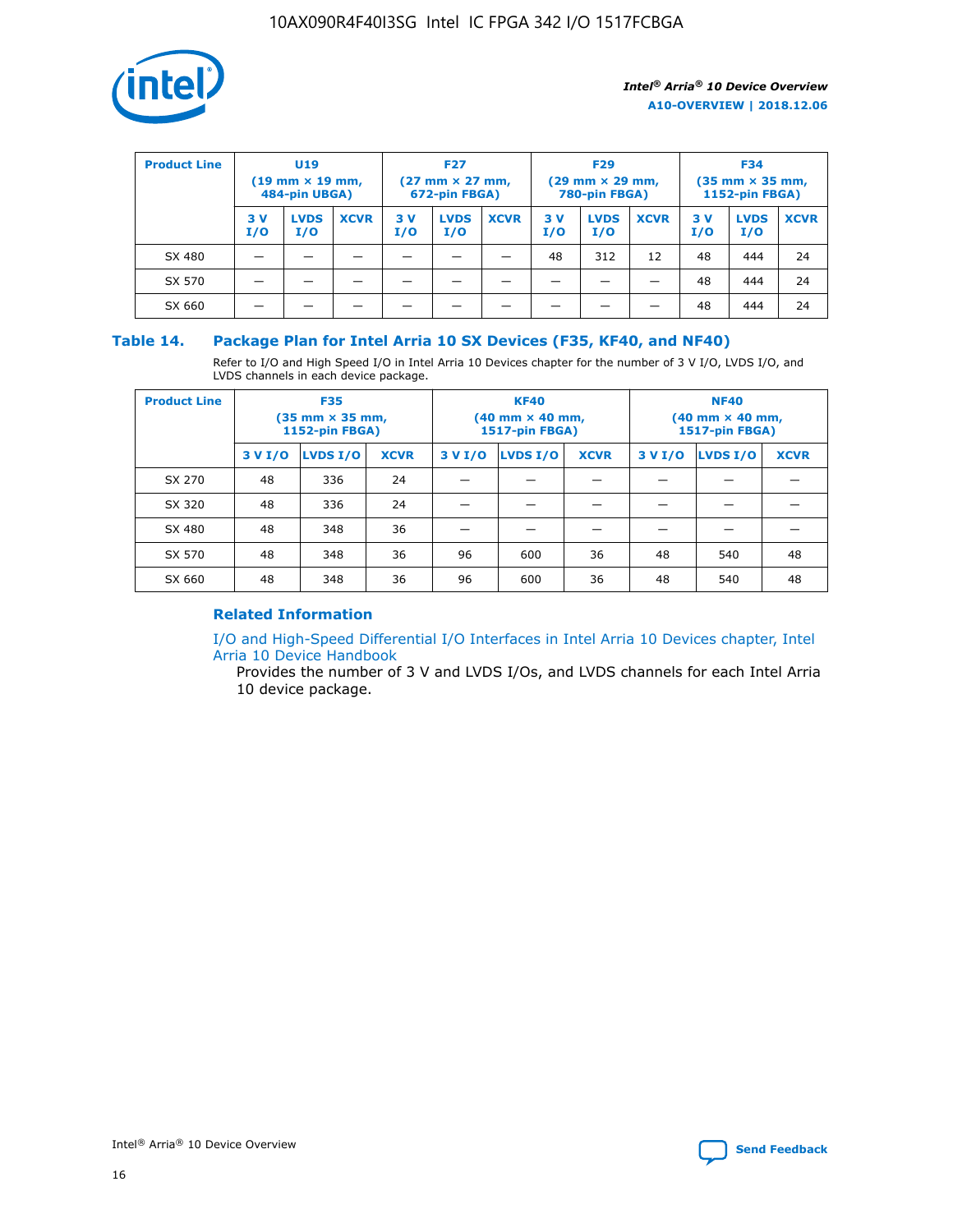

| <b>Product Line</b> | U <sub>19</sub><br>$(19 \text{ mm} \times 19 \text{ mm})$<br>484-pin UBGA) |                    | <b>F27</b><br>$(27 \text{ mm} \times 27 \text{ mm})$<br>672-pin FBGA) |           |                    | <b>F29</b><br>$(29 \text{ mm} \times 29 \text{ mm})$<br>780-pin FBGA) |           |                    | <b>F34</b><br>$(35$ mm $\times$ 35 mm,<br><b>1152-pin FBGA)</b> |           |                    |             |
|---------------------|----------------------------------------------------------------------------|--------------------|-----------------------------------------------------------------------|-----------|--------------------|-----------------------------------------------------------------------|-----------|--------------------|-----------------------------------------------------------------|-----------|--------------------|-------------|
|                     | 3 V<br>I/O                                                                 | <b>LVDS</b><br>I/O | <b>XCVR</b>                                                           | 3V<br>I/O | <b>LVDS</b><br>I/O | <b>XCVR</b>                                                           | 3V<br>I/O | <b>LVDS</b><br>I/O | <b>XCVR</b>                                                     | 3V<br>I/O | <b>LVDS</b><br>I/O | <b>XCVR</b> |
| SX 480              |                                                                            |                    |                                                                       |           |                    |                                                                       | 48        | 312                | 12                                                              | 48        | 444                | 24          |
| SX 570              |                                                                            |                    |                                                                       |           |                    |                                                                       |           |                    |                                                                 | 48        | 444                | 24          |
| SX 660              |                                                                            |                    |                                                                       |           |                    |                                                                       |           |                    |                                                                 | 48        | 444                | 24          |

## **Table 14. Package Plan for Intel Arria 10 SX Devices (F35, KF40, and NF40)**

Refer to I/O and High Speed I/O in Intel Arria 10 Devices chapter for the number of 3 V I/O, LVDS I/O, and LVDS channels in each device package.

| <b>Product Line</b> | <b>F35</b><br>$(35 \text{ mm} \times 35 \text{ mm})$<br><b>1152-pin FBGA)</b> |          |             |                                           | <b>KF40</b><br>(40 mm × 40 mm,<br>1517-pin FBGA) |    | <b>NF40</b><br>$(40 \text{ mm} \times 40 \text{ mm})$<br>1517-pin FBGA) |          |             |  |
|---------------------|-------------------------------------------------------------------------------|----------|-------------|-------------------------------------------|--------------------------------------------------|----|-------------------------------------------------------------------------|----------|-------------|--|
|                     | 3 V I/O                                                                       | LVDS I/O | <b>XCVR</b> | <b>LVDS I/O</b><br><b>XCVR</b><br>3 V I/O |                                                  |    | 3 V I/O                                                                 | LVDS I/O | <b>XCVR</b> |  |
| SX 270              | 48                                                                            | 336      | 24          |                                           |                                                  |    |                                                                         |          |             |  |
| SX 320              | 48                                                                            | 336      | 24          |                                           |                                                  |    |                                                                         |          |             |  |
| SX 480              | 48                                                                            | 348      | 36          |                                           |                                                  |    |                                                                         |          |             |  |
| SX 570              | 48                                                                            | 348      | 36          | 96<br>36<br>600                           |                                                  | 48 | 540                                                                     | 48       |             |  |
| SX 660              | 48                                                                            | 348      | 36          | 96                                        | 600                                              | 36 | 48                                                                      | 540      | 48          |  |

# **Related Information**

[I/O and High-Speed Differential I/O Interfaces in Intel Arria 10 Devices chapter, Intel](https://www.intel.com/content/www/us/en/programmable/documentation/sam1403482614086.html#sam1403482030321) [Arria 10 Device Handbook](https://www.intel.com/content/www/us/en/programmable/documentation/sam1403482614086.html#sam1403482030321)

Provides the number of 3 V and LVDS I/Os, and LVDS channels for each Intel Arria 10 device package.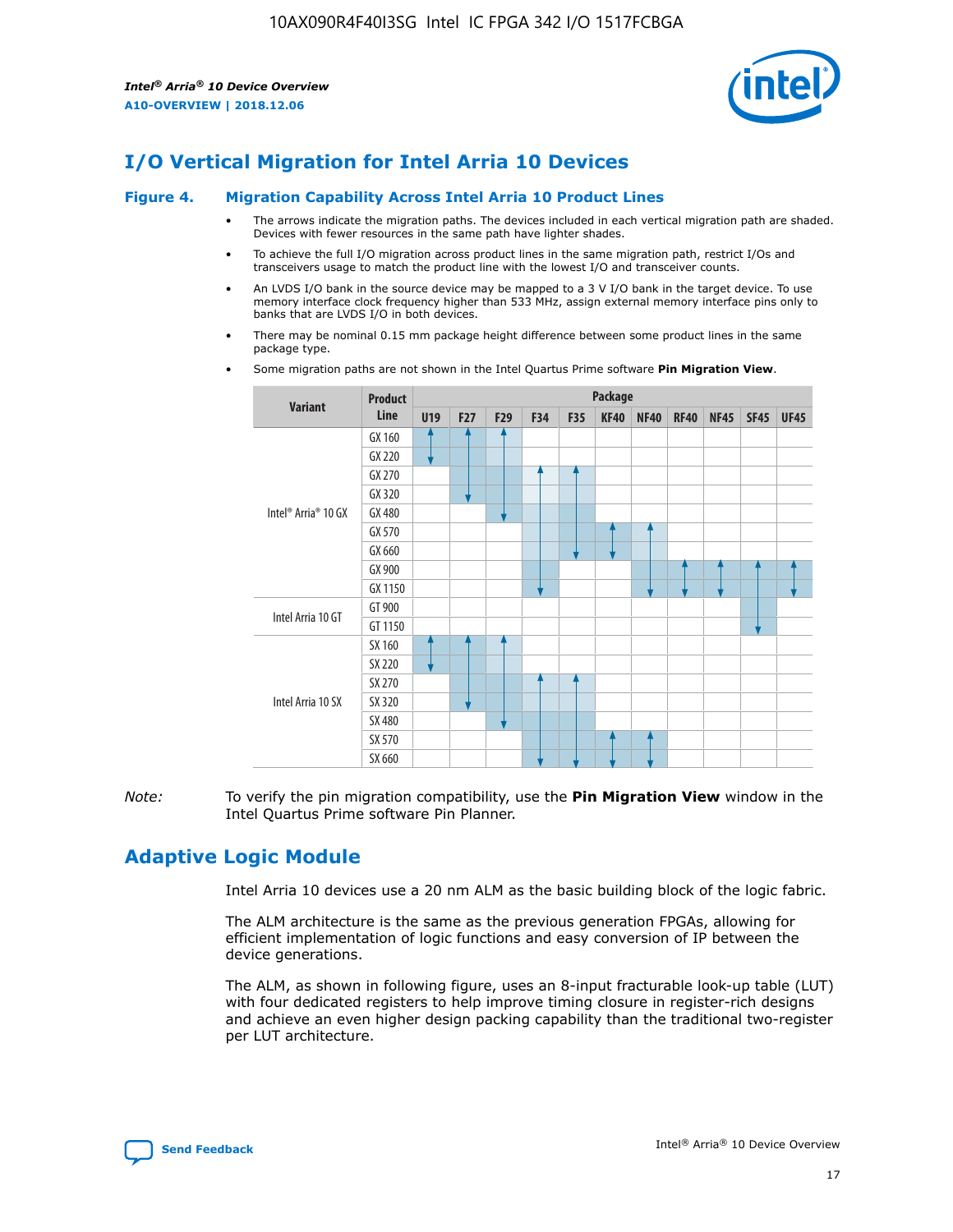

# **I/O Vertical Migration for Intel Arria 10 Devices**

#### **Figure 4. Migration Capability Across Intel Arria 10 Product Lines**

- The arrows indicate the migration paths. The devices included in each vertical migration path are shaded. Devices with fewer resources in the same path have lighter shades.
- To achieve the full I/O migration across product lines in the same migration path, restrict I/Os and transceivers usage to match the product line with the lowest I/O and transceiver counts.
- An LVDS I/O bank in the source device may be mapped to a 3 V I/O bank in the target device. To use memory interface clock frequency higher than 533 MHz, assign external memory interface pins only to banks that are LVDS I/O in both devices.
- There may be nominal 0.15 mm package height difference between some product lines in the same package type.
	- **Variant Product Line Package U19 F27 F29 F34 F35 KF40 NF40 RF40 NF45 SF45 UF45** Intel® Arria® 10 GX GX 160 GX 220 GX 270 GX 320 GX 480 GX 570 GX 660 GX 900 GX 1150 Intel Arria 10 GT GT 900 GT 1150 Intel Arria 10 SX SX 160 SX 220 SX 270 SX 320 SX 480 SX 570 SX 660
- Some migration paths are not shown in the Intel Quartus Prime software **Pin Migration View**.

*Note:* To verify the pin migration compatibility, use the **Pin Migration View** window in the Intel Quartus Prime software Pin Planner.

# **Adaptive Logic Module**

Intel Arria 10 devices use a 20 nm ALM as the basic building block of the logic fabric.

The ALM architecture is the same as the previous generation FPGAs, allowing for efficient implementation of logic functions and easy conversion of IP between the device generations.

The ALM, as shown in following figure, uses an 8-input fracturable look-up table (LUT) with four dedicated registers to help improve timing closure in register-rich designs and achieve an even higher design packing capability than the traditional two-register per LUT architecture.

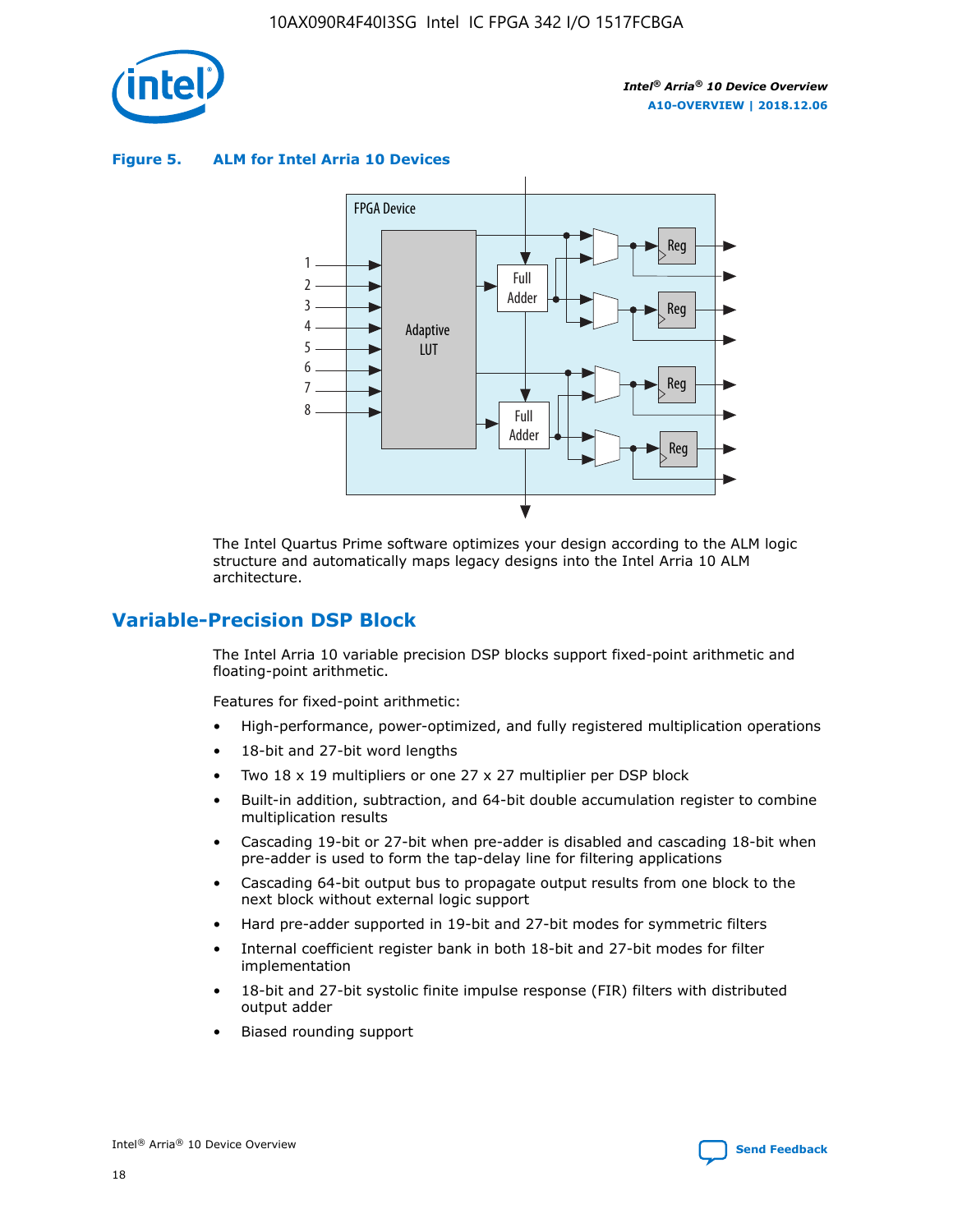

**Figure 5. ALM for Intel Arria 10 Devices**



The Intel Quartus Prime software optimizes your design according to the ALM logic structure and automatically maps legacy designs into the Intel Arria 10 ALM architecture.

# **Variable-Precision DSP Block**

The Intel Arria 10 variable precision DSP blocks support fixed-point arithmetic and floating-point arithmetic.

Features for fixed-point arithmetic:

- High-performance, power-optimized, and fully registered multiplication operations
- 18-bit and 27-bit word lengths
- Two 18 x 19 multipliers or one 27 x 27 multiplier per DSP block
- Built-in addition, subtraction, and 64-bit double accumulation register to combine multiplication results
- Cascading 19-bit or 27-bit when pre-adder is disabled and cascading 18-bit when pre-adder is used to form the tap-delay line for filtering applications
- Cascading 64-bit output bus to propagate output results from one block to the next block without external logic support
- Hard pre-adder supported in 19-bit and 27-bit modes for symmetric filters
- Internal coefficient register bank in both 18-bit and 27-bit modes for filter implementation
- 18-bit and 27-bit systolic finite impulse response (FIR) filters with distributed output adder
- Biased rounding support

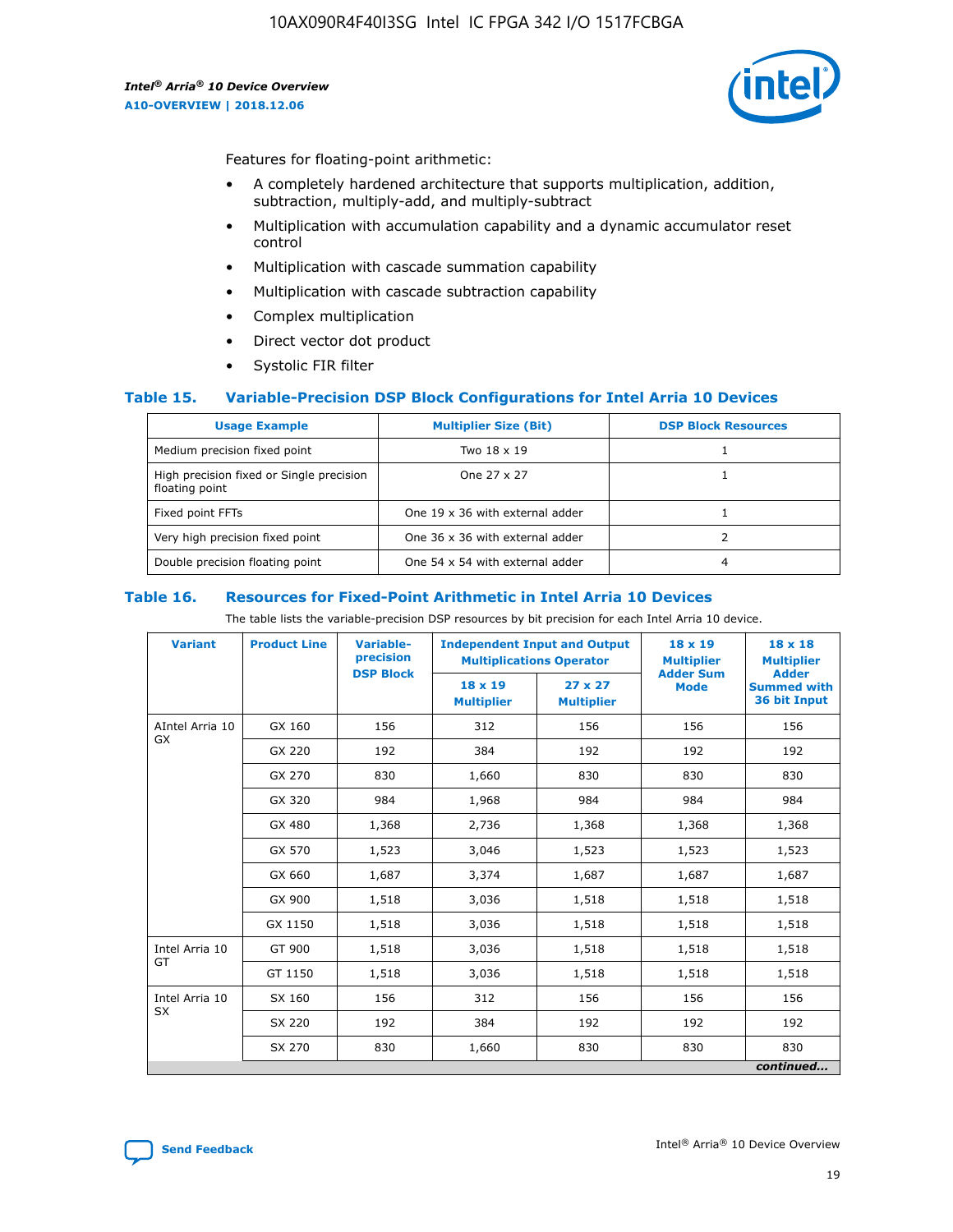

Features for floating-point arithmetic:

- A completely hardened architecture that supports multiplication, addition, subtraction, multiply-add, and multiply-subtract
- Multiplication with accumulation capability and a dynamic accumulator reset control
- Multiplication with cascade summation capability
- Multiplication with cascade subtraction capability
- Complex multiplication
- Direct vector dot product
- Systolic FIR filter

## **Table 15. Variable-Precision DSP Block Configurations for Intel Arria 10 Devices**

| <b>Usage Example</b>                                       | <b>Multiplier Size (Bit)</b>    | <b>DSP Block Resources</b> |
|------------------------------------------------------------|---------------------------------|----------------------------|
| Medium precision fixed point                               | Two 18 x 19                     |                            |
| High precision fixed or Single precision<br>floating point | One 27 x 27                     |                            |
| Fixed point FFTs                                           | One 19 x 36 with external adder |                            |
| Very high precision fixed point                            | One 36 x 36 with external adder |                            |
| Double precision floating point                            | One 54 x 54 with external adder | 4                          |

#### **Table 16. Resources for Fixed-Point Arithmetic in Intel Arria 10 Devices**

The table lists the variable-precision DSP resources by bit precision for each Intel Arria 10 device.

| <b>Variant</b>        | <b>Product Line</b> | Variable-<br>precision<br><b>DSP Block</b> | <b>Independent Input and Output</b><br><b>Multiplications Operator</b> |                                     | 18 x 19<br><b>Multiplier</b><br><b>Adder Sum</b> | $18 \times 18$<br><b>Multiplier</b><br><b>Adder</b> |
|-----------------------|---------------------|--------------------------------------------|------------------------------------------------------------------------|-------------------------------------|--------------------------------------------------|-----------------------------------------------------|
|                       |                     |                                            | 18 x 19<br><b>Multiplier</b>                                           | $27 \times 27$<br><b>Multiplier</b> | <b>Mode</b>                                      | <b>Summed with</b><br>36 bit Input                  |
| AIntel Arria 10<br>GX | GX 160              | 156                                        | 312                                                                    | 156                                 | 156                                              | 156                                                 |
|                       | GX 220              | 192                                        | 384                                                                    | 192                                 | 192                                              | 192                                                 |
|                       | GX 270              | 830                                        | 1,660                                                                  | 830                                 | 830                                              | 830                                                 |
|                       | GX 320              | 984                                        | 1,968                                                                  | 984                                 | 984                                              | 984                                                 |
|                       | GX 480              | 1,368                                      | 2,736                                                                  | 1,368                               | 1,368                                            | 1,368                                               |
|                       | GX 570              | 1,523                                      | 3,046                                                                  | 1,523                               | 1,523                                            | 1,523                                               |
|                       | GX 660              | 1,687                                      | 3,374                                                                  | 1,687                               | 1,687                                            | 1,687                                               |
|                       | GX 900              | 1,518                                      | 3,036                                                                  | 1,518                               | 1,518                                            | 1,518                                               |
|                       | GX 1150             | 1,518                                      | 3,036                                                                  | 1,518                               | 1,518                                            | 1,518                                               |
| Intel Arria 10        | GT 900              | 1,518                                      | 3,036                                                                  | 1,518                               | 1,518                                            | 1,518                                               |
| GT                    | GT 1150             | 1,518                                      | 3,036                                                                  | 1,518                               | 1,518                                            | 1,518                                               |
| Intel Arria 10        | SX 160              | 156                                        | 312                                                                    | 156                                 | 156                                              | 156                                                 |
| <b>SX</b>             | SX 220<br>192       |                                            | 384                                                                    | 192                                 | 192                                              | 192                                                 |
|                       | SX 270              | 830                                        | 1,660                                                                  | 830                                 | 830                                              | 830                                                 |
|                       |                     |                                            |                                                                        |                                     |                                                  | continued                                           |

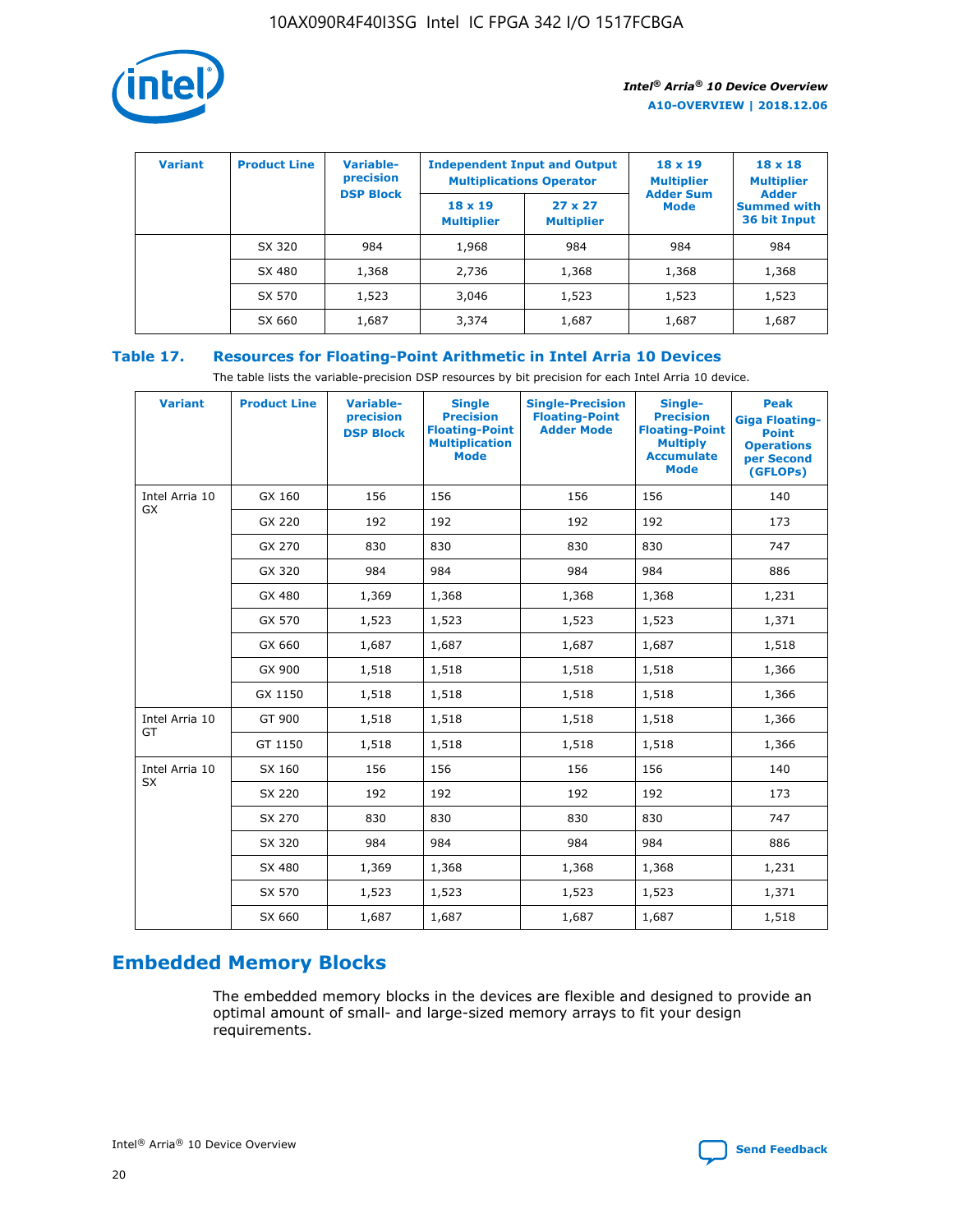

| <b>Variant</b> | <b>Product Line</b> | Variable-<br>precision | <b>Multiplications Operator</b>     | <b>Independent Input and Output</b> | $18 \times 19$<br><b>Multiplier</b> | $18 \times 18$<br><b>Multiplier</b><br><b>Adder</b> |  |
|----------------|---------------------|------------------------|-------------------------------------|-------------------------------------|-------------------------------------|-----------------------------------------------------|--|
|                |                     | <b>DSP Block</b>       | $18 \times 19$<br><b>Multiplier</b> | $27 \times 27$<br><b>Multiplier</b> | <b>Adder Sum</b><br><b>Mode</b>     | <b>Summed with</b><br>36 bit Input                  |  |
|                | SX 320              | 984                    | 1,968                               | 984                                 | 984                                 | 984                                                 |  |
|                | SX 480              | 1,368                  | 2,736                               | 1,368                               | 1,368                               | 1,368                                               |  |
|                | SX 570              | 1,523                  | 3,046                               | 1,523                               | 1,523                               | 1,523                                               |  |
|                | SX 660              | 1,687                  | 3,374                               | 1,687                               | 1,687                               | 1,687                                               |  |

# **Table 17. Resources for Floating-Point Arithmetic in Intel Arria 10 Devices**

The table lists the variable-precision DSP resources by bit precision for each Intel Arria 10 device.

| <b>Variant</b> | <b>Product Line</b> | <b>Variable-</b><br>precision<br><b>DSP Block</b> | <b>Single</b><br><b>Precision</b><br><b>Floating-Point</b><br><b>Multiplication</b><br><b>Mode</b> | <b>Single-Precision</b><br><b>Floating-Point</b><br><b>Adder Mode</b> | Single-<br><b>Precision</b><br><b>Floating-Point</b><br><b>Multiply</b><br><b>Accumulate</b><br><b>Mode</b> | <b>Peak</b><br><b>Giga Floating-</b><br><b>Point</b><br><b>Operations</b><br>per Second<br>(GFLOPs) |
|----------------|---------------------|---------------------------------------------------|----------------------------------------------------------------------------------------------------|-----------------------------------------------------------------------|-------------------------------------------------------------------------------------------------------------|-----------------------------------------------------------------------------------------------------|
| Intel Arria 10 | GX 160              | 156                                               | 156                                                                                                | 156                                                                   | 156                                                                                                         | 140                                                                                                 |
| GX             | GX 220              | 192                                               | 192                                                                                                | 192                                                                   | 192                                                                                                         | 173                                                                                                 |
|                | GX 270              | 830                                               | 830                                                                                                | 830                                                                   | 830                                                                                                         | 747                                                                                                 |
|                | GX 320              | 984                                               | 984                                                                                                | 984                                                                   | 984                                                                                                         | 886                                                                                                 |
|                | GX 480              | 1,369                                             | 1,368                                                                                              | 1,368                                                                 | 1,368                                                                                                       | 1,231                                                                                               |
|                | GX 570              | 1,523                                             | 1,523                                                                                              | 1,523                                                                 | 1,523                                                                                                       | 1,371                                                                                               |
|                | GX 660              | 1,687                                             | 1,687                                                                                              | 1,687                                                                 | 1,687                                                                                                       | 1,518                                                                                               |
|                | GX 900              | 1,518                                             | 1,518                                                                                              | 1,518                                                                 | 1,518                                                                                                       | 1,366                                                                                               |
|                | GX 1150             | 1,518                                             | 1,518                                                                                              | 1,518                                                                 | 1,518                                                                                                       | 1,366                                                                                               |
| Intel Arria 10 | GT 900              | 1,518                                             | 1,518                                                                                              | 1,518                                                                 | 1,518                                                                                                       | 1,366                                                                                               |
| GT             | GT 1150             | 1,518                                             | 1,518                                                                                              | 1,518                                                                 | 1,518                                                                                                       | 1,366                                                                                               |
| Intel Arria 10 | SX 160              | 156                                               | 156                                                                                                | 156                                                                   | 156                                                                                                         | 140                                                                                                 |
| <b>SX</b>      | SX 220              | 192                                               | 192                                                                                                | 192                                                                   | 192                                                                                                         | 173                                                                                                 |
|                | SX 270              | 830                                               | 830                                                                                                | 830                                                                   | 830                                                                                                         | 747                                                                                                 |
|                | SX 320              | 984                                               | 984                                                                                                | 984                                                                   | 984                                                                                                         | 886                                                                                                 |
|                | SX 480              | 1,369                                             | 1,368                                                                                              | 1,368                                                                 | 1,368                                                                                                       | 1,231                                                                                               |
|                | SX 570              | 1,523                                             | 1,523                                                                                              | 1,523                                                                 | 1,523                                                                                                       | 1,371                                                                                               |
|                | SX 660              | 1,687                                             | 1,687                                                                                              | 1,687                                                                 | 1,687                                                                                                       | 1,518                                                                                               |

# **Embedded Memory Blocks**

The embedded memory blocks in the devices are flexible and designed to provide an optimal amount of small- and large-sized memory arrays to fit your design requirements.

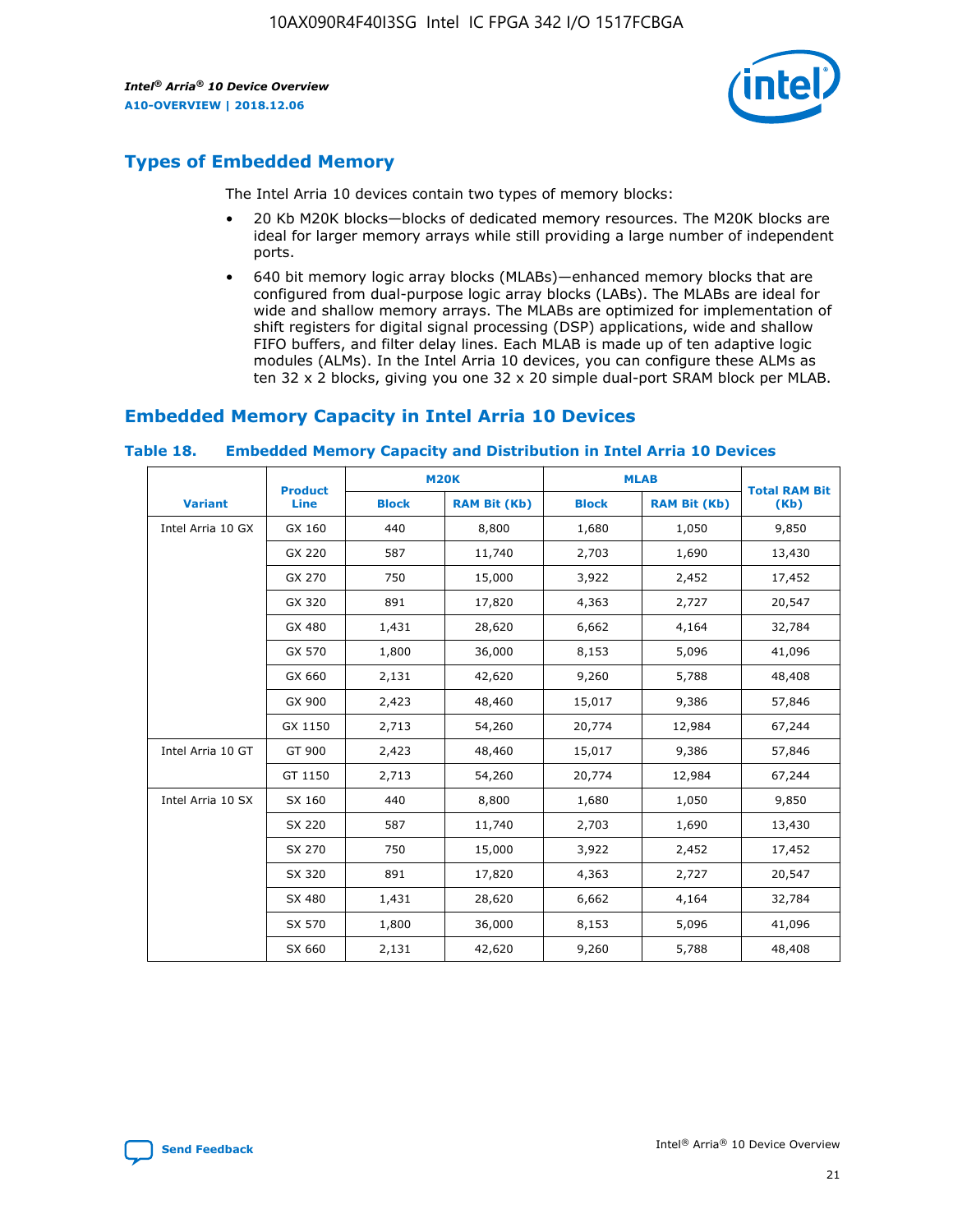

# **Types of Embedded Memory**

The Intel Arria 10 devices contain two types of memory blocks:

- 20 Kb M20K blocks—blocks of dedicated memory resources. The M20K blocks are ideal for larger memory arrays while still providing a large number of independent ports.
- 640 bit memory logic array blocks (MLABs)—enhanced memory blocks that are configured from dual-purpose logic array blocks (LABs). The MLABs are ideal for wide and shallow memory arrays. The MLABs are optimized for implementation of shift registers for digital signal processing (DSP) applications, wide and shallow FIFO buffers, and filter delay lines. Each MLAB is made up of ten adaptive logic modules (ALMs). In the Intel Arria 10 devices, you can configure these ALMs as ten 32 x 2 blocks, giving you one 32 x 20 simple dual-port SRAM block per MLAB.

# **Embedded Memory Capacity in Intel Arria 10 Devices**

|                   | <b>Product</b> |              | <b>M20K</b>         | <b>MLAB</b>  |                     | <b>Total RAM Bit</b> |
|-------------------|----------------|--------------|---------------------|--------------|---------------------|----------------------|
| <b>Variant</b>    | <b>Line</b>    | <b>Block</b> | <b>RAM Bit (Kb)</b> | <b>Block</b> | <b>RAM Bit (Kb)</b> | (Kb)                 |
| Intel Arria 10 GX | GX 160         | 440          | 8,800               | 1,680        | 1,050               | 9,850                |
|                   | GX 220         | 587          | 11,740              | 2,703        | 1,690               | 13,430               |
|                   | GX 270         | 750          | 15,000              | 3,922        | 2,452               | 17,452               |
|                   | GX 320         | 891          | 17,820              | 4,363        | 2,727               | 20,547               |
|                   | GX 480         | 1,431        | 28,620              | 6,662        | 4,164               | 32,784               |
|                   | GX 570         | 1,800        | 36,000              | 8,153        | 5,096               | 41,096               |
|                   | GX 660         | 2,131        | 42,620              | 9,260        | 5,788               | 48,408               |
|                   | GX 900         | 2,423        | 48,460              | 15,017       | 9,386               | 57,846               |
|                   | GX 1150        | 2,713        | 54,260              | 20,774       | 12,984              | 67,244               |
| Intel Arria 10 GT | GT 900         | 2,423        | 48,460              | 15,017       | 9,386               | 57,846               |
|                   | GT 1150        | 2,713        | 54,260              | 20,774       | 12,984              | 67,244               |
| Intel Arria 10 SX | SX 160         | 440          | 8,800               | 1,680        | 1,050               | 9,850                |
|                   | SX 220         | 587          | 11,740              | 2,703        | 1,690               | 13,430               |
|                   | SX 270         | 750          | 15,000              | 3,922        | 2,452               | 17,452               |
|                   | SX 320         | 891          | 17,820              | 4,363        | 2,727               | 20,547               |
|                   | SX 480         | 1,431        | 28,620              | 6,662        | 4,164               | 32,784               |
|                   | SX 570         | 1,800        | 36,000              | 8,153        | 5,096               | 41,096               |
|                   | SX 660         | 2,131        | 42,620              | 9,260        | 5,788               | 48,408               |

#### **Table 18. Embedded Memory Capacity and Distribution in Intel Arria 10 Devices**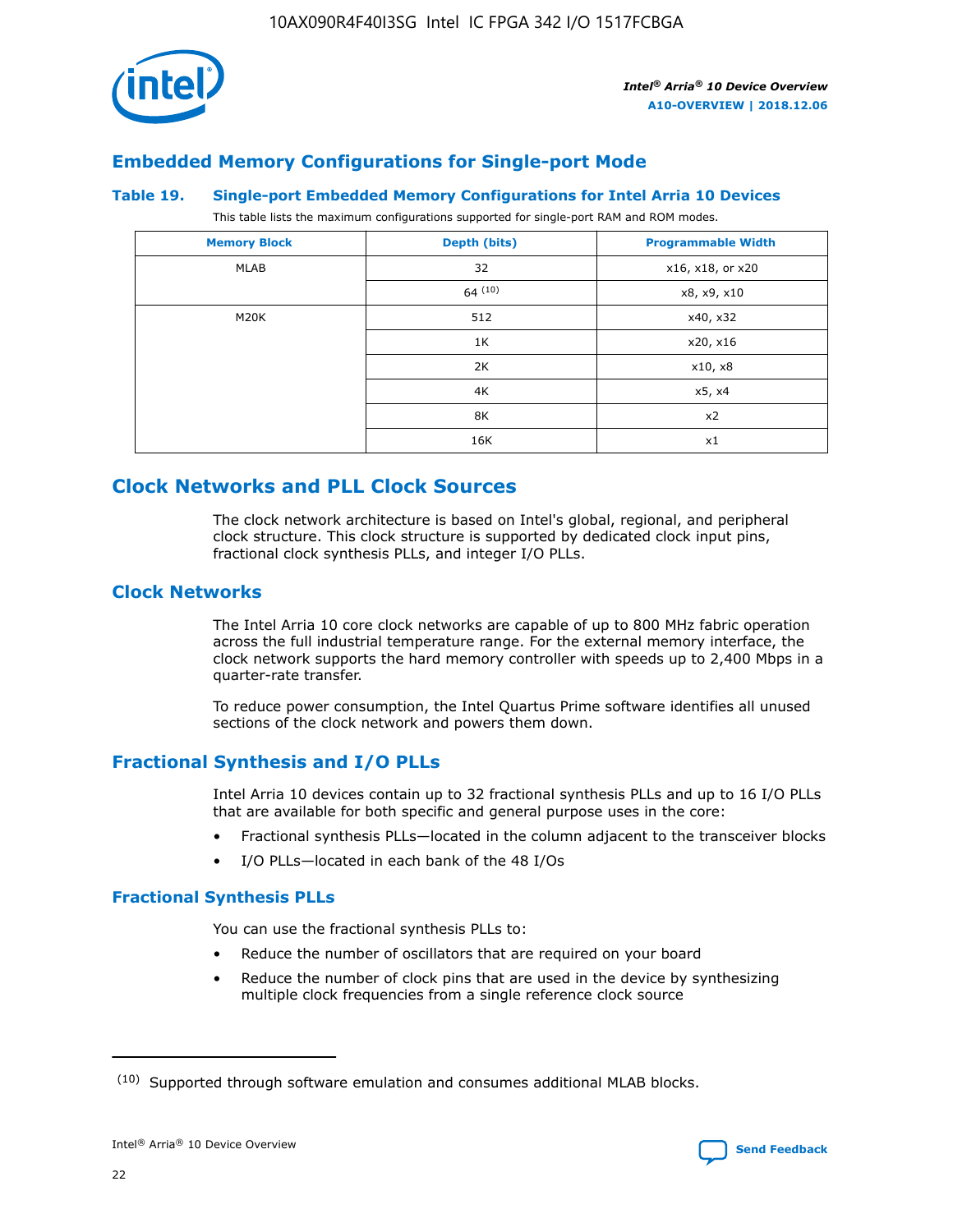

# **Embedded Memory Configurations for Single-port Mode**

#### **Table 19. Single-port Embedded Memory Configurations for Intel Arria 10 Devices**

This table lists the maximum configurations supported for single-port RAM and ROM modes.

| <b>Memory Block</b> | Depth (bits) | <b>Programmable Width</b> |
|---------------------|--------------|---------------------------|
| MLAB                | 32           | x16, x18, or x20          |
|                     | 64(10)       | x8, x9, x10               |
| M20K                | 512          | x40, x32                  |
|                     | 1K           | x20, x16                  |
|                     | 2K           | x10, x8                   |
|                     | 4K           | x5, x4                    |
|                     | 8K           | x2                        |
|                     | 16K          | x1                        |

# **Clock Networks and PLL Clock Sources**

The clock network architecture is based on Intel's global, regional, and peripheral clock structure. This clock structure is supported by dedicated clock input pins, fractional clock synthesis PLLs, and integer I/O PLLs.

# **Clock Networks**

The Intel Arria 10 core clock networks are capable of up to 800 MHz fabric operation across the full industrial temperature range. For the external memory interface, the clock network supports the hard memory controller with speeds up to 2,400 Mbps in a quarter-rate transfer.

To reduce power consumption, the Intel Quartus Prime software identifies all unused sections of the clock network and powers them down.

# **Fractional Synthesis and I/O PLLs**

Intel Arria 10 devices contain up to 32 fractional synthesis PLLs and up to 16 I/O PLLs that are available for both specific and general purpose uses in the core:

- Fractional synthesis PLLs—located in the column adjacent to the transceiver blocks
- I/O PLLs—located in each bank of the 48 I/Os

# **Fractional Synthesis PLLs**

You can use the fractional synthesis PLLs to:

- Reduce the number of oscillators that are required on your board
- Reduce the number of clock pins that are used in the device by synthesizing multiple clock frequencies from a single reference clock source

<sup>(10)</sup> Supported through software emulation and consumes additional MLAB blocks.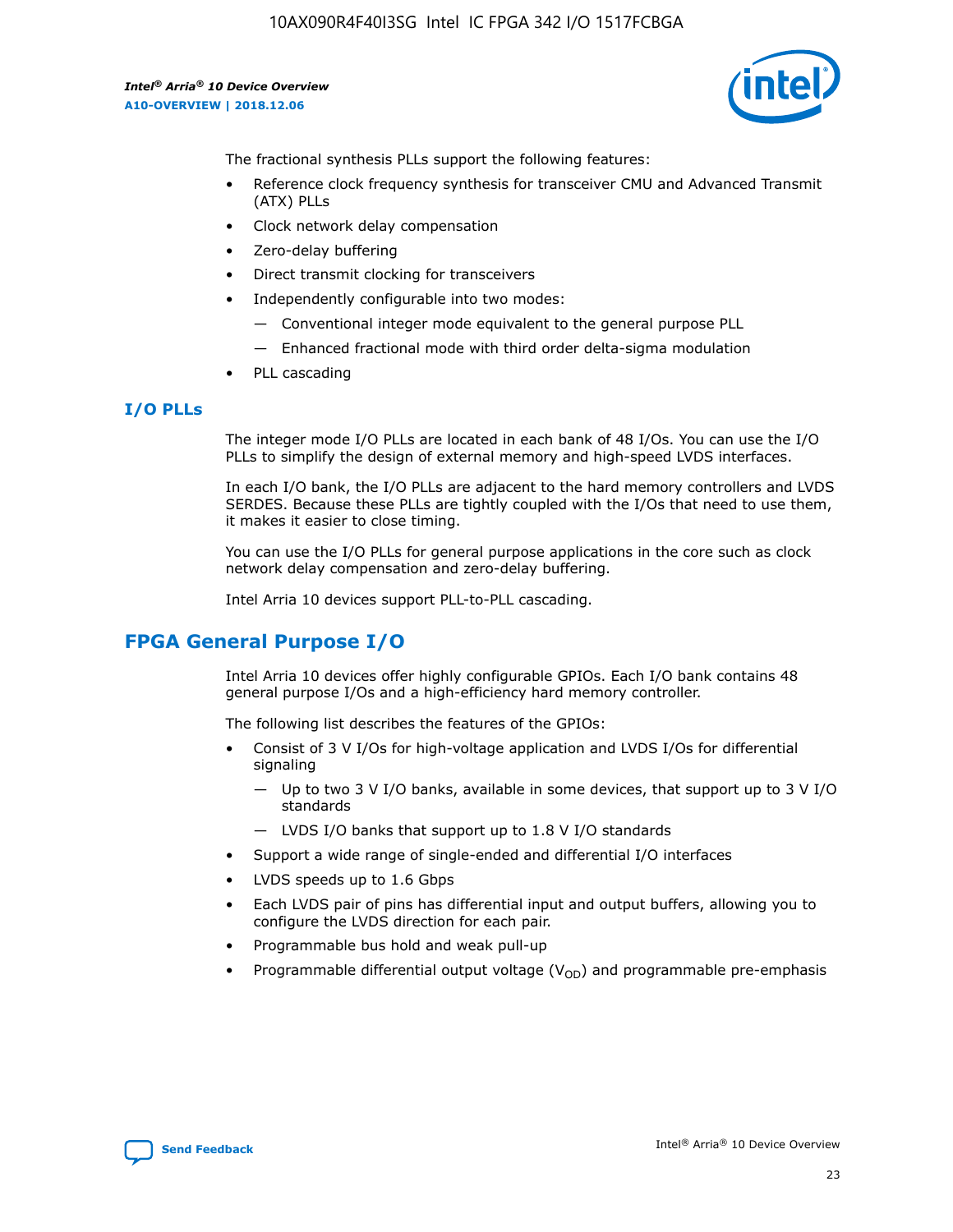

The fractional synthesis PLLs support the following features:

- Reference clock frequency synthesis for transceiver CMU and Advanced Transmit (ATX) PLLs
- Clock network delay compensation
- Zero-delay buffering
- Direct transmit clocking for transceivers
- Independently configurable into two modes:
	- Conventional integer mode equivalent to the general purpose PLL
	- Enhanced fractional mode with third order delta-sigma modulation
- PLL cascading

## **I/O PLLs**

The integer mode I/O PLLs are located in each bank of 48 I/Os. You can use the I/O PLLs to simplify the design of external memory and high-speed LVDS interfaces.

In each I/O bank, the I/O PLLs are adjacent to the hard memory controllers and LVDS SERDES. Because these PLLs are tightly coupled with the I/Os that need to use them, it makes it easier to close timing.

You can use the I/O PLLs for general purpose applications in the core such as clock network delay compensation and zero-delay buffering.

Intel Arria 10 devices support PLL-to-PLL cascading.

# **FPGA General Purpose I/O**

Intel Arria 10 devices offer highly configurable GPIOs. Each I/O bank contains 48 general purpose I/Os and a high-efficiency hard memory controller.

The following list describes the features of the GPIOs:

- Consist of 3 V I/Os for high-voltage application and LVDS I/Os for differential signaling
	- Up to two 3 V I/O banks, available in some devices, that support up to 3 V I/O standards
	- LVDS I/O banks that support up to 1.8 V I/O standards
- Support a wide range of single-ended and differential I/O interfaces
- LVDS speeds up to 1.6 Gbps
- Each LVDS pair of pins has differential input and output buffers, allowing you to configure the LVDS direction for each pair.
- Programmable bus hold and weak pull-up
- Programmable differential output voltage  $(V_{OD})$  and programmable pre-emphasis

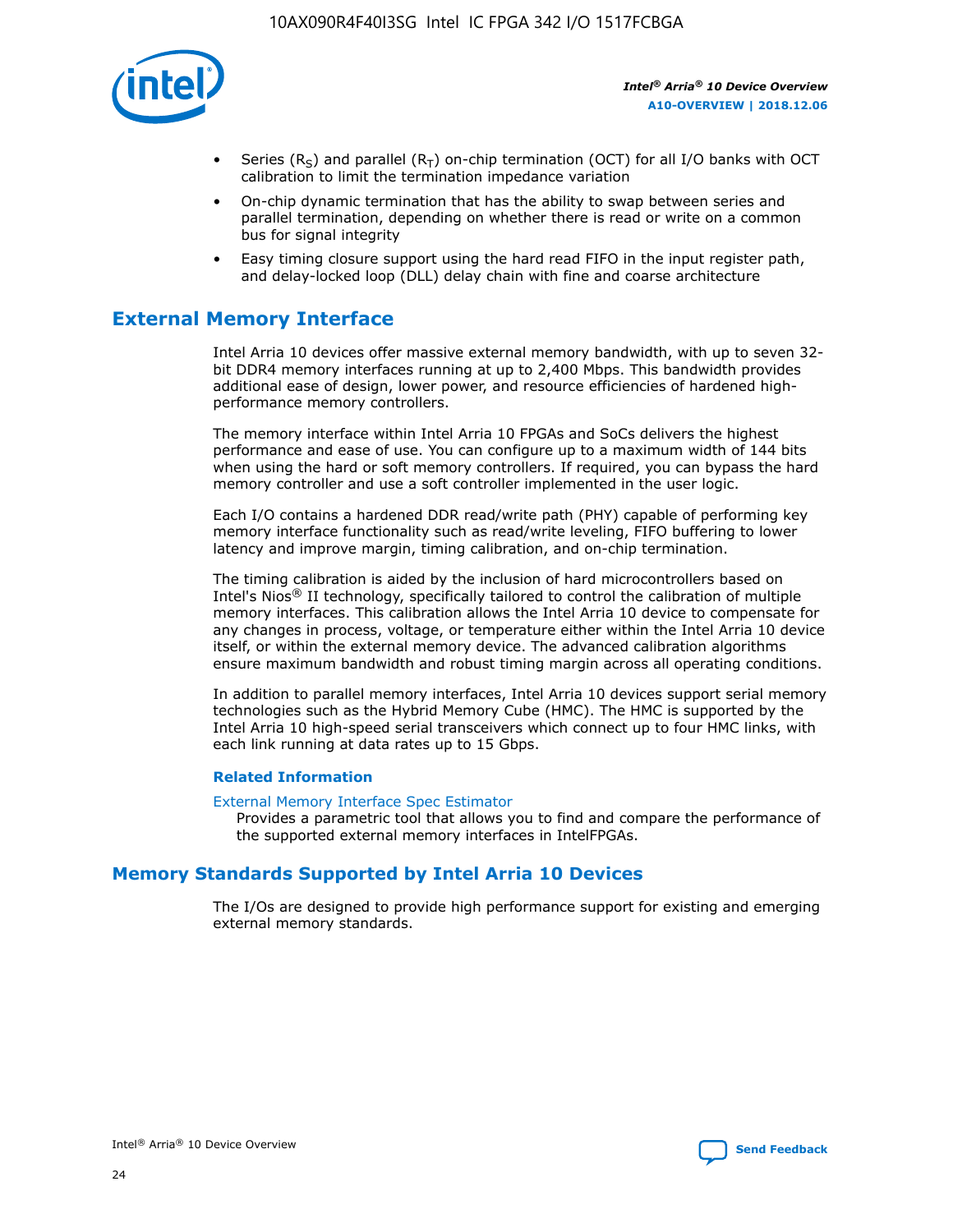

- Series (R<sub>S</sub>) and parallel (R<sub>T</sub>) on-chip termination (OCT) for all I/O banks with OCT calibration to limit the termination impedance variation
- On-chip dynamic termination that has the ability to swap between series and parallel termination, depending on whether there is read or write on a common bus for signal integrity
- Easy timing closure support using the hard read FIFO in the input register path, and delay-locked loop (DLL) delay chain with fine and coarse architecture

# **External Memory Interface**

Intel Arria 10 devices offer massive external memory bandwidth, with up to seven 32 bit DDR4 memory interfaces running at up to 2,400 Mbps. This bandwidth provides additional ease of design, lower power, and resource efficiencies of hardened highperformance memory controllers.

The memory interface within Intel Arria 10 FPGAs and SoCs delivers the highest performance and ease of use. You can configure up to a maximum width of 144 bits when using the hard or soft memory controllers. If required, you can bypass the hard memory controller and use a soft controller implemented in the user logic.

Each I/O contains a hardened DDR read/write path (PHY) capable of performing key memory interface functionality such as read/write leveling, FIFO buffering to lower latency and improve margin, timing calibration, and on-chip termination.

The timing calibration is aided by the inclusion of hard microcontrollers based on Intel's Nios® II technology, specifically tailored to control the calibration of multiple memory interfaces. This calibration allows the Intel Arria 10 device to compensate for any changes in process, voltage, or temperature either within the Intel Arria 10 device itself, or within the external memory device. The advanced calibration algorithms ensure maximum bandwidth and robust timing margin across all operating conditions.

In addition to parallel memory interfaces, Intel Arria 10 devices support serial memory technologies such as the Hybrid Memory Cube (HMC). The HMC is supported by the Intel Arria 10 high-speed serial transceivers which connect up to four HMC links, with each link running at data rates up to 15 Gbps.

## **Related Information**

#### [External Memory Interface Spec Estimator](http://www.altera.com/technology/memory/estimator/mem-emif-index.html)

Provides a parametric tool that allows you to find and compare the performance of the supported external memory interfaces in IntelFPGAs.

# **Memory Standards Supported by Intel Arria 10 Devices**

The I/Os are designed to provide high performance support for existing and emerging external memory standards.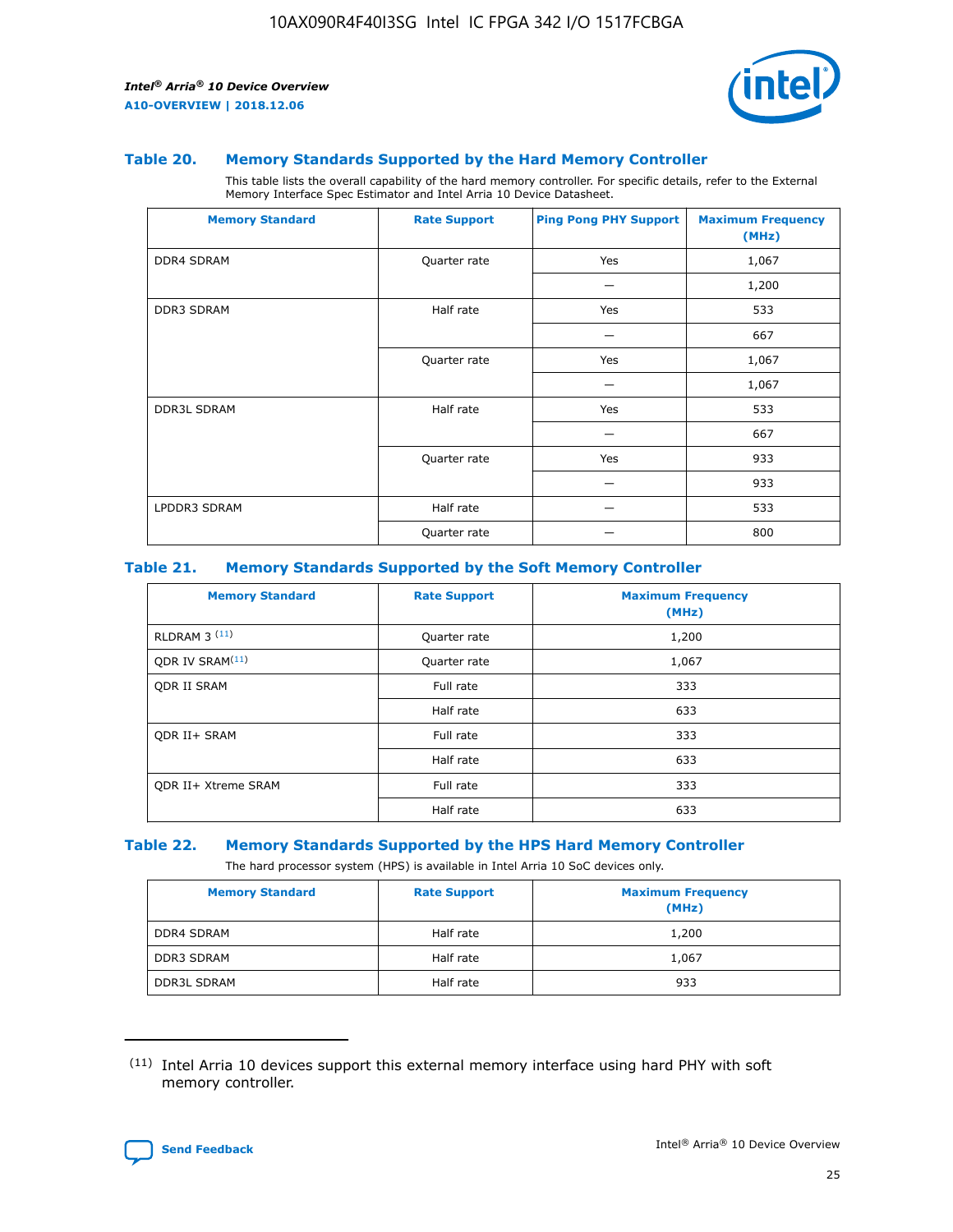

#### **Table 20. Memory Standards Supported by the Hard Memory Controller**

This table lists the overall capability of the hard memory controller. For specific details, refer to the External Memory Interface Spec Estimator and Intel Arria 10 Device Datasheet.

| <b>Memory Standard</b> | <b>Rate Support</b> | <b>Ping Pong PHY Support</b> | <b>Maximum Frequency</b><br>(MHz) |
|------------------------|---------------------|------------------------------|-----------------------------------|
| <b>DDR4 SDRAM</b>      | Quarter rate        | Yes                          | 1,067                             |
|                        |                     |                              | 1,200                             |
| DDR3 SDRAM             | Half rate           | Yes                          | 533                               |
|                        |                     |                              | 667                               |
|                        | Quarter rate        | Yes                          | 1,067                             |
|                        |                     |                              | 1,067                             |
| <b>DDR3L SDRAM</b>     | Half rate           | Yes                          | 533                               |
|                        |                     |                              | 667                               |
|                        | Quarter rate        | Yes                          | 933                               |
|                        |                     |                              | 933                               |
| LPDDR3 SDRAM           | Half rate           |                              | 533                               |
|                        | Quarter rate        |                              | 800                               |

## **Table 21. Memory Standards Supported by the Soft Memory Controller**

| <b>Memory Standard</b>      | <b>Rate Support</b> | <b>Maximum Frequency</b><br>(MHz) |
|-----------------------------|---------------------|-----------------------------------|
| <b>RLDRAM 3 (11)</b>        | Quarter rate        | 1,200                             |
| ODR IV SRAM <sup>(11)</sup> | Quarter rate        | 1,067                             |
| <b>ODR II SRAM</b>          | Full rate           | 333                               |
|                             | Half rate           | 633                               |
| <b>ODR II+ SRAM</b>         | Full rate           | 333                               |
|                             | Half rate           | 633                               |
| <b>ODR II+ Xtreme SRAM</b>  | Full rate           | 333                               |
|                             | Half rate           | 633                               |

#### **Table 22. Memory Standards Supported by the HPS Hard Memory Controller**

The hard processor system (HPS) is available in Intel Arria 10 SoC devices only.

| <b>Memory Standard</b> | <b>Rate Support</b> | <b>Maximum Frequency</b><br>(MHz) |
|------------------------|---------------------|-----------------------------------|
| <b>DDR4 SDRAM</b>      | Half rate           | 1,200                             |
| <b>DDR3 SDRAM</b>      | Half rate           | 1,067                             |
| <b>DDR3L SDRAM</b>     | Half rate           | 933                               |

<sup>(11)</sup> Intel Arria 10 devices support this external memory interface using hard PHY with soft memory controller.

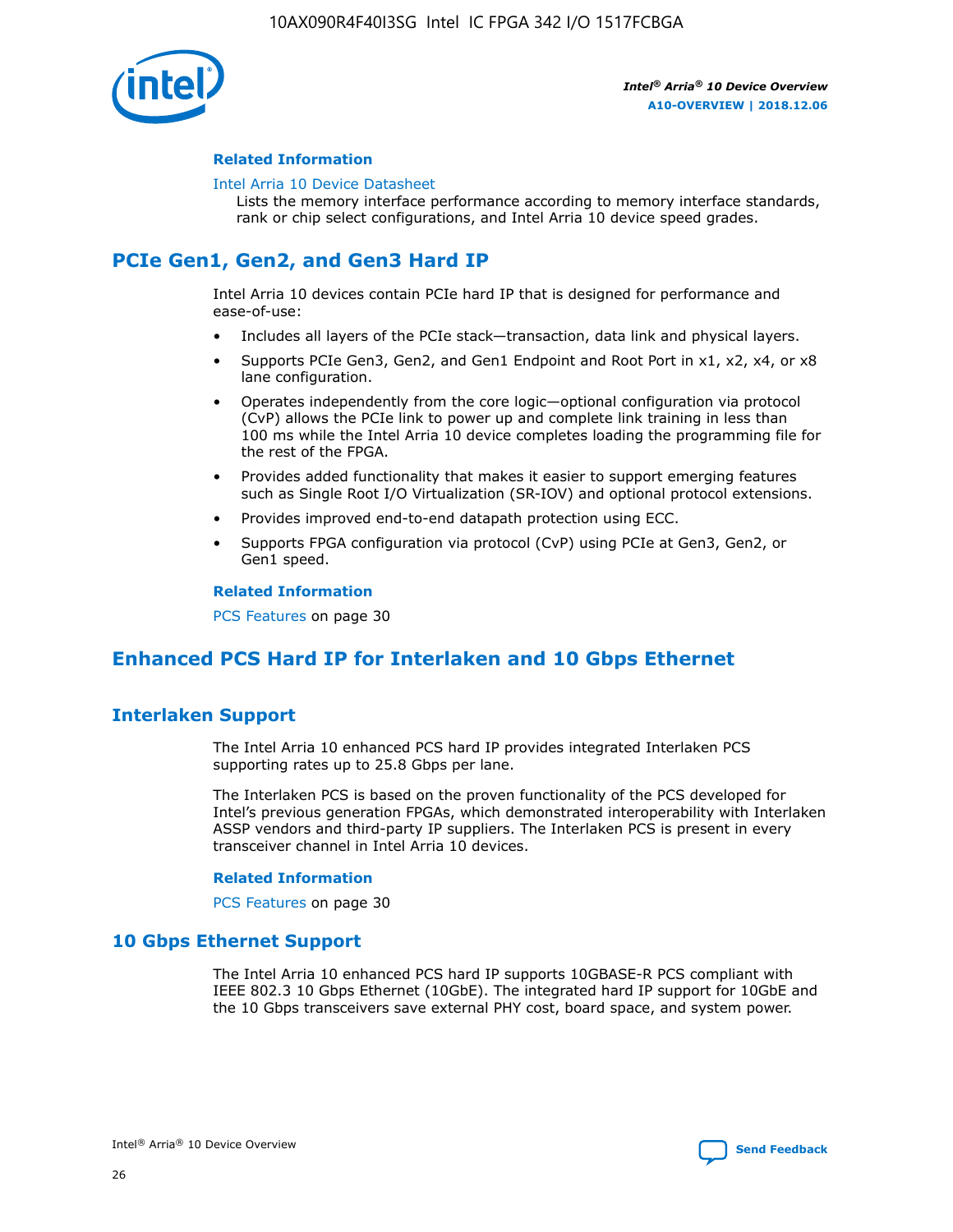

## **Related Information**

#### [Intel Arria 10 Device Datasheet](https://www.intel.com/content/www/us/en/programmable/documentation/mcn1413182292568.html#mcn1413182153340)

Lists the memory interface performance according to memory interface standards, rank or chip select configurations, and Intel Arria 10 device speed grades.

# **PCIe Gen1, Gen2, and Gen3 Hard IP**

Intel Arria 10 devices contain PCIe hard IP that is designed for performance and ease-of-use:

- Includes all layers of the PCIe stack—transaction, data link and physical layers.
- Supports PCIe Gen3, Gen2, and Gen1 Endpoint and Root Port in x1, x2, x4, or x8 lane configuration.
- Operates independently from the core logic—optional configuration via protocol (CvP) allows the PCIe link to power up and complete link training in less than 100 ms while the Intel Arria 10 device completes loading the programming file for the rest of the FPGA.
- Provides added functionality that makes it easier to support emerging features such as Single Root I/O Virtualization (SR-IOV) and optional protocol extensions.
- Provides improved end-to-end datapath protection using ECC.
- Supports FPGA configuration via protocol (CvP) using PCIe at Gen3, Gen2, or Gen1 speed.

#### **Related Information**

PCS Features on page 30

# **Enhanced PCS Hard IP for Interlaken and 10 Gbps Ethernet**

# **Interlaken Support**

The Intel Arria 10 enhanced PCS hard IP provides integrated Interlaken PCS supporting rates up to 25.8 Gbps per lane.

The Interlaken PCS is based on the proven functionality of the PCS developed for Intel's previous generation FPGAs, which demonstrated interoperability with Interlaken ASSP vendors and third-party IP suppliers. The Interlaken PCS is present in every transceiver channel in Intel Arria 10 devices.

## **Related Information**

PCS Features on page 30

# **10 Gbps Ethernet Support**

The Intel Arria 10 enhanced PCS hard IP supports 10GBASE-R PCS compliant with IEEE 802.3 10 Gbps Ethernet (10GbE). The integrated hard IP support for 10GbE and the 10 Gbps transceivers save external PHY cost, board space, and system power.

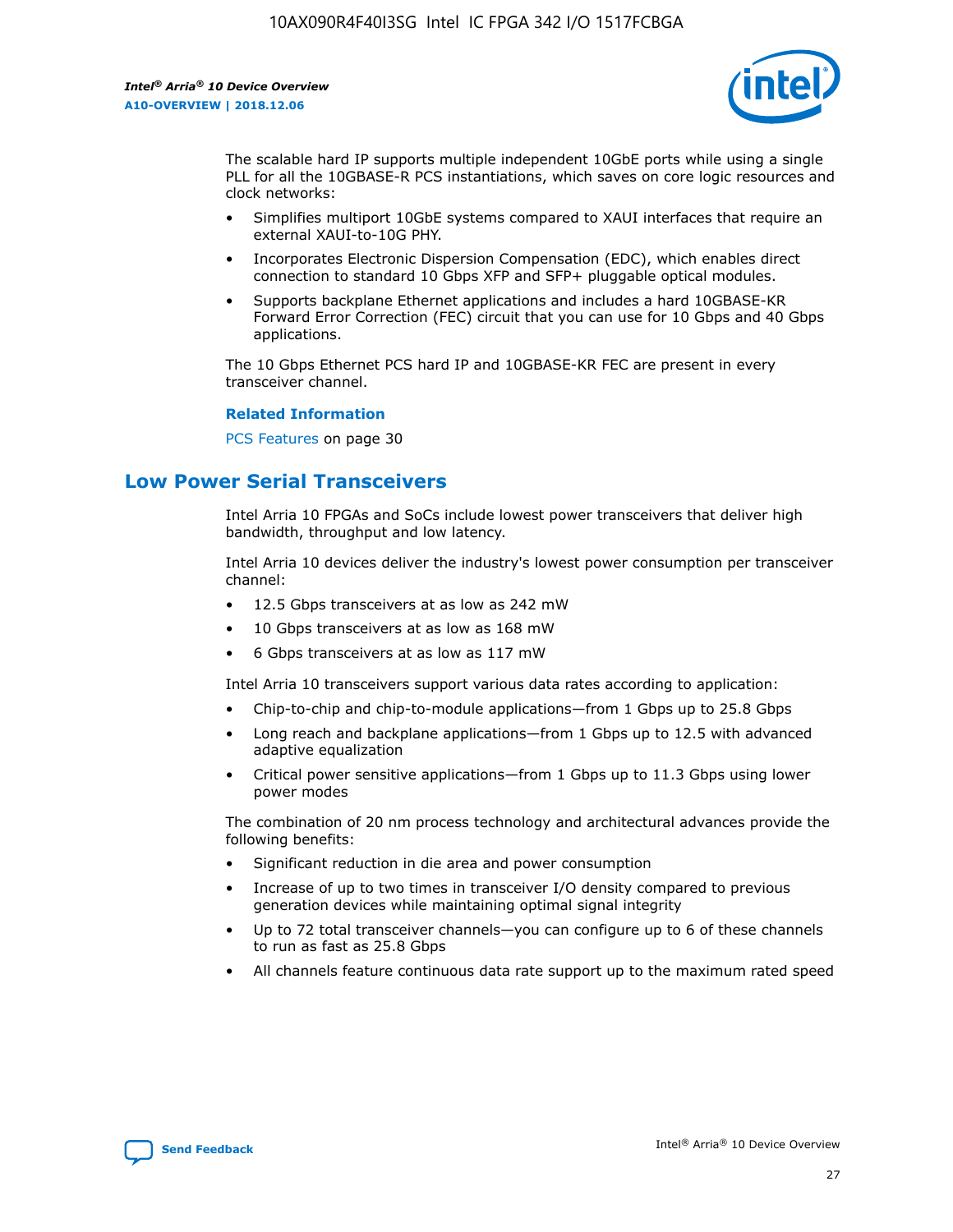

The scalable hard IP supports multiple independent 10GbE ports while using a single PLL for all the 10GBASE-R PCS instantiations, which saves on core logic resources and clock networks:

- Simplifies multiport 10GbE systems compared to XAUI interfaces that require an external XAUI-to-10G PHY.
- Incorporates Electronic Dispersion Compensation (EDC), which enables direct connection to standard 10 Gbps XFP and SFP+ pluggable optical modules.
- Supports backplane Ethernet applications and includes a hard 10GBASE-KR Forward Error Correction (FEC) circuit that you can use for 10 Gbps and 40 Gbps applications.

The 10 Gbps Ethernet PCS hard IP and 10GBASE-KR FEC are present in every transceiver channel.

#### **Related Information**

PCS Features on page 30

# **Low Power Serial Transceivers**

Intel Arria 10 FPGAs and SoCs include lowest power transceivers that deliver high bandwidth, throughput and low latency.

Intel Arria 10 devices deliver the industry's lowest power consumption per transceiver channel:

- 12.5 Gbps transceivers at as low as 242 mW
- 10 Gbps transceivers at as low as 168 mW
- 6 Gbps transceivers at as low as 117 mW

Intel Arria 10 transceivers support various data rates according to application:

- Chip-to-chip and chip-to-module applications—from 1 Gbps up to 25.8 Gbps
- Long reach and backplane applications—from 1 Gbps up to 12.5 with advanced adaptive equalization
- Critical power sensitive applications—from 1 Gbps up to 11.3 Gbps using lower power modes

The combination of 20 nm process technology and architectural advances provide the following benefits:

- Significant reduction in die area and power consumption
- Increase of up to two times in transceiver I/O density compared to previous generation devices while maintaining optimal signal integrity
- Up to 72 total transceiver channels—you can configure up to 6 of these channels to run as fast as 25.8 Gbps
- All channels feature continuous data rate support up to the maximum rated speed

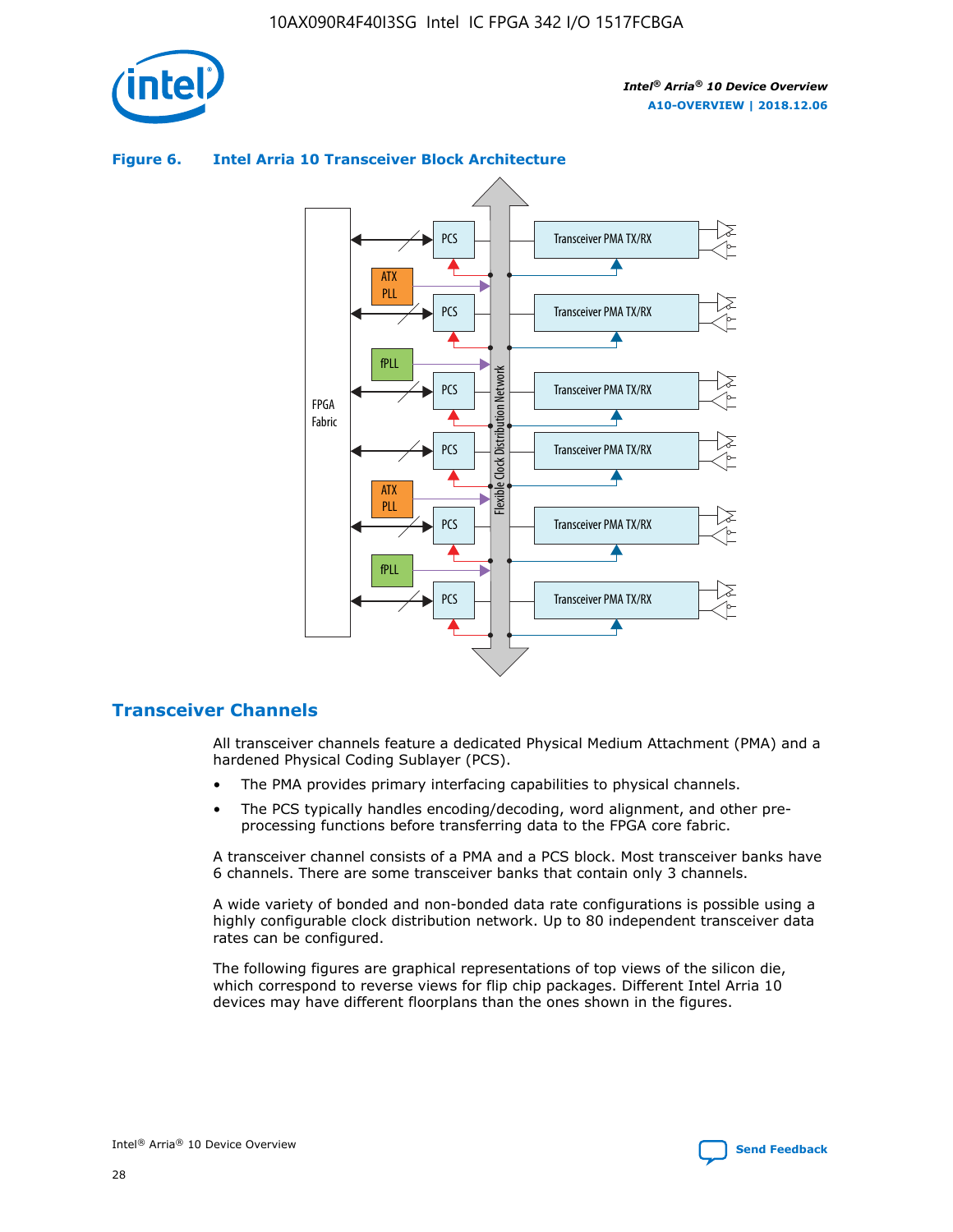

# Transceiver PMA TX/RX PCS ATX PLL Transceiver PMA TX/RX PCS fPLL Network Flexible Clock Distribution Network PCS Transceiver PMA TX/RX FPGA **Clock Distribution** Fabric PCS Transceiver PMA TX/RX ATX Flexible PLL PCS Transceiver PMA TX/RX ▲ fPLL Transceiver PMA TX/RX PCS 4

## **Figure 6. Intel Arria 10 Transceiver Block Architecture**

# **Transceiver Channels**

All transceiver channels feature a dedicated Physical Medium Attachment (PMA) and a hardened Physical Coding Sublayer (PCS).

- The PMA provides primary interfacing capabilities to physical channels.
- The PCS typically handles encoding/decoding, word alignment, and other preprocessing functions before transferring data to the FPGA core fabric.

A transceiver channel consists of a PMA and a PCS block. Most transceiver banks have 6 channels. There are some transceiver banks that contain only 3 channels.

A wide variety of bonded and non-bonded data rate configurations is possible using a highly configurable clock distribution network. Up to 80 independent transceiver data rates can be configured.

The following figures are graphical representations of top views of the silicon die, which correspond to reverse views for flip chip packages. Different Intel Arria 10 devices may have different floorplans than the ones shown in the figures.

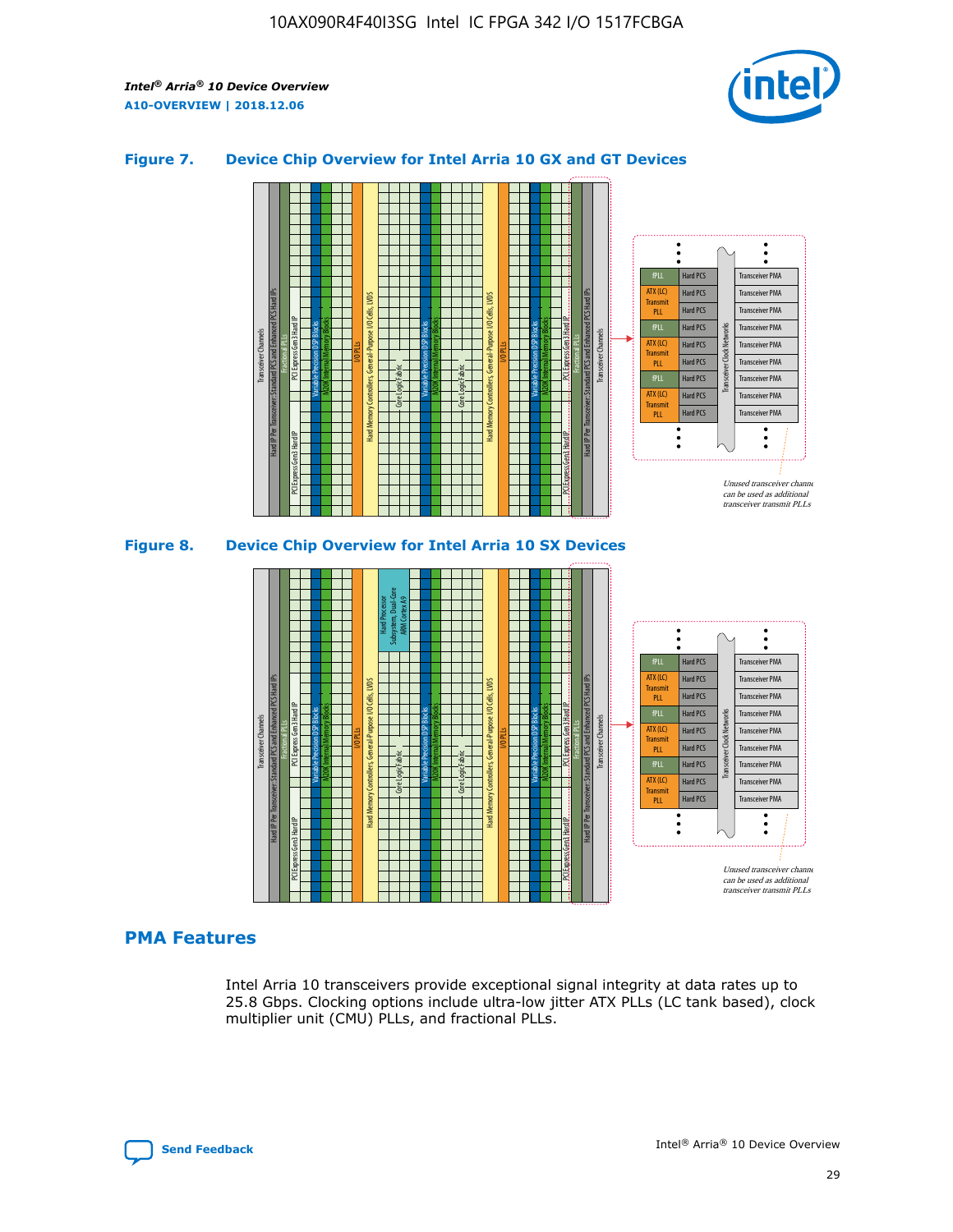

## **Figure 7. Device Chip Overview for Intel Arria 10 GX and GT Devices**



M20K Internal Memory Blocks Core Logic Fabric Transceiver Channels Hard IP Per Transceiver: Standard PCS and Enhanced PCS Hard IPs PCI Express Gen3 Hard IP Fractional PLLs M20K Internal Memory Blocks PCI Express Gen3 Hard IP Variable Precision DSP Blocks I/O PLLs Hard Memory Controllers, General-Purpose I/O Cells, LVDS Hard Processor Subsystem, Dual-Core ARM Cortex A9 M20K Internal Memory Blocks Variable Precision DSP Blocks M20K Internal Memory Blocks Core Logic Fabric I/O PLLs Hard Memory Controllers, General-Purpose I/O Cells, LVDS M20K Internal Memory Blocks Variable Precision DSP Blocks M20K Internal Memory Blocks Transceiver Channels Hard IP Per Transceiver: Standard PCS and Enhanced PCS Hard IPs PCI Express Gen3 Hard IP Fractional PLLs PCI Express Gen3 Hard IP  $\ddot{\cdot}$ Hard PCS Transceiver PMA fPLL ATX (LC) Hard PCS Transceiver PMA **Transmit** Hard PCS Transceiver PMA PLL fPLL Hard PCS Transceiver PMA Transceiver Clock Networks ATX (LC) Hard PCS Transceiver PMA Transmi Hard PCS Transceiver PMA PLL fPLL Hard PCS Transceiver PMA Transceiver PMA Hard PCS ATX (LC) **Transmit** Hard PCS Transceiver PMA PLL Unused transceiver chann can be used as additional transceiver transmit PLLs

# **PMA Features**

Intel Arria 10 transceivers provide exceptional signal integrity at data rates up to 25.8 Gbps. Clocking options include ultra-low jitter ATX PLLs (LC tank based), clock multiplier unit (CMU) PLLs, and fractional PLLs.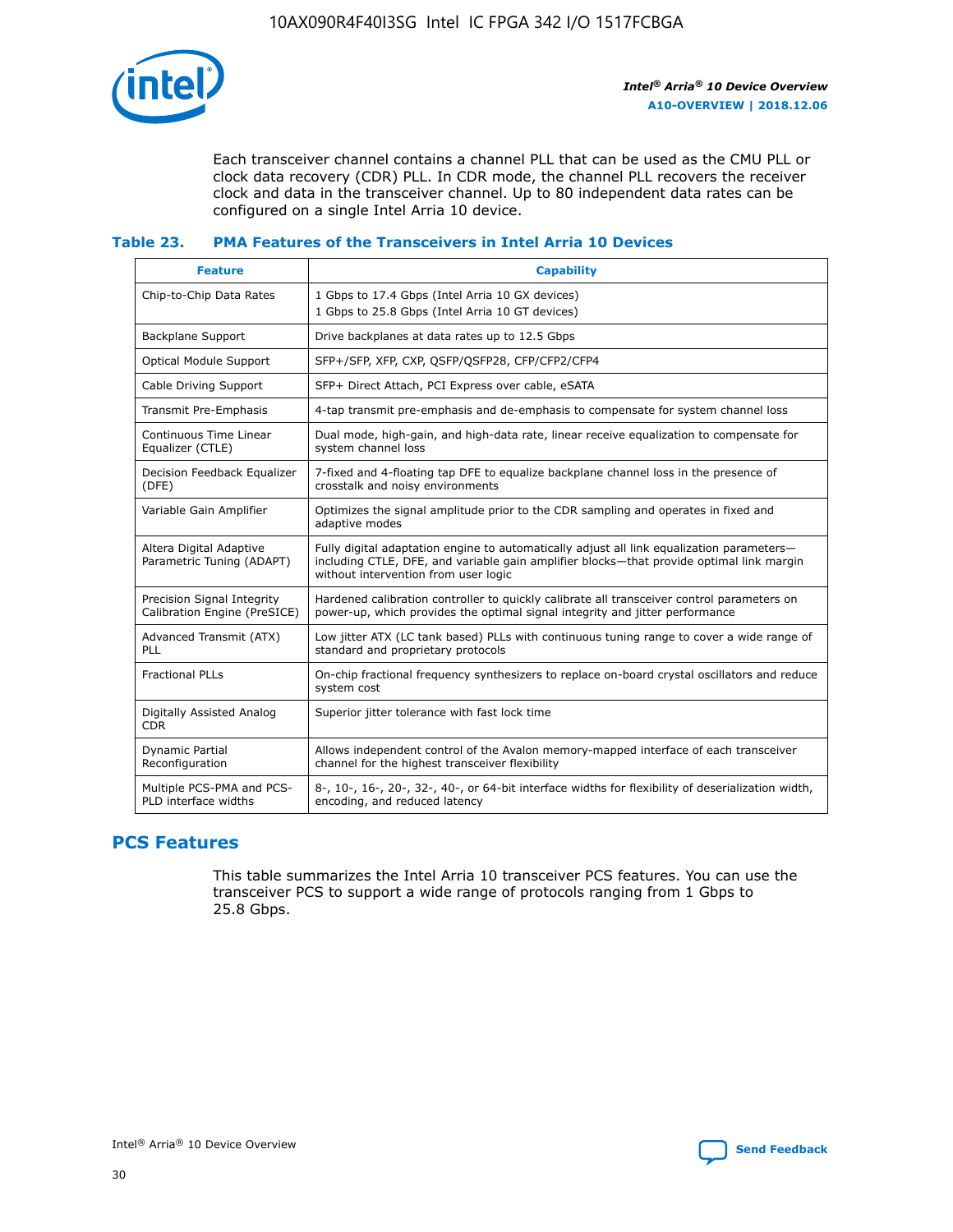

Each transceiver channel contains a channel PLL that can be used as the CMU PLL or clock data recovery (CDR) PLL. In CDR mode, the channel PLL recovers the receiver clock and data in the transceiver channel. Up to 80 independent data rates can be configured on a single Intel Arria 10 device.

## **Table 23. PMA Features of the Transceivers in Intel Arria 10 Devices**

| <b>Feature</b>                                             | <b>Capability</b>                                                                                                                                                                                                             |
|------------------------------------------------------------|-------------------------------------------------------------------------------------------------------------------------------------------------------------------------------------------------------------------------------|
| Chip-to-Chip Data Rates                                    | 1 Gbps to 17.4 Gbps (Intel Arria 10 GX devices)<br>1 Gbps to 25.8 Gbps (Intel Arria 10 GT devices)                                                                                                                            |
| <b>Backplane Support</b>                                   | Drive backplanes at data rates up to 12.5 Gbps                                                                                                                                                                                |
| <b>Optical Module Support</b>                              | SFP+/SFP, XFP, CXP, QSFP/QSFP28, CFP/CFP2/CFP4                                                                                                                                                                                |
| Cable Driving Support                                      | SFP+ Direct Attach, PCI Express over cable, eSATA                                                                                                                                                                             |
| Transmit Pre-Emphasis                                      | 4-tap transmit pre-emphasis and de-emphasis to compensate for system channel loss                                                                                                                                             |
| Continuous Time Linear<br>Equalizer (CTLE)                 | Dual mode, high-gain, and high-data rate, linear receive equalization to compensate for<br>system channel loss                                                                                                                |
| Decision Feedback Equalizer<br>(DFE)                       | 7-fixed and 4-floating tap DFE to equalize backplane channel loss in the presence of<br>crosstalk and noisy environments                                                                                                      |
| Variable Gain Amplifier                                    | Optimizes the signal amplitude prior to the CDR sampling and operates in fixed and<br>adaptive modes                                                                                                                          |
| Altera Digital Adaptive<br>Parametric Tuning (ADAPT)       | Fully digital adaptation engine to automatically adjust all link equalization parameters-<br>including CTLE, DFE, and variable gain amplifier blocks—that provide optimal link margin<br>without intervention from user logic |
| Precision Signal Integrity<br>Calibration Engine (PreSICE) | Hardened calibration controller to quickly calibrate all transceiver control parameters on<br>power-up, which provides the optimal signal integrity and jitter performance                                                    |
| Advanced Transmit (ATX)<br>PLL                             | Low jitter ATX (LC tank based) PLLs with continuous tuning range to cover a wide range of<br>standard and proprietary protocols                                                                                               |
| <b>Fractional PLLs</b>                                     | On-chip fractional frequency synthesizers to replace on-board crystal oscillators and reduce<br>system cost                                                                                                                   |
| Digitally Assisted Analog<br><b>CDR</b>                    | Superior jitter tolerance with fast lock time                                                                                                                                                                                 |
| Dynamic Partial<br>Reconfiguration                         | Allows independent control of the Avalon memory-mapped interface of each transceiver<br>channel for the highest transceiver flexibility                                                                                       |
| Multiple PCS-PMA and PCS-<br>PLD interface widths          | 8-, 10-, 16-, 20-, 32-, 40-, or 64-bit interface widths for flexibility of deserialization width,<br>encoding, and reduced latency                                                                                            |

# **PCS Features**

This table summarizes the Intel Arria 10 transceiver PCS features. You can use the transceiver PCS to support a wide range of protocols ranging from 1 Gbps to 25.8 Gbps.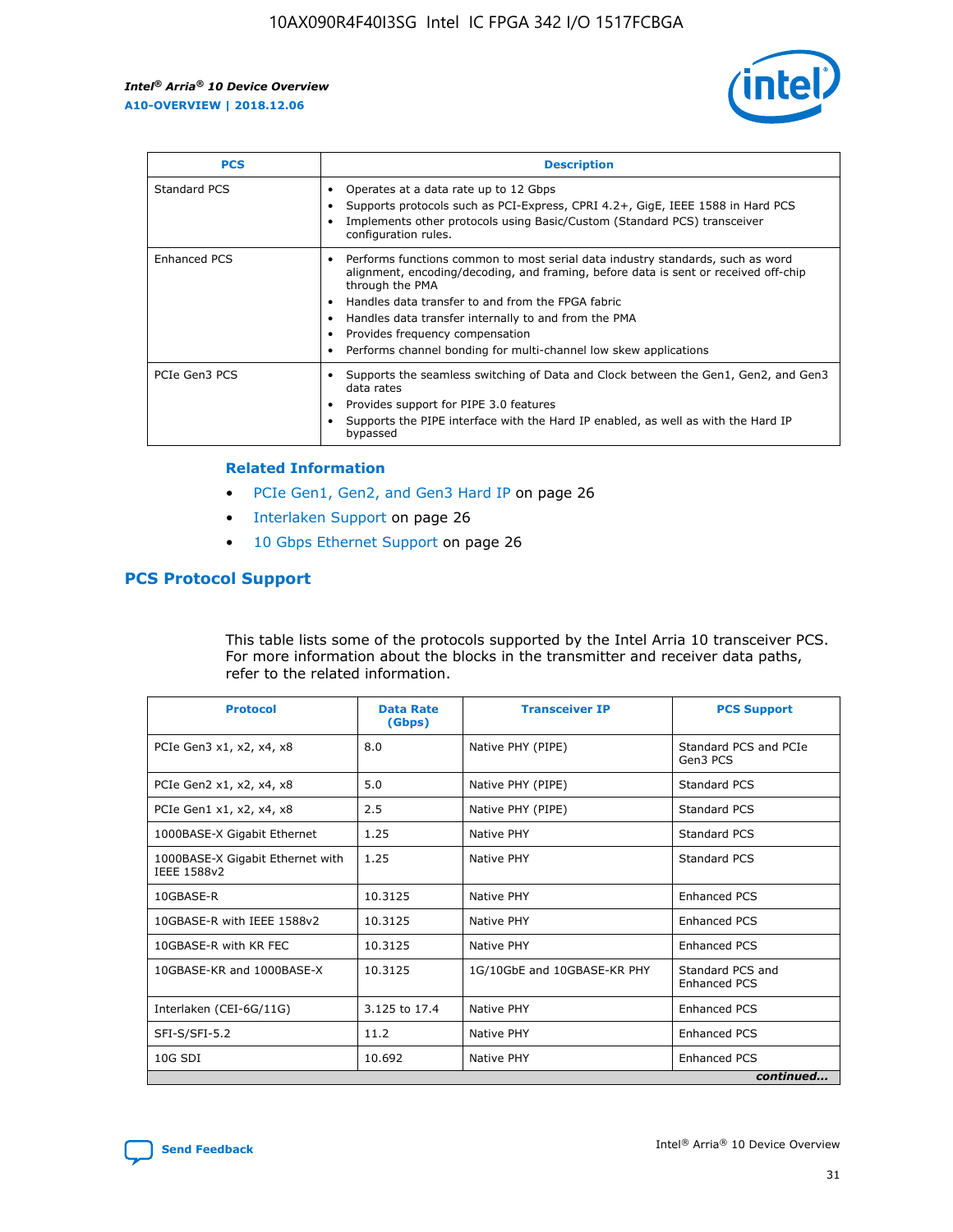

| <b>PCS</b>          | <b>Description</b>                                                                                                                                                                                                                                                                                                                                                                                             |
|---------------------|----------------------------------------------------------------------------------------------------------------------------------------------------------------------------------------------------------------------------------------------------------------------------------------------------------------------------------------------------------------------------------------------------------------|
| Standard PCS        | Operates at a data rate up to 12 Gbps<br>Supports protocols such as PCI-Express, CPRI 4.2+, GigE, IEEE 1588 in Hard PCS<br>Implements other protocols using Basic/Custom (Standard PCS) transceiver<br>configuration rules.                                                                                                                                                                                    |
| <b>Enhanced PCS</b> | Performs functions common to most serial data industry standards, such as word<br>alignment, encoding/decoding, and framing, before data is sent or received off-chip<br>through the PMA<br>• Handles data transfer to and from the FPGA fabric<br>Handles data transfer internally to and from the PMA<br>Provides frequency compensation<br>Performs channel bonding for multi-channel low skew applications |
| PCIe Gen3 PCS       | Supports the seamless switching of Data and Clock between the Gen1, Gen2, and Gen3<br>data rates<br>Provides support for PIPE 3.0 features<br>Supports the PIPE interface with the Hard IP enabled, as well as with the Hard IP<br>bypassed                                                                                                                                                                    |

#### **Related Information**

- PCIe Gen1, Gen2, and Gen3 Hard IP on page 26
- Interlaken Support on page 26
- 10 Gbps Ethernet Support on page 26

# **PCS Protocol Support**

This table lists some of the protocols supported by the Intel Arria 10 transceiver PCS. For more information about the blocks in the transmitter and receiver data paths, refer to the related information.

| <b>Protocol</b>                                 | <b>Data Rate</b><br>(Gbps) | <b>Transceiver IP</b>       | <b>PCS Support</b>                      |
|-------------------------------------------------|----------------------------|-----------------------------|-----------------------------------------|
| PCIe Gen3 x1, x2, x4, x8                        | 8.0                        | Native PHY (PIPE)           | Standard PCS and PCIe<br>Gen3 PCS       |
| PCIe Gen2 x1, x2, x4, x8                        | 5.0                        | Native PHY (PIPE)           | <b>Standard PCS</b>                     |
| PCIe Gen1 x1, x2, x4, x8                        | 2.5                        | Native PHY (PIPE)           | Standard PCS                            |
| 1000BASE-X Gigabit Ethernet                     | 1.25                       | Native PHY                  | <b>Standard PCS</b>                     |
| 1000BASE-X Gigabit Ethernet with<br>IEEE 1588v2 | 1.25                       | Native PHY                  | Standard PCS                            |
| 10GBASE-R                                       | 10.3125                    | Native PHY                  | <b>Enhanced PCS</b>                     |
| 10GBASE-R with IEEE 1588v2                      | 10.3125                    | Native PHY                  | <b>Enhanced PCS</b>                     |
| 10GBASE-R with KR FEC                           | 10.3125                    | Native PHY                  | <b>Enhanced PCS</b>                     |
| 10GBASE-KR and 1000BASE-X                       | 10.3125                    | 1G/10GbE and 10GBASE-KR PHY | Standard PCS and<br><b>Enhanced PCS</b> |
| Interlaken (CEI-6G/11G)                         | 3.125 to 17.4              | Native PHY                  | <b>Enhanced PCS</b>                     |
| SFI-S/SFI-5.2                                   | 11.2                       | Native PHY                  | <b>Enhanced PCS</b>                     |
| $10G$ SDI                                       | 10.692                     | Native PHY                  | <b>Enhanced PCS</b>                     |
|                                                 |                            |                             | continued                               |

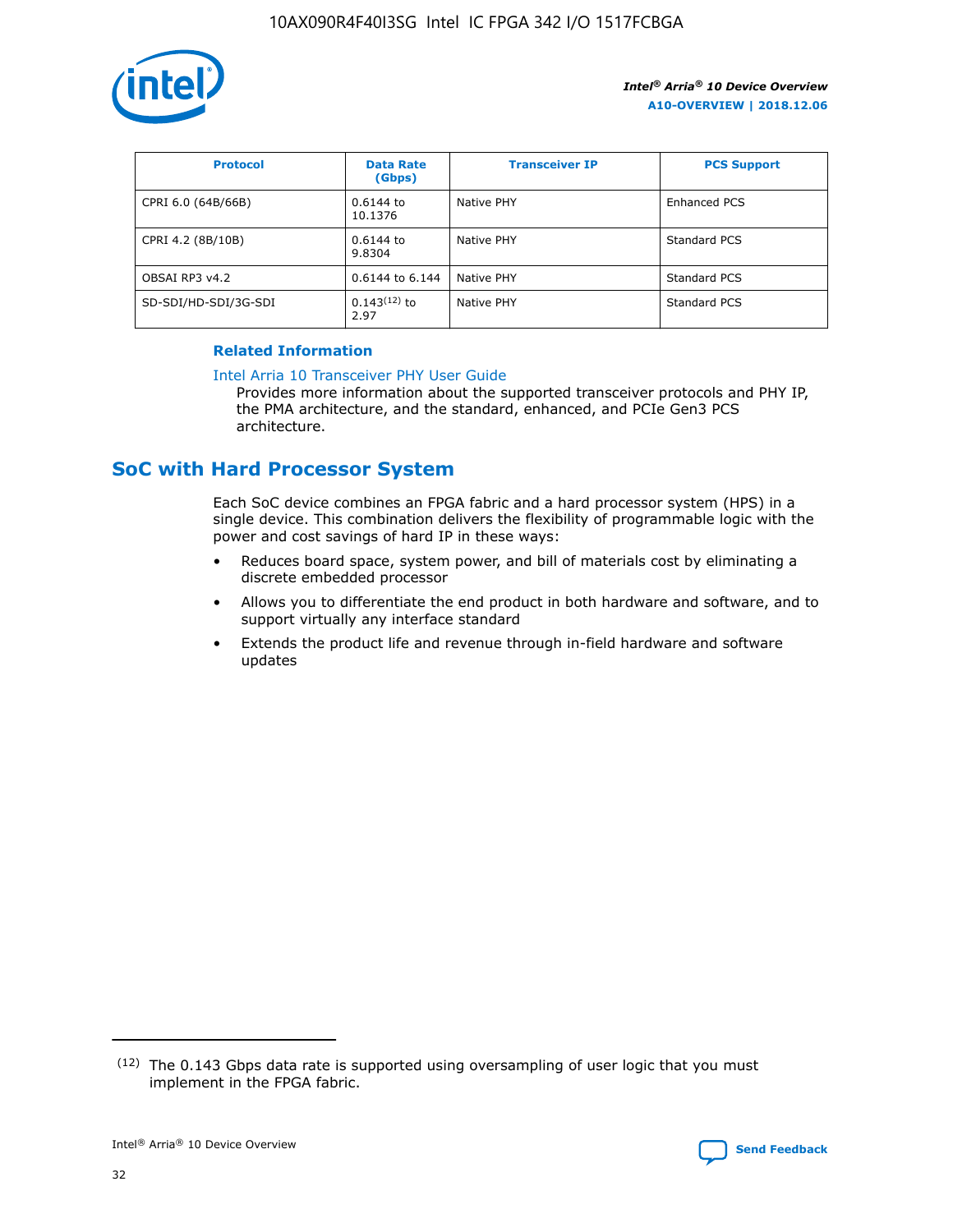

| <b>Protocol</b>      | <b>Data Rate</b><br>(Gbps) | <b>Transceiver IP</b> | <b>PCS Support</b> |
|----------------------|----------------------------|-----------------------|--------------------|
| CPRI 6.0 (64B/66B)   | 0.6144 to<br>10.1376       | Native PHY            | Enhanced PCS       |
| CPRI 4.2 (8B/10B)    | $0.6144$ to<br>9.8304      | Native PHY            | Standard PCS       |
| OBSAI RP3 v4.2       | 0.6144 to 6.144            | Native PHY            | Standard PCS       |
| SD-SDI/HD-SDI/3G-SDI | $0.143(12)$ to<br>2.97     | Native PHY            | Standard PCS       |

## **Related Information**

#### [Intel Arria 10 Transceiver PHY User Guide](https://www.intel.com/content/www/us/en/programmable/documentation/nik1398707230472.html#nik1398707091164)

Provides more information about the supported transceiver protocols and PHY IP, the PMA architecture, and the standard, enhanced, and PCIe Gen3 PCS architecture.

# **SoC with Hard Processor System**

Each SoC device combines an FPGA fabric and a hard processor system (HPS) in a single device. This combination delivers the flexibility of programmable logic with the power and cost savings of hard IP in these ways:

- Reduces board space, system power, and bill of materials cost by eliminating a discrete embedded processor
- Allows you to differentiate the end product in both hardware and software, and to support virtually any interface standard
- Extends the product life and revenue through in-field hardware and software updates

 $(12)$  The 0.143 Gbps data rate is supported using oversampling of user logic that you must implement in the FPGA fabric.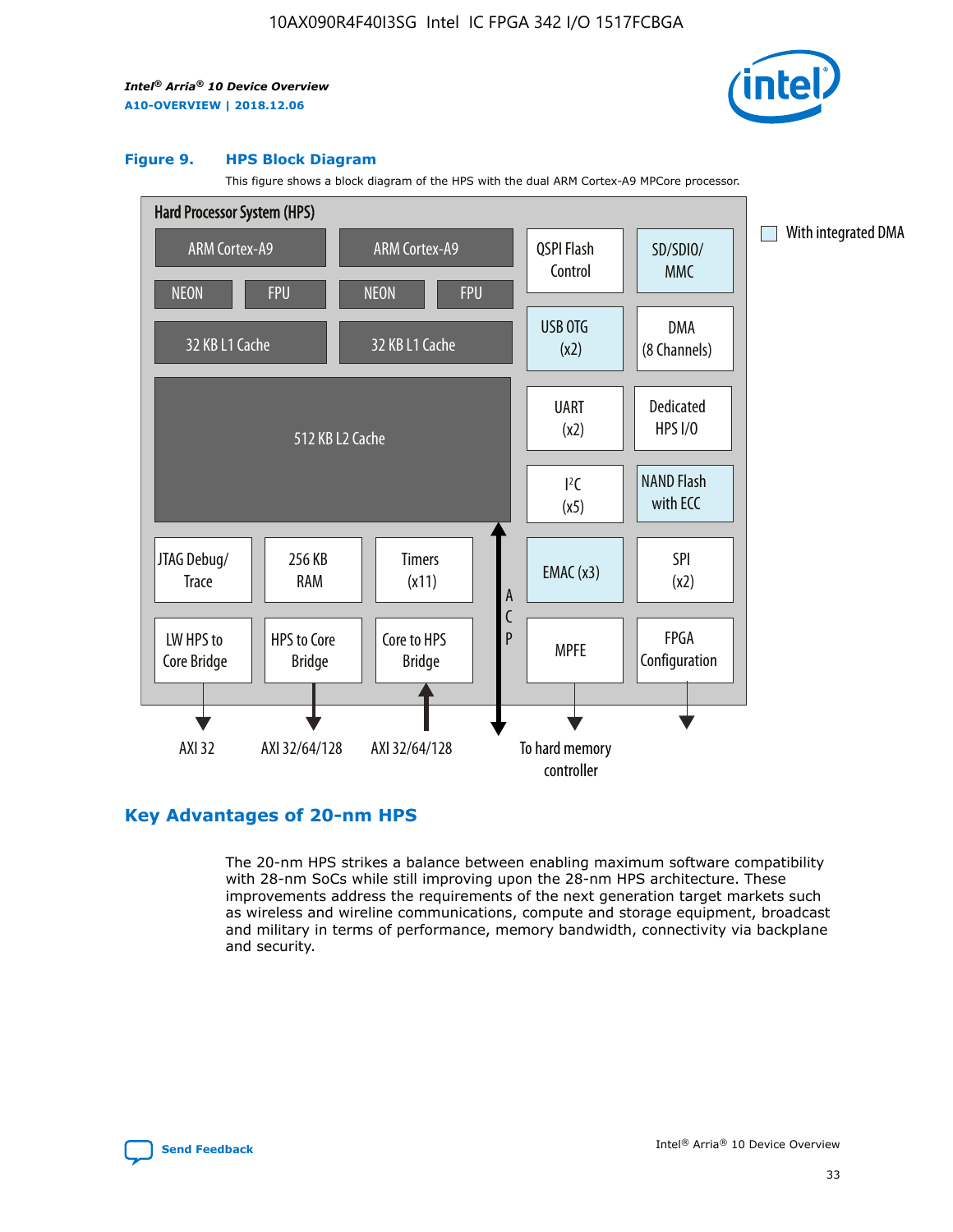

#### **Figure 9. HPS Block Diagram**

This figure shows a block diagram of the HPS with the dual ARM Cortex-A9 MPCore processor.



# **Key Advantages of 20-nm HPS**

The 20-nm HPS strikes a balance between enabling maximum software compatibility with 28-nm SoCs while still improving upon the 28-nm HPS architecture. These improvements address the requirements of the next generation target markets such as wireless and wireline communications, compute and storage equipment, broadcast and military in terms of performance, memory bandwidth, connectivity via backplane and security.

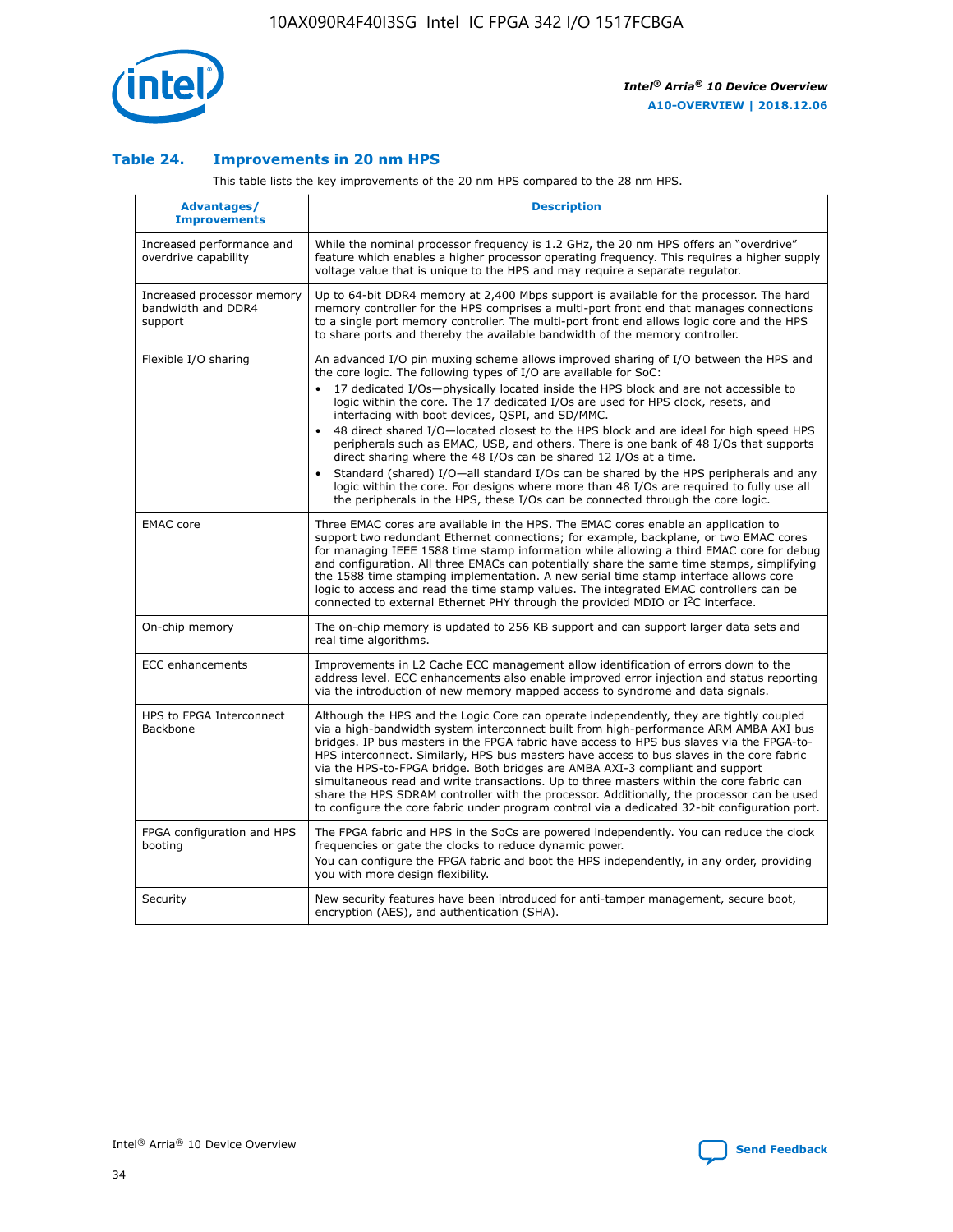

## **Table 24. Improvements in 20 nm HPS**

This table lists the key improvements of the 20 nm HPS compared to the 28 nm HPS.

| Advantages/<br><b>Improvements</b>                          | <b>Description</b>                                                                                                                                                                                                                                                                                                                                                                                                                                                                                                                                                                                                                                                                                                                                                                                                                                                                                                                   |
|-------------------------------------------------------------|--------------------------------------------------------------------------------------------------------------------------------------------------------------------------------------------------------------------------------------------------------------------------------------------------------------------------------------------------------------------------------------------------------------------------------------------------------------------------------------------------------------------------------------------------------------------------------------------------------------------------------------------------------------------------------------------------------------------------------------------------------------------------------------------------------------------------------------------------------------------------------------------------------------------------------------|
| Increased performance and<br>overdrive capability           | While the nominal processor frequency is 1.2 GHz, the 20 nm HPS offers an "overdrive"<br>feature which enables a higher processor operating frequency. This requires a higher supply<br>voltage value that is unique to the HPS and may require a separate requlator.                                                                                                                                                                                                                                                                                                                                                                                                                                                                                                                                                                                                                                                                |
| Increased processor memory<br>bandwidth and DDR4<br>support | Up to 64-bit DDR4 memory at 2,400 Mbps support is available for the processor. The hard<br>memory controller for the HPS comprises a multi-port front end that manages connections<br>to a single port memory controller. The multi-port front end allows logic core and the HPS<br>to share ports and thereby the available bandwidth of the memory controller.                                                                                                                                                                                                                                                                                                                                                                                                                                                                                                                                                                     |
| Flexible I/O sharing                                        | An advanced I/O pin muxing scheme allows improved sharing of I/O between the HPS and<br>the core logic. The following types of I/O are available for SoC:<br>17 dedicated I/Os-physically located inside the HPS block and are not accessible to<br>logic within the core. The 17 dedicated I/Os are used for HPS clock, resets, and<br>interfacing with boot devices, QSPI, and SD/MMC.<br>48 direct shared I/O-located closest to the HPS block and are ideal for high speed HPS<br>peripherals such as EMAC, USB, and others. There is one bank of 48 I/Os that supports<br>direct sharing where the 48 I/Os can be shared 12 I/Os at a time.<br>Standard (shared) I/O-all standard I/Os can be shared by the HPS peripherals and any<br>$\bullet$<br>logic within the core. For designs where more than 48 I/Os are required to fully use all<br>the peripherals in the HPS, these I/Os can be connected through the core logic. |
| <b>EMAC</b> core                                            | Three EMAC cores are available in the HPS. The EMAC cores enable an application to<br>support two redundant Ethernet connections; for example, backplane, or two EMAC cores<br>for managing IEEE 1588 time stamp information while allowing a third EMAC core for debug<br>and configuration. All three EMACs can potentially share the same time stamps, simplifying<br>the 1588 time stamping implementation. A new serial time stamp interface allows core<br>logic to access and read the time stamp values. The integrated EMAC controllers can be<br>connected to external Ethernet PHY through the provided MDIO or I <sup>2</sup> C interface.                                                                                                                                                                                                                                                                               |
| On-chip memory                                              | The on-chip memory is updated to 256 KB support and can support larger data sets and<br>real time algorithms.                                                                                                                                                                                                                                                                                                                                                                                                                                                                                                                                                                                                                                                                                                                                                                                                                        |
| <b>ECC</b> enhancements                                     | Improvements in L2 Cache ECC management allow identification of errors down to the<br>address level. ECC enhancements also enable improved error injection and status reporting<br>via the introduction of new memory mapped access to syndrome and data signals.                                                                                                                                                                                                                                                                                                                                                                                                                                                                                                                                                                                                                                                                    |
| HPS to FPGA Interconnect<br>Backbone                        | Although the HPS and the Logic Core can operate independently, they are tightly coupled<br>via a high-bandwidth system interconnect built from high-performance ARM AMBA AXI bus<br>bridges. IP bus masters in the FPGA fabric have access to HPS bus slaves via the FPGA-to-<br>HPS interconnect. Similarly, HPS bus masters have access to bus slaves in the core fabric<br>via the HPS-to-FPGA bridge. Both bridges are AMBA AXI-3 compliant and support<br>simultaneous read and write transactions. Up to three masters within the core fabric can<br>share the HPS SDRAM controller with the processor. Additionally, the processor can be used<br>to configure the core fabric under program control via a dedicated 32-bit configuration port.                                                                                                                                                                               |
| FPGA configuration and HPS<br>booting                       | The FPGA fabric and HPS in the SoCs are powered independently. You can reduce the clock<br>frequencies or gate the clocks to reduce dynamic power.<br>You can configure the FPGA fabric and boot the HPS independently, in any order, providing<br>you with more design flexibility.                                                                                                                                                                                                                                                                                                                                                                                                                                                                                                                                                                                                                                                 |
| Security                                                    | New security features have been introduced for anti-tamper management, secure boot,<br>encryption (AES), and authentication (SHA).                                                                                                                                                                                                                                                                                                                                                                                                                                                                                                                                                                                                                                                                                                                                                                                                   |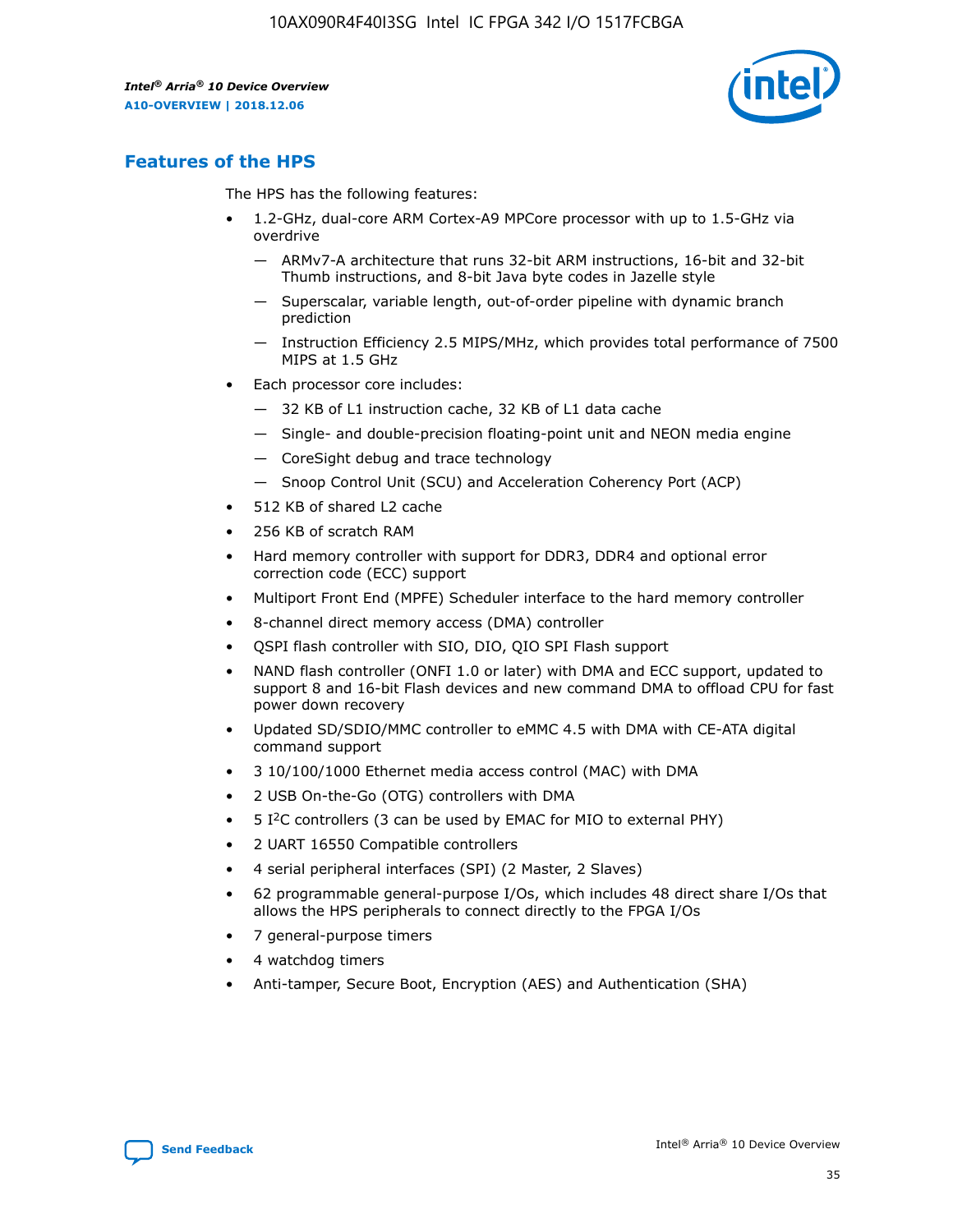

# **Features of the HPS**

The HPS has the following features:

- 1.2-GHz, dual-core ARM Cortex-A9 MPCore processor with up to 1.5-GHz via overdrive
	- ARMv7-A architecture that runs 32-bit ARM instructions, 16-bit and 32-bit Thumb instructions, and 8-bit Java byte codes in Jazelle style
	- Superscalar, variable length, out-of-order pipeline with dynamic branch prediction
	- Instruction Efficiency 2.5 MIPS/MHz, which provides total performance of 7500 MIPS at 1.5 GHz
- Each processor core includes:
	- 32 KB of L1 instruction cache, 32 KB of L1 data cache
	- Single- and double-precision floating-point unit and NEON media engine
	- CoreSight debug and trace technology
	- Snoop Control Unit (SCU) and Acceleration Coherency Port (ACP)
- 512 KB of shared L2 cache
- 256 KB of scratch RAM
- Hard memory controller with support for DDR3, DDR4 and optional error correction code (ECC) support
- Multiport Front End (MPFE) Scheduler interface to the hard memory controller
- 8-channel direct memory access (DMA) controller
- QSPI flash controller with SIO, DIO, QIO SPI Flash support
- NAND flash controller (ONFI 1.0 or later) with DMA and ECC support, updated to support 8 and 16-bit Flash devices and new command DMA to offload CPU for fast power down recovery
- Updated SD/SDIO/MMC controller to eMMC 4.5 with DMA with CE-ATA digital command support
- 3 10/100/1000 Ethernet media access control (MAC) with DMA
- 2 USB On-the-Go (OTG) controllers with DMA
- $\bullet$  5 I<sup>2</sup>C controllers (3 can be used by EMAC for MIO to external PHY)
- 2 UART 16550 Compatible controllers
- 4 serial peripheral interfaces (SPI) (2 Master, 2 Slaves)
- 62 programmable general-purpose I/Os, which includes 48 direct share I/Os that allows the HPS peripherals to connect directly to the FPGA I/Os
- 7 general-purpose timers
- 4 watchdog timers
- Anti-tamper, Secure Boot, Encryption (AES) and Authentication (SHA)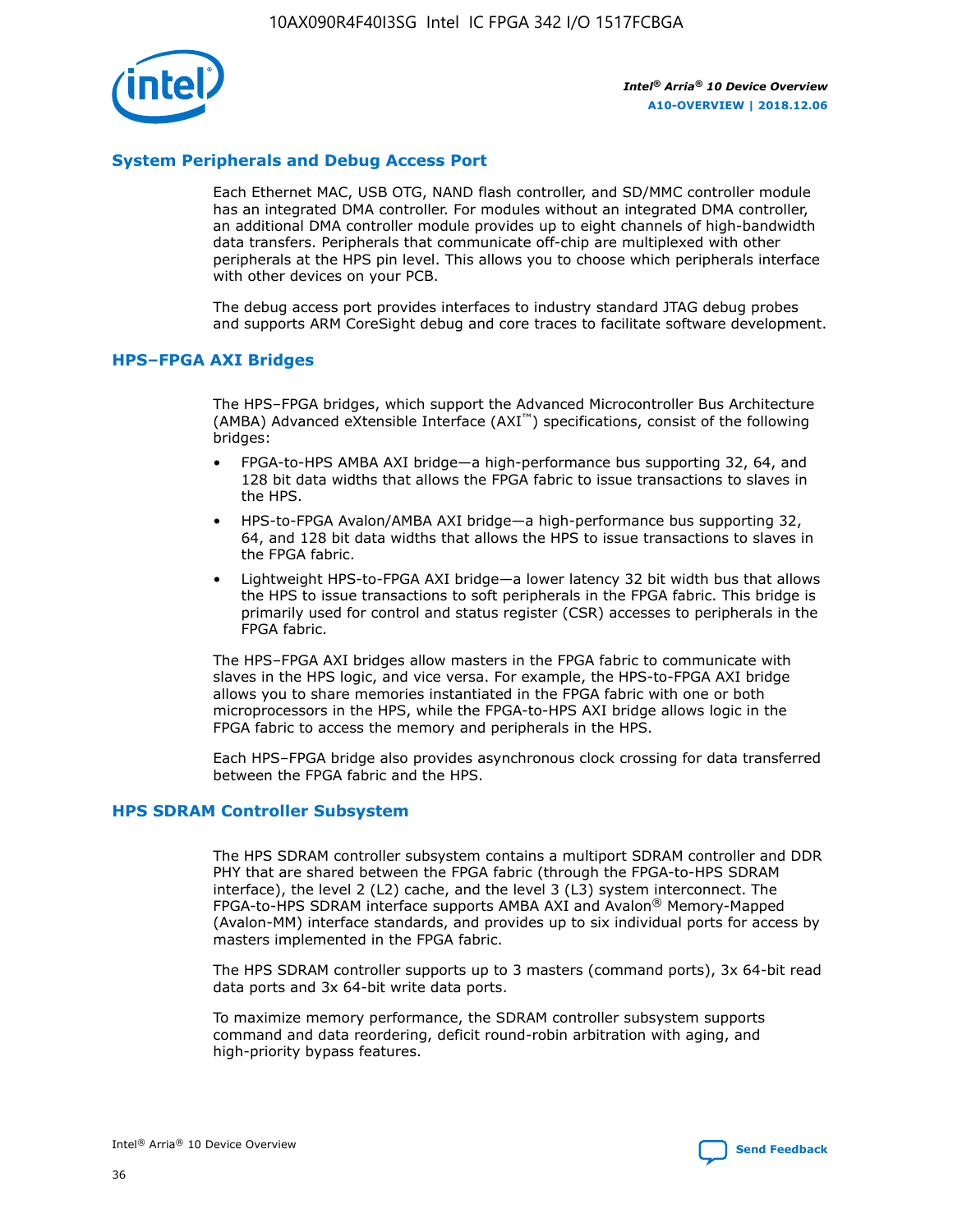

# **System Peripherals and Debug Access Port**

Each Ethernet MAC, USB OTG, NAND flash controller, and SD/MMC controller module has an integrated DMA controller. For modules without an integrated DMA controller, an additional DMA controller module provides up to eight channels of high-bandwidth data transfers. Peripherals that communicate off-chip are multiplexed with other peripherals at the HPS pin level. This allows you to choose which peripherals interface with other devices on your PCB.

The debug access port provides interfaces to industry standard JTAG debug probes and supports ARM CoreSight debug and core traces to facilitate software development.

## **HPS–FPGA AXI Bridges**

The HPS–FPGA bridges, which support the Advanced Microcontroller Bus Architecture (AMBA) Advanced eXtensible Interface (AXI™) specifications, consist of the following bridges:

- FPGA-to-HPS AMBA AXI bridge—a high-performance bus supporting 32, 64, and 128 bit data widths that allows the FPGA fabric to issue transactions to slaves in the HPS.
- HPS-to-FPGA Avalon/AMBA AXI bridge—a high-performance bus supporting 32, 64, and 128 bit data widths that allows the HPS to issue transactions to slaves in the FPGA fabric.
- Lightweight HPS-to-FPGA AXI bridge—a lower latency 32 bit width bus that allows the HPS to issue transactions to soft peripherals in the FPGA fabric. This bridge is primarily used for control and status register (CSR) accesses to peripherals in the FPGA fabric.

The HPS–FPGA AXI bridges allow masters in the FPGA fabric to communicate with slaves in the HPS logic, and vice versa. For example, the HPS-to-FPGA AXI bridge allows you to share memories instantiated in the FPGA fabric with one or both microprocessors in the HPS, while the FPGA-to-HPS AXI bridge allows logic in the FPGA fabric to access the memory and peripherals in the HPS.

Each HPS–FPGA bridge also provides asynchronous clock crossing for data transferred between the FPGA fabric and the HPS.

## **HPS SDRAM Controller Subsystem**

The HPS SDRAM controller subsystem contains a multiport SDRAM controller and DDR PHY that are shared between the FPGA fabric (through the FPGA-to-HPS SDRAM interface), the level 2 (L2) cache, and the level 3 (L3) system interconnect. The FPGA-to-HPS SDRAM interface supports AMBA AXI and Avalon® Memory-Mapped (Avalon-MM) interface standards, and provides up to six individual ports for access by masters implemented in the FPGA fabric.

The HPS SDRAM controller supports up to 3 masters (command ports), 3x 64-bit read data ports and 3x 64-bit write data ports.

To maximize memory performance, the SDRAM controller subsystem supports command and data reordering, deficit round-robin arbitration with aging, and high-priority bypass features.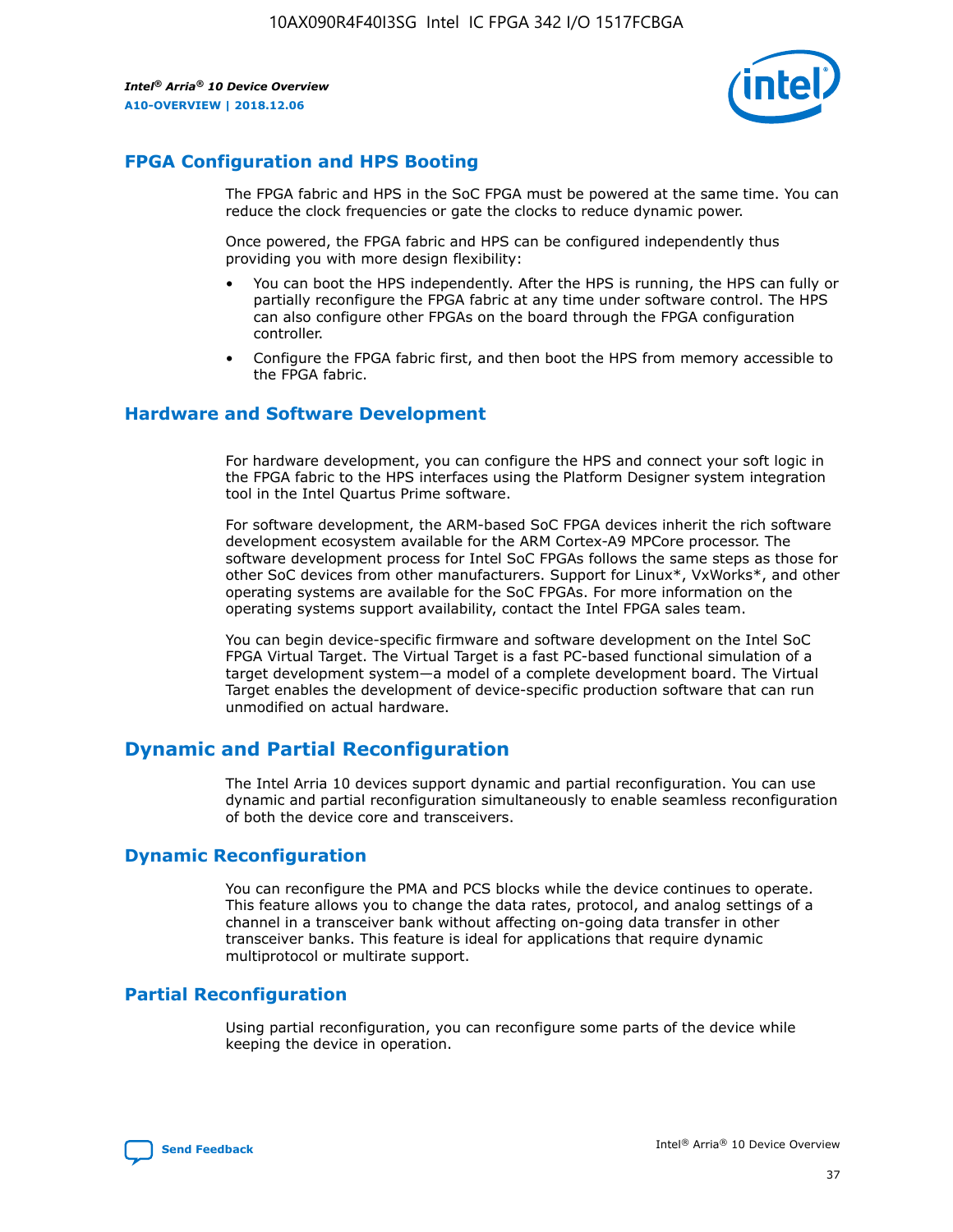

# **FPGA Configuration and HPS Booting**

The FPGA fabric and HPS in the SoC FPGA must be powered at the same time. You can reduce the clock frequencies or gate the clocks to reduce dynamic power.

Once powered, the FPGA fabric and HPS can be configured independently thus providing you with more design flexibility:

- You can boot the HPS independently. After the HPS is running, the HPS can fully or partially reconfigure the FPGA fabric at any time under software control. The HPS can also configure other FPGAs on the board through the FPGA configuration controller.
- Configure the FPGA fabric first, and then boot the HPS from memory accessible to the FPGA fabric.

## **Hardware and Software Development**

For hardware development, you can configure the HPS and connect your soft logic in the FPGA fabric to the HPS interfaces using the Platform Designer system integration tool in the Intel Quartus Prime software.

For software development, the ARM-based SoC FPGA devices inherit the rich software development ecosystem available for the ARM Cortex-A9 MPCore processor. The software development process for Intel SoC FPGAs follows the same steps as those for other SoC devices from other manufacturers. Support for Linux\*, VxWorks\*, and other operating systems are available for the SoC FPGAs. For more information on the operating systems support availability, contact the Intel FPGA sales team.

You can begin device-specific firmware and software development on the Intel SoC FPGA Virtual Target. The Virtual Target is a fast PC-based functional simulation of a target development system—a model of a complete development board. The Virtual Target enables the development of device-specific production software that can run unmodified on actual hardware.

# **Dynamic and Partial Reconfiguration**

The Intel Arria 10 devices support dynamic and partial reconfiguration. You can use dynamic and partial reconfiguration simultaneously to enable seamless reconfiguration of both the device core and transceivers.

# **Dynamic Reconfiguration**

You can reconfigure the PMA and PCS blocks while the device continues to operate. This feature allows you to change the data rates, protocol, and analog settings of a channel in a transceiver bank without affecting on-going data transfer in other transceiver banks. This feature is ideal for applications that require dynamic multiprotocol or multirate support.

# **Partial Reconfiguration**

Using partial reconfiguration, you can reconfigure some parts of the device while keeping the device in operation.

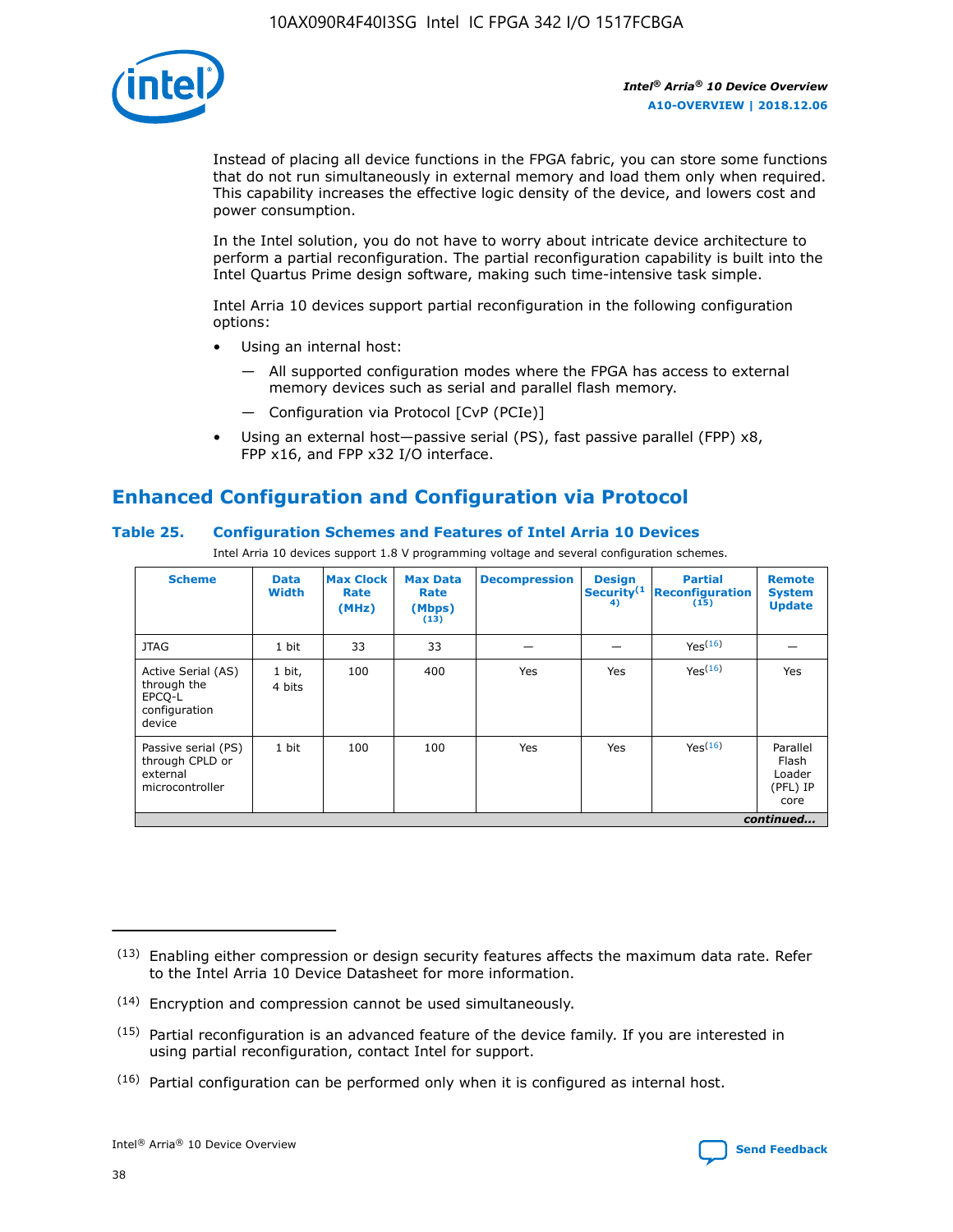

Instead of placing all device functions in the FPGA fabric, you can store some functions that do not run simultaneously in external memory and load them only when required. This capability increases the effective logic density of the device, and lowers cost and power consumption.

In the Intel solution, you do not have to worry about intricate device architecture to perform a partial reconfiguration. The partial reconfiguration capability is built into the Intel Quartus Prime design software, making such time-intensive task simple.

Intel Arria 10 devices support partial reconfiguration in the following configuration options:

- Using an internal host:
	- All supported configuration modes where the FPGA has access to external memory devices such as serial and parallel flash memory.
	- Configuration via Protocol [CvP (PCIe)]
- Using an external host—passive serial (PS), fast passive parallel (FPP) x8, FPP x16, and FPP x32 I/O interface.

# **Enhanced Configuration and Configuration via Protocol**

# **Table 25. Configuration Schemes and Features of Intel Arria 10 Devices**

Intel Arria 10 devices support 1.8 V programming voltage and several configuration schemes.

| <b>Scheme</b>                                                          | <b>Data</b><br><b>Width</b> | <b>Max Clock</b><br>Rate<br>(MHz) | <b>Max Data</b><br>Rate<br>(Mbps)<br>(13) | <b>Decompression</b> | <b>Design</b><br>Security <sup>(1</sup><br>4) | <b>Partial</b><br><b>Reconfiguration</b><br>(15) | <b>Remote</b><br><b>System</b><br><b>Update</b> |
|------------------------------------------------------------------------|-----------------------------|-----------------------------------|-------------------------------------------|----------------------|-----------------------------------------------|--------------------------------------------------|-------------------------------------------------|
| <b>JTAG</b>                                                            | 1 bit                       | 33                                | 33                                        |                      |                                               | Yes(16)                                          |                                                 |
| Active Serial (AS)<br>through the<br>EPCO-L<br>configuration<br>device | 1 bit,<br>4 bits            | 100                               | 400                                       | Yes                  | Yes                                           | $Y_{PS}(16)$                                     | Yes                                             |
| Passive serial (PS)<br>through CPLD or<br>external<br>microcontroller  | 1 bit                       | 100                               | 100                                       | Yes                  | Yes                                           | Yes(16)                                          | Parallel<br>Flash<br>Loader<br>(PFL) IP<br>core |
|                                                                        |                             |                                   |                                           |                      |                                               |                                                  | continued                                       |

<sup>(13)</sup> Enabling either compression or design security features affects the maximum data rate. Refer to the Intel Arria 10 Device Datasheet for more information.

<sup>(14)</sup> Encryption and compression cannot be used simultaneously.

 $(15)$  Partial reconfiguration is an advanced feature of the device family. If you are interested in using partial reconfiguration, contact Intel for support.

 $(16)$  Partial configuration can be performed only when it is configured as internal host.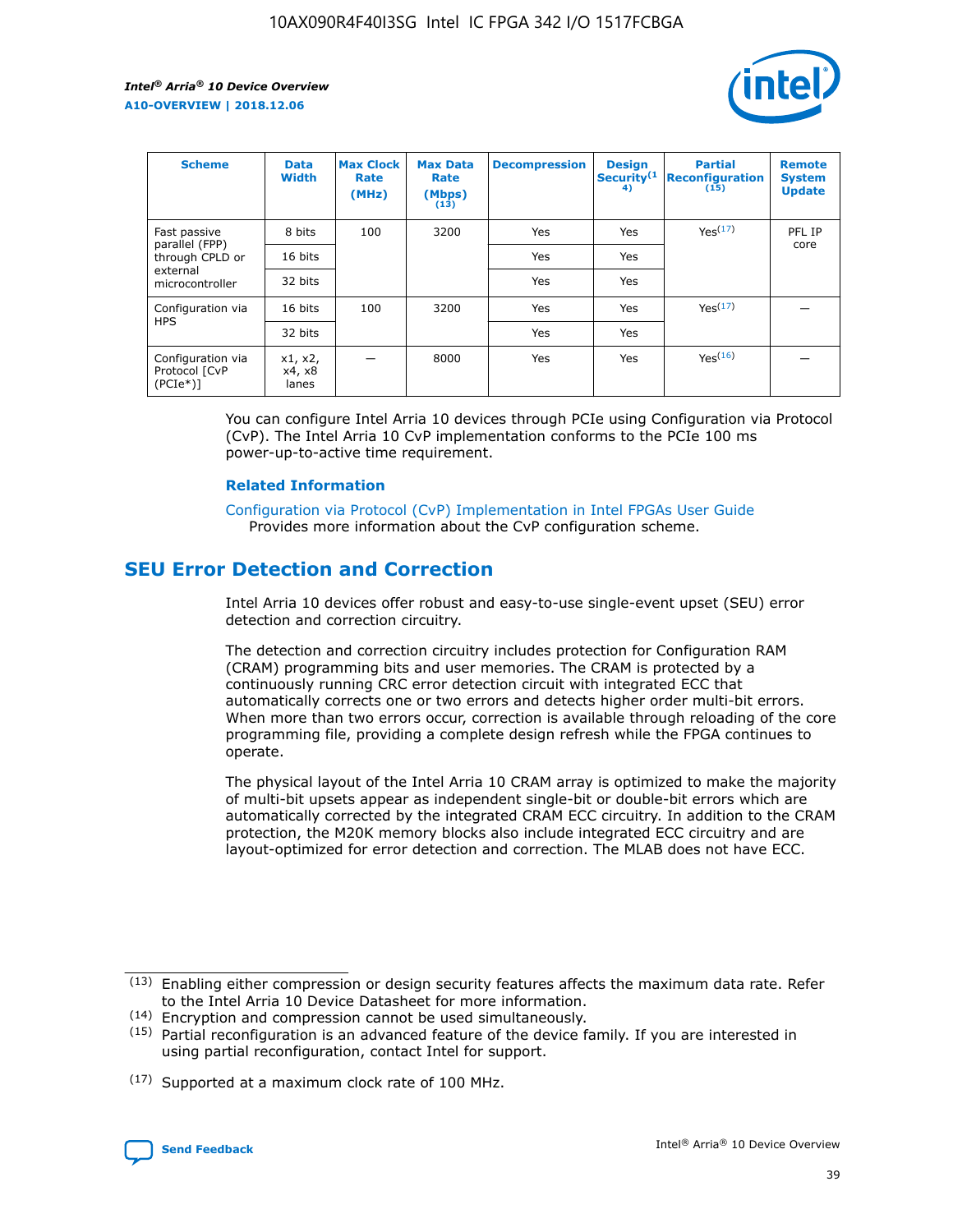

| <b>Scheme</b>                                   | <b>Data</b><br><b>Width</b> | <b>Max Clock</b><br>Rate<br>(MHz) | <b>Max Data</b><br>Rate<br>(Mbps)<br>(13) | <b>Decompression</b> | <b>Design</b><br>Security <sup>(1</sup><br>4) | <b>Partial</b><br><b>Reconfiguration</b><br>(15) | <b>Remote</b><br><b>System</b><br><b>Update</b> |
|-------------------------------------------------|-----------------------------|-----------------------------------|-------------------------------------------|----------------------|-----------------------------------------------|--------------------------------------------------|-------------------------------------------------|
| Fast passive                                    | 8 bits                      | 100                               | 3200                                      | Yes                  | Yes                                           | Yes(17)                                          | PFL IP                                          |
| parallel (FPP)<br>through CPLD or               | 16 bits                     |                                   |                                           | Yes                  | Yes                                           |                                                  | core                                            |
| external<br>microcontroller                     | 32 bits                     |                                   |                                           | Yes                  | Yes                                           |                                                  |                                                 |
| Configuration via                               | 16 bits                     | 100                               | 3200                                      | Yes                  | Yes                                           | Yes <sup>(17)</sup>                              |                                                 |
| <b>HPS</b>                                      | 32 bits                     |                                   |                                           | Yes                  | Yes                                           |                                                  |                                                 |
| Configuration via<br>Protocol [CvP<br>$(PCIe*)$ | x1, x2,<br>x4, x8<br>lanes  |                                   | 8000                                      | Yes                  | Yes                                           | Yes(16)                                          |                                                 |

You can configure Intel Arria 10 devices through PCIe using Configuration via Protocol (CvP). The Intel Arria 10 CvP implementation conforms to the PCIe 100 ms power-up-to-active time requirement.

## **Related Information**

[Configuration via Protocol \(CvP\) Implementation in Intel FPGAs User Guide](https://www.intel.com/content/www/us/en/programmable/documentation/dsu1441819344145.html#dsu1442269728522) Provides more information about the CvP configuration scheme.

# **SEU Error Detection and Correction**

Intel Arria 10 devices offer robust and easy-to-use single-event upset (SEU) error detection and correction circuitry.

The detection and correction circuitry includes protection for Configuration RAM (CRAM) programming bits and user memories. The CRAM is protected by a continuously running CRC error detection circuit with integrated ECC that automatically corrects one or two errors and detects higher order multi-bit errors. When more than two errors occur, correction is available through reloading of the core programming file, providing a complete design refresh while the FPGA continues to operate.

The physical layout of the Intel Arria 10 CRAM array is optimized to make the majority of multi-bit upsets appear as independent single-bit or double-bit errors which are automatically corrected by the integrated CRAM ECC circuitry. In addition to the CRAM protection, the M20K memory blocks also include integrated ECC circuitry and are layout-optimized for error detection and correction. The MLAB does not have ECC.

(14) Encryption and compression cannot be used simultaneously.

<sup>(17)</sup> Supported at a maximum clock rate of 100 MHz.



 $(13)$  Enabling either compression or design security features affects the maximum data rate. Refer to the Intel Arria 10 Device Datasheet for more information.

 $(15)$  Partial reconfiguration is an advanced feature of the device family. If you are interested in using partial reconfiguration, contact Intel for support.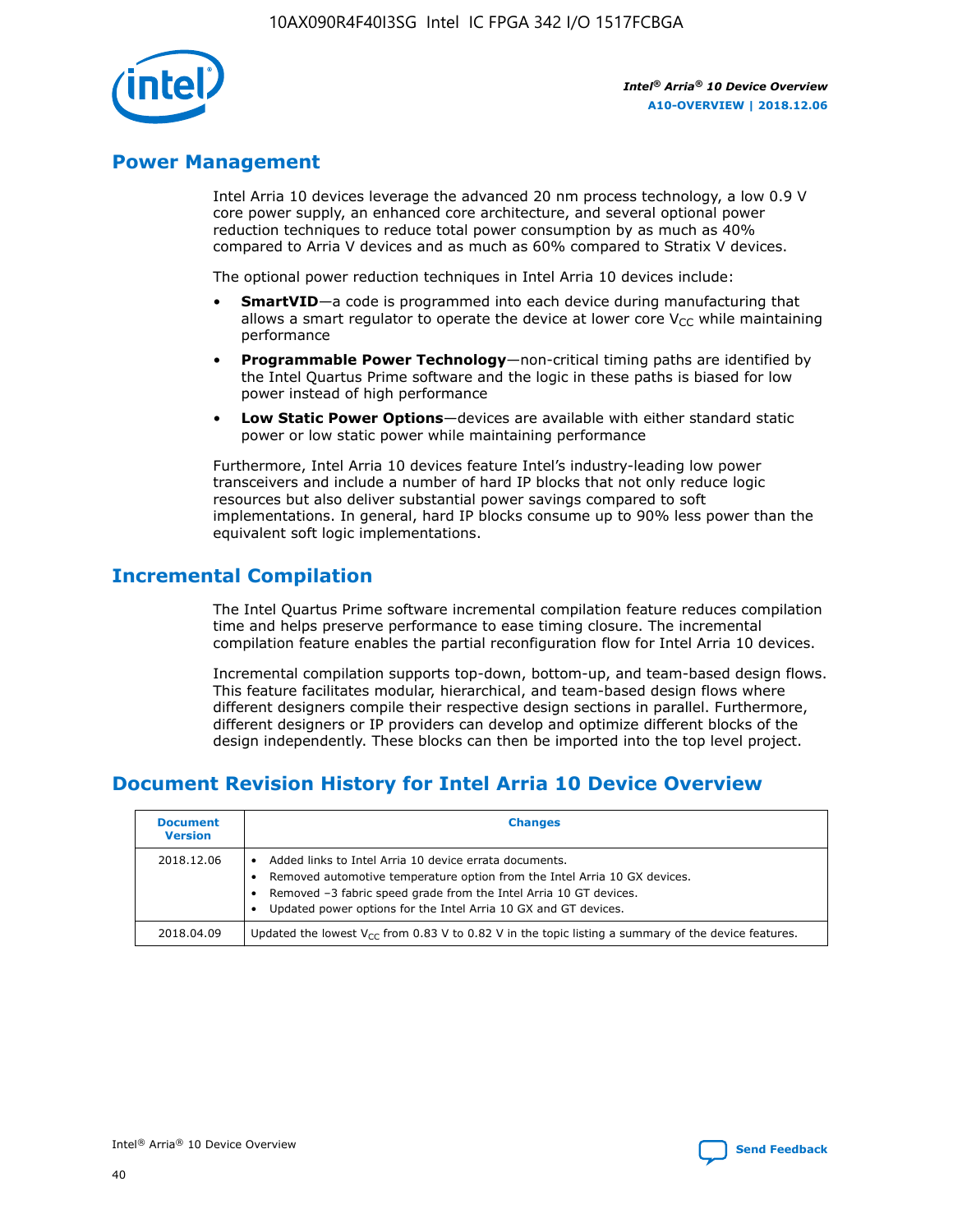

# **Power Management**

Intel Arria 10 devices leverage the advanced 20 nm process technology, a low 0.9 V core power supply, an enhanced core architecture, and several optional power reduction techniques to reduce total power consumption by as much as 40% compared to Arria V devices and as much as 60% compared to Stratix V devices.

The optional power reduction techniques in Intel Arria 10 devices include:

- **SmartVID**—a code is programmed into each device during manufacturing that allows a smart regulator to operate the device at lower core  $V_{CC}$  while maintaining performance
- **Programmable Power Technology**—non-critical timing paths are identified by the Intel Quartus Prime software and the logic in these paths is biased for low power instead of high performance
- **Low Static Power Options**—devices are available with either standard static power or low static power while maintaining performance

Furthermore, Intel Arria 10 devices feature Intel's industry-leading low power transceivers and include a number of hard IP blocks that not only reduce logic resources but also deliver substantial power savings compared to soft implementations. In general, hard IP blocks consume up to 90% less power than the equivalent soft logic implementations.

# **Incremental Compilation**

The Intel Quartus Prime software incremental compilation feature reduces compilation time and helps preserve performance to ease timing closure. The incremental compilation feature enables the partial reconfiguration flow for Intel Arria 10 devices.

Incremental compilation supports top-down, bottom-up, and team-based design flows. This feature facilitates modular, hierarchical, and team-based design flows where different designers compile their respective design sections in parallel. Furthermore, different designers or IP providers can develop and optimize different blocks of the design independently. These blocks can then be imported into the top level project.

# **Document Revision History for Intel Arria 10 Device Overview**

| <b>Document</b><br><b>Version</b> | <b>Changes</b>                                                                                                                                                                                                                                                              |
|-----------------------------------|-----------------------------------------------------------------------------------------------------------------------------------------------------------------------------------------------------------------------------------------------------------------------------|
| 2018.12.06                        | Added links to Intel Arria 10 device errata documents.<br>Removed automotive temperature option from the Intel Arria 10 GX devices.<br>Removed -3 fabric speed grade from the Intel Arria 10 GT devices.<br>Updated power options for the Intel Arria 10 GX and GT devices. |
| 2018.04.09                        | Updated the lowest $V_{CC}$ from 0.83 V to 0.82 V in the topic listing a summary of the device features.                                                                                                                                                                    |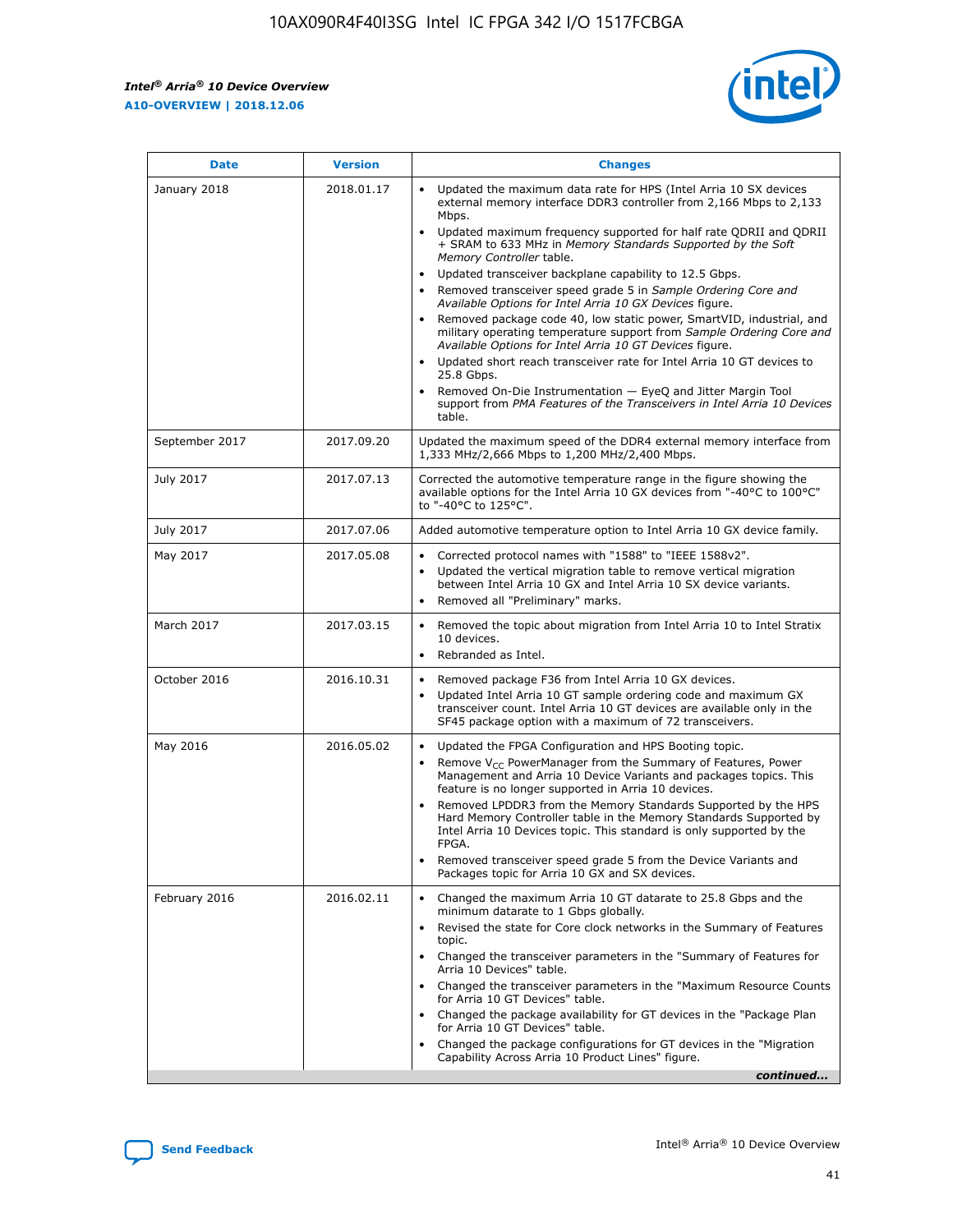*Intel® Arria® 10 Device Overview* **A10-OVERVIEW | 2018.12.06**



| <b>Date</b>    | <b>Version</b> | <b>Changes</b>                                                                                                                                                                                                                                                                                                                                                                                                                                                                                                                                                                                                                                                                                                                                                                                                                                                                                                                                                            |
|----------------|----------------|---------------------------------------------------------------------------------------------------------------------------------------------------------------------------------------------------------------------------------------------------------------------------------------------------------------------------------------------------------------------------------------------------------------------------------------------------------------------------------------------------------------------------------------------------------------------------------------------------------------------------------------------------------------------------------------------------------------------------------------------------------------------------------------------------------------------------------------------------------------------------------------------------------------------------------------------------------------------------|
| January 2018   | 2018.01.17     | Updated the maximum data rate for HPS (Intel Arria 10 SX devices<br>external memory interface DDR3 controller from 2,166 Mbps to 2,133<br>Mbps.<br>Updated maximum frequency supported for half rate QDRII and QDRII<br>+ SRAM to 633 MHz in Memory Standards Supported by the Soft<br>Memory Controller table.<br>Updated transceiver backplane capability to 12.5 Gbps.<br>$\bullet$<br>Removed transceiver speed grade 5 in Sample Ordering Core and<br>Available Options for Intel Arria 10 GX Devices figure.<br>Removed package code 40, low static power, SmartVID, industrial, and<br>military operating temperature support from Sample Ordering Core and<br>Available Options for Intel Arria 10 GT Devices figure.<br>Updated short reach transceiver rate for Intel Arria 10 GT devices to<br>25.8 Gbps.<br>Removed On-Die Instrumentation - EyeQ and Jitter Margin Tool<br>support from PMA Features of the Transceivers in Intel Arria 10 Devices<br>table. |
| September 2017 | 2017.09.20     | Updated the maximum speed of the DDR4 external memory interface from<br>1,333 MHz/2,666 Mbps to 1,200 MHz/2,400 Mbps.                                                                                                                                                                                                                                                                                                                                                                                                                                                                                                                                                                                                                                                                                                                                                                                                                                                     |
| July 2017      | 2017.07.13     | Corrected the automotive temperature range in the figure showing the<br>available options for the Intel Arria 10 GX devices from "-40°C to 100°C"<br>to "-40°C to 125°C".                                                                                                                                                                                                                                                                                                                                                                                                                                                                                                                                                                                                                                                                                                                                                                                                 |
| July 2017      | 2017.07.06     | Added automotive temperature option to Intel Arria 10 GX device family.                                                                                                                                                                                                                                                                                                                                                                                                                                                                                                                                                                                                                                                                                                                                                                                                                                                                                                   |
| May 2017       | 2017.05.08     | Corrected protocol names with "1588" to "IEEE 1588v2".<br>$\bullet$<br>Updated the vertical migration table to remove vertical migration<br>$\bullet$<br>between Intel Arria 10 GX and Intel Arria 10 SX device variants.<br>Removed all "Preliminary" marks.<br>$\bullet$                                                                                                                                                                                                                                                                                                                                                                                                                                                                                                                                                                                                                                                                                                |
| March 2017     | 2017.03.15     | Removed the topic about migration from Intel Arria 10 to Intel Stratix<br>10 devices.<br>Rebranded as Intel.<br>$\bullet$                                                                                                                                                                                                                                                                                                                                                                                                                                                                                                                                                                                                                                                                                                                                                                                                                                                 |
| October 2016   | 2016.10.31     | Removed package F36 from Intel Arria 10 GX devices.<br>Updated Intel Arria 10 GT sample ordering code and maximum GX<br>$\bullet$<br>transceiver count. Intel Arria 10 GT devices are available only in the<br>SF45 package option with a maximum of 72 transceivers.                                                                                                                                                                                                                                                                                                                                                                                                                                                                                                                                                                                                                                                                                                     |
| May 2016       | 2016.05.02     | Updated the FPGA Configuration and HPS Booting topic.<br>$\bullet$<br>Remove V <sub>CC</sub> PowerManager from the Summary of Features, Power<br>Management and Arria 10 Device Variants and packages topics. This<br>feature is no longer supported in Arria 10 devices.<br>Removed LPDDR3 from the Memory Standards Supported by the HPS<br>Hard Memory Controller table in the Memory Standards Supported by<br>Intel Arria 10 Devices topic. This standard is only supported by the<br>FPGA.<br>Removed transceiver speed grade 5 from the Device Variants and<br>Packages topic for Arria 10 GX and SX devices.                                                                                                                                                                                                                                                                                                                                                      |
| February 2016  | 2016.02.11     | Changed the maximum Arria 10 GT datarate to 25.8 Gbps and the<br>minimum datarate to 1 Gbps globally.<br>Revised the state for Core clock networks in the Summary of Features<br>$\bullet$<br>topic.<br>Changed the transceiver parameters in the "Summary of Features for<br>$\bullet$<br>Arria 10 Devices" table.<br>• Changed the transceiver parameters in the "Maximum Resource Counts<br>for Arria 10 GT Devices" table.<br>Changed the package availability for GT devices in the "Package Plan<br>for Arria 10 GT Devices" table.<br>Changed the package configurations for GT devices in the "Migration"<br>Capability Across Arria 10 Product Lines" figure.<br>continued                                                                                                                                                                                                                                                                                       |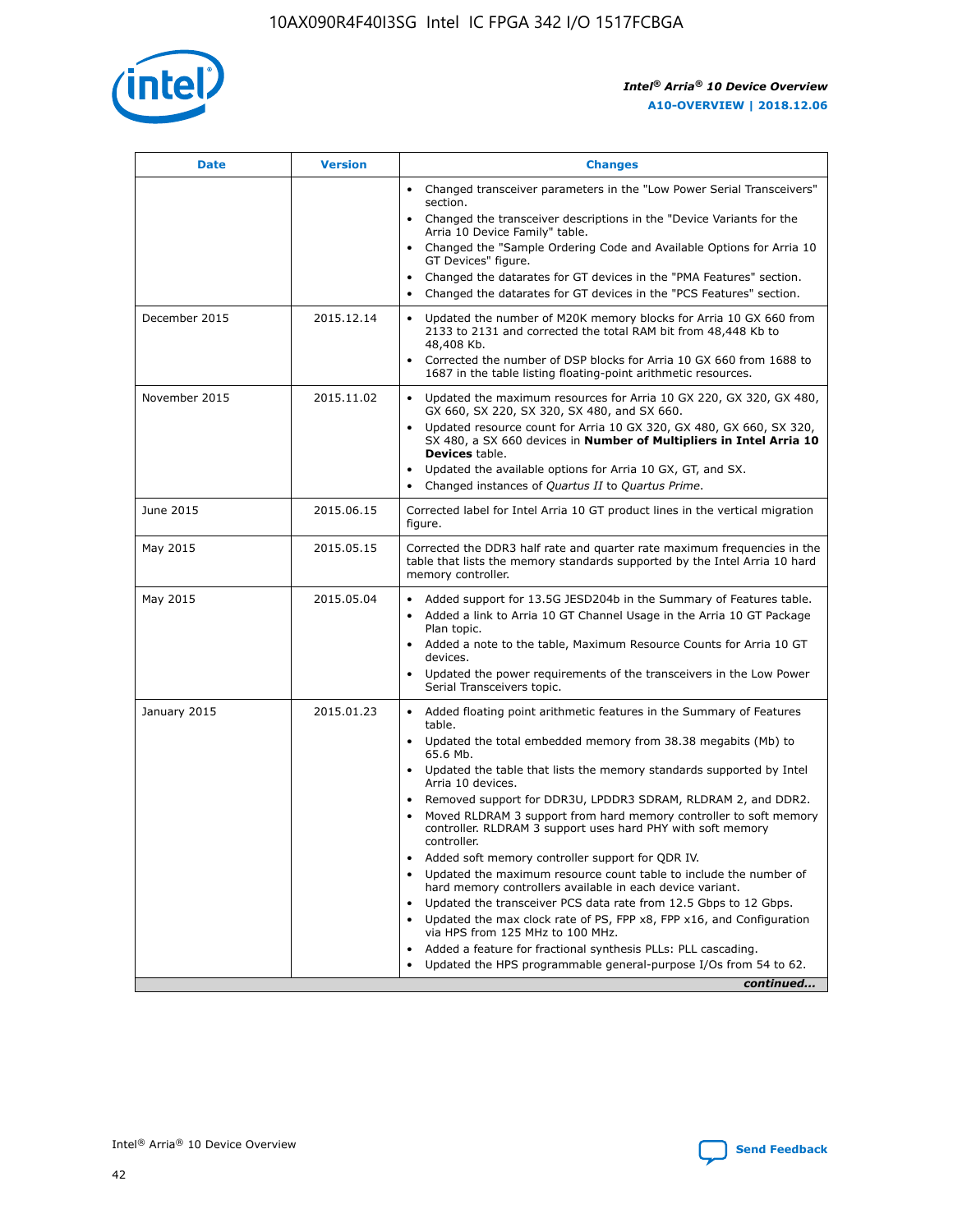

| <b>Date</b>   | <b>Version</b> | <b>Changes</b>                                                                                                                                                               |
|---------------|----------------|------------------------------------------------------------------------------------------------------------------------------------------------------------------------------|
|               |                | • Changed transceiver parameters in the "Low Power Serial Transceivers"<br>section.                                                                                          |
|               |                | • Changed the transceiver descriptions in the "Device Variants for the<br>Arria 10 Device Family" table.                                                                     |
|               |                | Changed the "Sample Ordering Code and Available Options for Arria 10<br>$\bullet$<br>GT Devices" figure.                                                                     |
|               |                | Changed the datarates for GT devices in the "PMA Features" section.                                                                                                          |
|               |                | Changed the datarates for GT devices in the "PCS Features" section.<br>$\bullet$                                                                                             |
| December 2015 | 2015.12.14     | Updated the number of M20K memory blocks for Arria 10 GX 660 from<br>2133 to 2131 and corrected the total RAM bit from 48,448 Kb to<br>48,408 Kb.                            |
|               |                | Corrected the number of DSP blocks for Arria 10 GX 660 from 1688 to<br>1687 in the table listing floating-point arithmetic resources.                                        |
| November 2015 | 2015.11.02     | Updated the maximum resources for Arria 10 GX 220, GX 320, GX 480,<br>$\bullet$<br>GX 660, SX 220, SX 320, SX 480, and SX 660.                                               |
|               |                | • Updated resource count for Arria 10 GX 320, GX 480, GX 660, SX 320,<br>SX 480, a SX 660 devices in Number of Multipliers in Intel Arria 10<br><b>Devices</b> table.        |
|               |                | Updated the available options for Arria 10 GX, GT, and SX.                                                                                                                   |
|               |                | Changed instances of Quartus II to Quartus Prime.<br>$\bullet$                                                                                                               |
| June 2015     | 2015.06.15     | Corrected label for Intel Arria 10 GT product lines in the vertical migration<br>figure.                                                                                     |
| May 2015      | 2015.05.15     | Corrected the DDR3 half rate and quarter rate maximum frequencies in the<br>table that lists the memory standards supported by the Intel Arria 10 hard<br>memory controller. |
| May 2015      | 2015.05.04     | • Added support for 13.5G JESD204b in the Summary of Features table.<br>• Added a link to Arria 10 GT Channel Usage in the Arria 10 GT Package<br>Plan topic.                |
|               |                | • Added a note to the table, Maximum Resource Counts for Arria 10 GT<br>devices.                                                                                             |
|               |                | • Updated the power requirements of the transceivers in the Low Power<br>Serial Transceivers topic.                                                                          |
| January 2015  | 2015.01.23     | • Added floating point arithmetic features in the Summary of Features<br>table.                                                                                              |
|               |                | • Updated the total embedded memory from 38.38 megabits (Mb) to<br>65.6 Mb.                                                                                                  |
|               |                | • Updated the table that lists the memory standards supported by Intel<br>Arria 10 devices.                                                                                  |
|               |                | Removed support for DDR3U, LPDDR3 SDRAM, RLDRAM 2, and DDR2.                                                                                                                 |
|               |                | Moved RLDRAM 3 support from hard memory controller to soft memory<br>controller. RLDRAM 3 support uses hard PHY with soft memory<br>controller.                              |
|               |                | Added soft memory controller support for QDR IV.<br>٠                                                                                                                        |
|               |                | Updated the maximum resource count table to include the number of<br>hard memory controllers available in each device variant.                                               |
|               |                | Updated the transceiver PCS data rate from 12.5 Gbps to 12 Gbps.<br>$\bullet$                                                                                                |
|               |                | Updated the max clock rate of PS, FPP x8, FPP x16, and Configuration<br>via HPS from 125 MHz to 100 MHz.                                                                     |
|               |                | Added a feature for fractional synthesis PLLs: PLL cascading.                                                                                                                |
|               |                | Updated the HPS programmable general-purpose I/Os from 54 to 62.<br>$\bullet$<br>continued                                                                                   |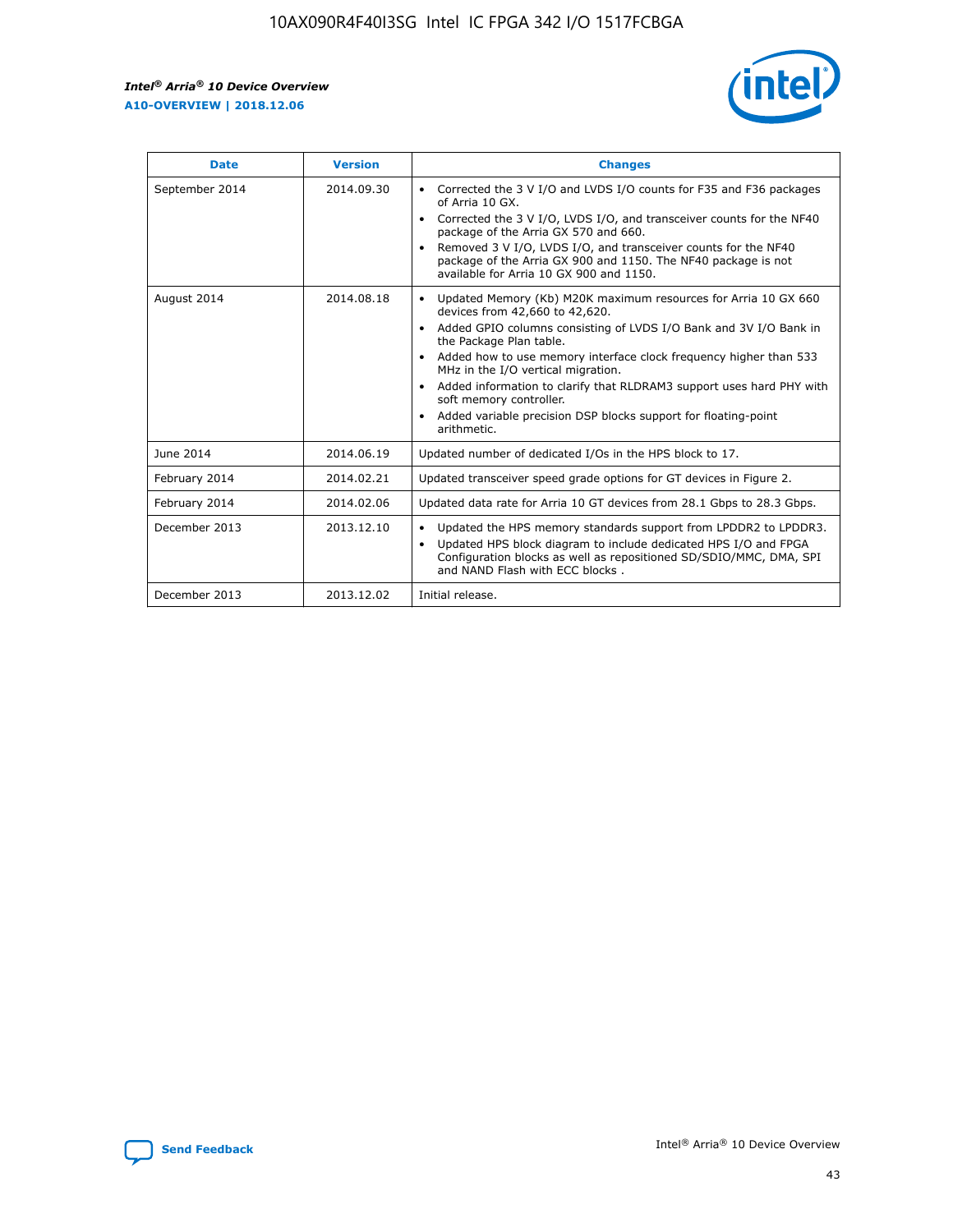r



| <b>Date</b>    | <b>Version</b> | <b>Changes</b>                                                                                                                                                                                                                                                                                                                                                                                                                                                                                                                                      |
|----------------|----------------|-----------------------------------------------------------------------------------------------------------------------------------------------------------------------------------------------------------------------------------------------------------------------------------------------------------------------------------------------------------------------------------------------------------------------------------------------------------------------------------------------------------------------------------------------------|
| September 2014 | 2014.09.30     | Corrected the 3 V I/O and LVDS I/O counts for F35 and F36 packages<br>$\bullet$<br>of Arria 10 GX.<br>Corrected the 3 V I/O, LVDS I/O, and transceiver counts for the NF40<br>$\bullet$<br>package of the Arria GX 570 and 660.<br>Removed 3 V I/O, LVDS I/O, and transceiver counts for the NF40<br>package of the Arria GX 900 and 1150. The NF40 package is not<br>available for Arria 10 GX 900 and 1150.                                                                                                                                       |
| August 2014    | 2014.08.18     | Updated Memory (Kb) M20K maximum resources for Arria 10 GX 660<br>devices from 42,660 to 42,620.<br>Added GPIO columns consisting of LVDS I/O Bank and 3V I/O Bank in<br>$\bullet$<br>the Package Plan table.<br>Added how to use memory interface clock frequency higher than 533<br>$\bullet$<br>MHz in the I/O vertical migration.<br>Added information to clarify that RLDRAM3 support uses hard PHY with<br>$\bullet$<br>soft memory controller.<br>Added variable precision DSP blocks support for floating-point<br>$\bullet$<br>arithmetic. |
| June 2014      | 2014.06.19     | Updated number of dedicated I/Os in the HPS block to 17.                                                                                                                                                                                                                                                                                                                                                                                                                                                                                            |
| February 2014  | 2014.02.21     | Updated transceiver speed grade options for GT devices in Figure 2.                                                                                                                                                                                                                                                                                                                                                                                                                                                                                 |
| February 2014  | 2014.02.06     | Updated data rate for Arria 10 GT devices from 28.1 Gbps to 28.3 Gbps.                                                                                                                                                                                                                                                                                                                                                                                                                                                                              |
| December 2013  | 2013.12.10     | Updated the HPS memory standards support from LPDDR2 to LPDDR3.<br>Updated HPS block diagram to include dedicated HPS I/O and FPGA<br>$\bullet$<br>Configuration blocks as well as repositioned SD/SDIO/MMC, DMA, SPI<br>and NAND Flash with ECC blocks.                                                                                                                                                                                                                                                                                            |
| December 2013  | 2013.12.02     | Initial release.                                                                                                                                                                                                                                                                                                                                                                                                                                                                                                                                    |